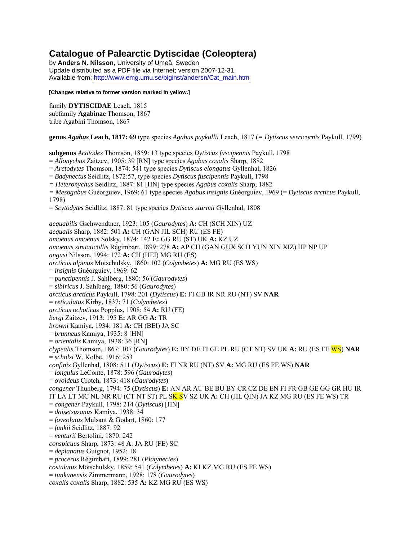# **Catalogue of Palearctic Dytiscidae (Coleoptera)**

by **Anders N. Nilsson**, University of Umeå, Sweden Update distributed as a PDF file via Internet; version 2007-12-31. Available from: http://www.emg.umu.se/biginst/andersn/Cat\_main.htm

#### **[Changes relative to former version marked in yellow.]**

family **DYTISCIDAE** Leach, 1815 subfamily **Agabinae** Thomson, 1867 tribe Agabini Thomson, 1867

**genus** *Agabus* **Leach, 1817: 69** type species *Agabus paykullii* Leach, 1817 (*= Dytiscus serricornis* Paykull, 1799)

**subgenus** *Acatodes* Thomson, 1859: 13 type species *Dytiscus fuscipennis* Paykull, 1798

= *Allonychus* Zaitzev, 1905: 39 [RN] type species *Agabus coxalis* Sharp, 1882

= *Arctodytes* Thomson, 1874: 541 type species *Dytiscus elongatus* Gyllenhal, 1826

= *Badynectus* Seidlitz, 1872:57, type species *Dytiscus fuscipennis* Paykull, 1798

*= Heteronychus* Seidlitz, 1887: 81 [HN] type species *Agabus coxalis* Sharp, 1882

*= Mesogabus* Guéorguiev, 1969: 61 type species *Agabus insignis* Guéorguiev, 1969 (= *Dytiscus arcticus* Paykull, 1798)

= *Scytodytes* Seidlitz, 1887: 81 type species *Dytiscus sturmii* Gyllenhal, 1808

*aequabilis* Gschwendtner, 1923: 105 (*Gaurodytes*) **A:** CH (SCH XIN) UZ *aequalis* Sharp, 1882: 501 **A:** CH (GAN JIL SCH) RU (ES FE) *amoenus amoenus* Solsky, 1874: 142 **E:** GG RU (ST) UK **A:** KZ UZ *amoenus sinuaticollis* Régimbart, 1899: 278 **A:** AP CH (GAN GUX SCH YUN XIN XIZ) HP NP UP *angusi* Nilsson, 1994: 172 **A:** CH (HEI) MG RU (ES) *arcticus alpinus* Motschulsky, 1860: 102 (*Colymbetes*) **A:** MG RU (ES WS) = *insignis* Guéorguiev, 1969: 62 = *punctipennis* J. Sahlberg, 1880: 56 (*Gaurodytes*) = *sibiricus* J. Sahlberg, 1880: 56 (*Gaurodytes*) *arcticus arcticus* Paykull, 1798: 201 (*Dytiscus*) **E:** FI GB IR NR RU (NT) SV **NAR** = *reticulatus* Kirby, 1837: 71 (*Colymbetes*) *arcticus ochoticus* Poppius, 1908: 54 **A:** RU (FE) *bergi* Zaitzev, 1913: 195 **E:** AR GG **A:** TR *browni* Kamiya, 1934: 181 **A:** CH (BEI) JA SC = *brunneus* Kamiya, 1935: 8 [HN] = *orientalis* Kamiya, 1938: 36 [RN] *clypealis* Thomson, 1867: 107 (*Gaurodytes*) **E:** BY DE FI GE PL RU (CT NT) SV UK **A:** RU (ES FE WS) **NAR** = *scholzi* W. Kolbe, 1916: 253 *confinis* Gyllenhal, 1808: 511 (*Dytiscus*) **E:** FI NR RU (NT) SV **A:** MG RU (ES FE WS) **NAR** = *longulus* LeConte, 1878: 596 (*Gaurodytes*) = *ovoideus* Crotch, 1873: 418 (*Gaurodytes*) *congener* Thunberg, 1794: 75 (*Dytiscus*) **E:** AN AR AU BE BU BY CR CZ DE EN FI FR GB GE GG GR HU IR IT LA LT MC NL NR RU (CT NT ST) PL SK SV SZ UK **A:** CH (JIL QIN) JA KZ MG RU (ES FE WS) TR = *congener* Paykull, 1798: 214 (*Dytiscus*) [HN] = *daisetsuzanus* Kamiya, 1938: 34 = *foveolatus* Mulsant & Godart, 1860: 177 = *funkii* Seidlitz, 1887: 92 = *venturii* Bertolini, 1870: 242 *conspicuus* Sharp, 1873: 48 **A**: JA RU (FE) SC = *deplanatus* Guignot, 1952: 18 = *procerus* Régimbart, 1899: 281 (*Platynectes*) *costulatus* Motschulsky, 1859: 541 (*Colymbetes*) **A:** KI KZ MG RU (ES FE WS) = *tunkunensis* Zimmermann, 1928: 178 (*Gaurodytes*)

*coxalis coxalis* Sharp, 1882: 535 **A:** KZ MG RU (ES WS)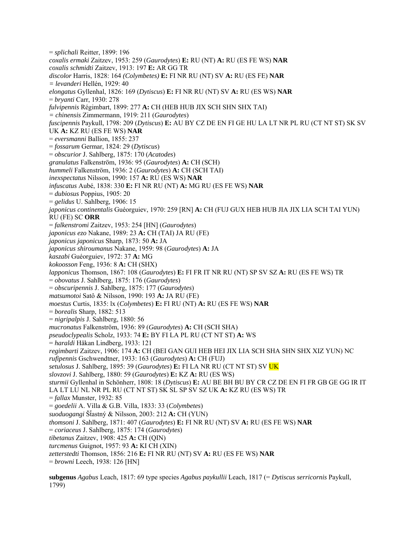= *splichali* Reitter, 1899: 196 *coxalis ermaki* Zaitzev, 1953: 259 (*Gaurodytes*) **E:** RU (NT) **A:** RU (ES FE WS) **NAR** *coxalis schmidti* Zaitzev, 1913: 197 **E:** AR GG TR *discolor* Harris, 1828: 164 *(Colymbetes)* **E:** FI NR RU (NT) SV **A:** RU (ES FE) **NAR** *= levanderi* Hellén, 1929: 40 *elongatus* Gyllenhal, 1826: 169 (*Dytiscus*) **E:** FI NR RU (NT) SV **A:** RU (ES WS) **NAR** = *bryanti* Carr, 1930: 278 *fulvipennis* Régimbart, 1899: 277 **A:** CH (HEB HUB JIX SCH SHN SHX TAI) *= chinensis* Zimmermann, 1919: 211 (*Gaurodytes*) *fuscipennis* Paykull, 1798: 209 (*Dytiscus*) **E:** AU BY CZ DE EN FI GE HU LA LT NR PL RU (CT NT ST) SK SV UK **A:** KZ RU (ES FE WS) **NAR** = *eversmanni* Ballion, 1855: 237 = *fossarum* Germar, 1824: 29 (*Dytiscus*) = *obscurior* J. Sahlberg, 1875: 170 (*Acatodes*) *granulatus* Falkenström, 1936: 95 (*Gaurodytes*) **A:** CH (SCH) *hummeli* Falkenström, 1936: 2 (*Gaurodytes*) **A:** CH (SCH TAI) *inexspectatus* Nilsson, 1990: 157 **A:** RU (ES WS) **NAR** *infuscatus* Aubé, 1838: 330 **E:** FI NR RU (NT) **A:** MG RU (ES FE WS) **NAR** = *dubiosus* Poppius, 1905: 20 = *gelidus* U. Sahlberg, 1906: 15 *japonicus continentalis* Guéorguiev, 1970: 259 [RN] **A:** CH (FUJ GUX HEB HUB JIA JIX LIA SCH TAI YUN) RU (FE) SC **ORR** = *falkenstromi* Zaitzev, 1953: 254 [HN] (*Gaurodytes*) *japonicus ezo* Nakane, 1989: 23 **A:** CH (TAI) JA RU (FE) *japonicus japonicus* Sharp, 1873: 50 **A:** JA *japonicus shiroumanus* Nakane, 1959: 98 (*Gaurodytes*) **A:** JA *kaszabi* Guéorguiev, 1972: 37 **A:** MG *kokoosson* Feng, 1936: 8 **A:** CH (SHX) *lapponicus* Thomson, 1867: 108 (*Gaurodytes*) **E:** FI FR IT NR RU (NT) SP SV SZ **A:** RU (ES FE WS) TR = *obovatus* J. Sahlberg, 1875: 176 (*Gaurodytes*) = *obscuripennis* J. Sahlberg, 1875: 177 (*Gaurodytes*) *matsumotoi* Satô & Nilsson, 1990: 193 **A:** JA RU (FE) *moestus* Curtis, 1835: lx (*Colymbetes*) **E:** FI RU (NT) **A:** RU (ES FE WS) **NAR** = *borealis* Sharp, 1882: 513 = *nigripalpis* J. Sahlberg, 1880: 56 *mucronatus* Falkenström, 1936: 89 (*Gaurodytes*) **A:** CH (SCH SHA) *pseudoclypealis* Scholz, 1933: 74 **E:** BY FI LA PL RU (CT NT ST) **A:** WS = *haraldi* Håkan Lindberg, 1933: 121 *regimbarti* Zaitzev, 1906: 174 **A:** CH (BEI GAN GUI HEB HEI JIX LIA SCH SHA SHN SHX XIZ YUN) NC *rufipennis* Gschwendtner, 1933: 163 (*Gaurodytes*) **A:** CH (FUJ) *setulosus* J. Sahlberg, 1895: 39 (*Gaurodytes*) **E:** FI LA NR RU (CT NT ST) SV UK *slovzovi* J. Sahlberg, 1880: 59 (*Gaurodytes*) **E:** KZ **A:** RU (ES WS) *sturmii* Gyllenhal in Schönherr, 1808: 18 (*Dytiscus*) **E:** AU BE BH BU BY CR CZ DE EN FI FR GB GE GG IR IT LA LT LU NL NR PL RU (CT NT ST) SK SL SP SV SZ UK **A:** KZ RU (ES WS) TR = *fallax* Munster, 1932: 85 = *goedelii* A. Villa & G.B. Villa, 1833: 33 (*Colymbetes*) *suoduogangi* ŠÄastný & Nilsson, 2003: 212 **A:** CH (YUN) *thomsoni* J. Sahlberg, 1871: 407 (*Gaurodytes*) **E:** FI NR RU (NT) SV **A:** RU (ES FE WS) **NAR**  = *coriaceus* J. Sahlberg, 1875: 174 (*Gaurodytes*) *tibetanus* Zaitzev, 1908: 425 **A:** CH (QIN) *turcmenus* Guignot, 1957: 93 **A:** KI CH (XIN) *zetterstedti* Thomson, 1856: 216 **E:** FI NR RU (NT) SV **A:** RU (ES FE WS) **NAR** = *browni* Leech, 1938: 126 [HN]

**subgenus** *Agabus* Leach, 1817: 69 type species *Agabus paykullii* Leach, 1817 (= *Dytiscus serricornis* Paykull, 1799)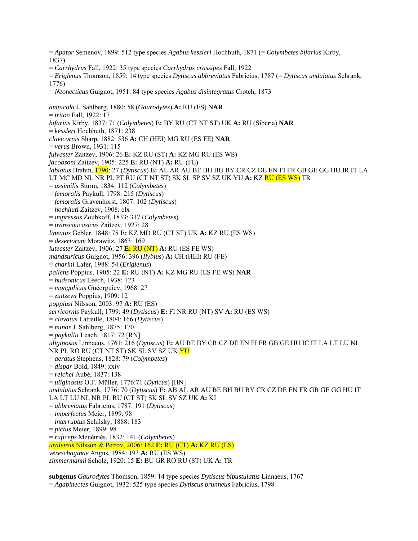= *Apator* Semenov, 1899: 512 type species *Agabus kessleri* Hochhuth, 1871 (= *Colymbetes bifarius* Kirby, 1837) = *Carrhydrus* Fall, 1922: 35 type species *Carrhydrus crassipes* Fall, 1922 = *Eriglenus* Thomson, 1859: 14 type species *Dytiscus abbreviatus* Fabricius, 1787 (= *Dytiscus undulatus* Schrank, 1776) = *Neonecticus* Guignot, 1951: 84 type species *Agabus disintegratus* Crotch, 1873 *amnicola* J. Sahlberg, 1880: 58 (*Gaurodytes*) **A:** RU (ES) **NAR**  = *triton* Fall, 1922: 17 *bifarius* Kirby, 1837: 71 (*Colymbetes*) **E:** BY RU (CT NT ST) UK **A:** RU (Siberia) **NAR**  = *kessleri* Hochhuth, 1871: 238 *clavicornis* Sharp, 1882: 536 **A:** CH (HEI) MG RU (ES FE) **NAR**  = *verus* Brown, 1931: 115 *fulvaster* Zaitzev, 1906: 26 **E:** KZ RU (ST) **A:** KZ MG RU (ES WS) *jacobsoni* Zaitzev, 1905: 225 **E:** RU (NT) **A:** RU (FE) *labiatus* Brahm, 1790: 27 (*Dytiscus*) **E:** AL AR AU BE BH BU BY CR CZ DE EN FI FR GB GE GG HU IR IT LA LT MC MD NL NR PL PT RU (CT NT ST) SK SL SP SV SZ UK YU **A:** KZ RU (ES WS) TR = *assimilis* Sturm, 1834: 112 (*Colymbetes*) = *femoralis* Paykull, 1798: 215 (*Dytiscus*) = *femoralis* Gravenhorst, 1807: 102 (*Dytiscus*) = *hochhuti* Zaitzev, 1908: clx = *impressus* Zoubkoff, 1833: 317 (*Colymbetes*) = *transcaucasicus* Zaitzev, 1927: 28 *lineatus* Gebler, 1848: 75 **E:** KZ MD RU (CT ST) UK **A:** KZ RU (ES WS) = *desertorum* Morawitz, 1863: 169 *luteaster* Zaitzev, 1906: 27 **E:** RU (NT) **A:** RU (ES FE WS) *mandsuricus* Guignot, 1956: 396 (*Ilybius*) **A:** CH (HEI) RU (FE) = *charini* Lafer, 1988: 54 (*Eriglenus*) *pallens* Poppius, 1905: 22 **E:** RU (NT) **A:** KZ MG RU (ES FE WS) **NAR**  = *hudsonicus* Leech, 1938: 123 = *mongolicus* Guéorguiev, 1968: 27 = *zaitzewi* Poppius, 1909: 12 *poppiusi* Nilsson, 2003: 97 **A:** RU (ES) *serricornis* Paykull, 1799: 49 (*Dytiscus*) **E:** FI NR RU (NT) SV **A:** RU (ES WS) = *clavatus* Latreille, 1804: 166 (*Dytiscus*) = *minor* J. Sahlberg, 1875: 170 = *paykullii* Leach, 1817: 72 [RN] *uliginosus* Linnaeus, 1761: 216 (*Dytiscus*) **E:** AU BE BY CR CZ DE EN FI FR GB GE HU IC IT LA LT LU NL NR PL RO RU (CT NT ST) SK SL SV SZ UK YU = *aeratus* Stephens, 1828: 79 (*Colymbetes*) = *dispar* Bold, 1849: xxiv = *reichei* Aubé, 1837: 138 = *uliginosus* O.F. Müller, 1776:71 (*Dyticus*) [HN] *undulatus* Schrank, 1776: 70 (*Dytiscus*) **E:** AB AL AR AU BE BH BU BY CR CZ DE EN FR GB GE GG HU IT LA LT LU NL NR PL RU (CT ST) SK SL SV SZ UK **A:** KI = *abbreviatus* Fabricius, 1787: 191 (*Dytiscus*) = *imperfectus* Meier, 1899: 98 = *interruptus* Schilsky, 1888: 183 = *pictus* Meier, 1899: 98 = *ruficeps* Ménétriés, 1832: 141 (*Colymbetes*) *uralensis* Nilsson & Petrov, 2006: 162 **E:** RU (CT) **A:** KZ RU (ES) *vereschaginae* Angus, 1984: 193 **A:** RU (ES WS) *zimmermanni* Scholz, 1920: 15 **E:** BU GR RO RU (ST) UK **A:** TR

**subgenus** *Gaurodytes* Thomson, 1859: 14 type species *Dytiscus bipustulatus* Linnaeus, 1767 = *Agabinectes* Guignot, 1932: 525 type species *Dytiscus brunneus* Fabricius, 1798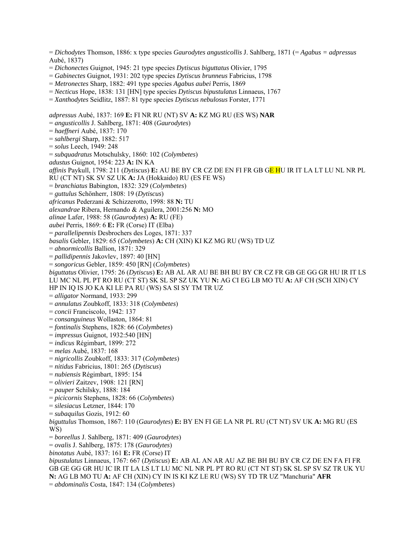= *Dichodytes* Thomson, 1886: x type species *Gaurodytes angusticollis* J. Sahlberg, 1871 (= *Agabus = adpressus* Aubé, 1837)

- = *Dichonectes* Guignot, 1945: 21 type species *Dytiscus biguttatus* Olivier, 1795
- = *Gabinectes* Guignot, 1931: 202 type species *Dytiscus brunneus* Fabricius, 1798
- = *Metronectes* Sharp, 1882: 491 type species *Agabus aubei* Perris, 1869
- = *Necticus* Hope, 1838: 131 [HN] type species *Dytiscus bipustulatus* Linnaeus, 1767
- = *Xanthodytes* Seidlitz, 1887: 81 type species *Dytiscus nebulosus* Forster, 1771

*adpressus* Aubé, 1837: 169 **E:** FI NR RU (NT) SV **A:** KZ MG RU (ES WS) **NAR**  = *angusticollis* J. Sahlberg, 1871: 408 (*Gaurodytes*) = *haeffneri* Aubé, 1837: 170 = *sahlbergi* Sharp, 1882: 517 = *solus* Leech, 1949: 248 = *subquadratus* Motschulsky, 1860: 102 (*Colymbetes*) *adustus* Guignot, 1954: 223 **A:** IN KA *affinis* Paykull, 1798: 211 (*Dytiscus*) **E:** AU BE BY CR CZ DE EN FI FR GB GE HU IR IT LA LT LU NL NR PL RU (CT NT) SK SV SZ UK **A:** JA (Hokkaido) RU (ES FE WS) = *branchiatus* Babington, 1832: 329 (*Colymbetes*) = *guttulus* Schönherr, 1808: 19 (*Dytiscus*) *africanus* Pederzani & Schizzerotto, 1998: 88 **N:** TU *alexandrae* Ribera, Hernando & Aguilera, 2001:256 **N:** MO *alinae* Lafer, 1988: 58 (*Gaurodytes*) **A:** RU (FE) *aubei* Perris, 1869: 6 **E:** FR (Corse) IT (Elba) = *parallelipennis* Desbrochers des Loges, 1871: 337 *basalis* Gebler, 1829: 65 (*Colymbetes*) **A:** CH (XIN) KI KZ MG RU (WS) TD UZ = *abnormicollis* Ballion, 1871: 329 = *pallidipennis* Jakovlev, 1897: 40 [HN] = *songoricus* Gebler, 1859: 450 [RN] (*Colymbetes*) *biguttatus* Olivier, 1795: 26 (*Dytiscus*) **E:** AB AL AR AU BE BH BU BY CR CZ FR GB GE GG GR HU IR IT LS LU MC NL PL PT RO RU (CT ST) SK SL SP SZ UK YU **N:** AG CI EG LB MO TU **A:** AF CH (SCH XIN) CY HP IN IQ IS JO KA KI LE PA RU (WS) SA SI SY TM TR UZ = *alligator* Normand, 1933: 299 = *annulatus* Zoubkoff, 1833: 318 (*Colymbetes*) = *concii* Franciscolo, 1942: 137 = *consanguineus* Wollaston, 1864: 81 = *fontinalis* Stephens, 1828: 66 (*Colymbetes*) = *impressus* Guignot, 1932:540 [HN] = *indicus* Régimbart, 1899: 272 = *melas* Aubé, 1837: 168 = *nigricollis* Zoubkoff, 1833: 317 (*Colymbetes*) = *nitidus* Fabricius, 1801: 265 (*Dytiscus*) = *nubiensis* Régimbart, 1895: 154 = *olivieri* Zaitzev, 1908: 121 [RN] = *pauper* Schilsky, 1888: 184 = *picicornis* Stephens, 1828: 66 (*Colymbetes*) = *silesiacus* Letzner, 1844: 170 = *subaquilus* Gozis, 1912: 60 *biguttulus* Thomson, 1867: 110 (*Gaurodytes*) **E:** BY EN FI GE LA NR PL RU (CT NT) SV UK **A:** MG RU (ES WS) = *boreellus* J. Sahlberg, 1871: 409 (*Gaurodytes*) = *ovalis* J. Sahlberg, 1875: 178 (*Gaurodytes*) *binotatus* Aubé, 1837: 161 **E:** FR (Corse) IT *bipustulatus* Linnaeus, 1767: 667 (*Dytiscus*) **E:** AB AL AN AR AU AZ BE BH BU BY CR CZ DE EN FA FI FR GB GE GG GR HU IC IR IT LA LS LT LU MC NL NR PL PT RO RU (CT NT ST) SK SL SP SV SZ TR UK YU **N:** AG LB MO TU **A:** AF CH (XIN) CY IN IS KI KZ LE RU (WS) SY TD TR UZ "Manchuria" **AFR**  = *abdominalis* Costa, 1847: 134 (*Colymbetes*)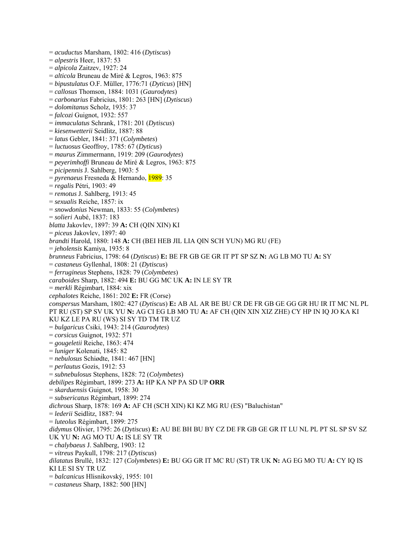= *acuductus* Marsham, 1802: 416 (*Dytiscus*) = *alpestris* Heer, 1837: 53 = *alpicola* Zaitzev, 1927: 24 = *alticola* Bruneau de Miré & Legros, 1963: 875 = *bipustulatus* O.F. Müller, 1776:71 (*Dyticus*) [HN] = *callosus* Thomson, 1884: 1031 (*Gaurodytes*) = *carbonarius* Fabricius, 1801: 263 [HN] (*Dytiscus*) = *dolomitanus* Scholz, 1935: 37 = *falcozi* Guignot, 1932: 557 = *immaculatus* Schrank, 1781: 201 (*Dytiscus*) = *kiesenwetterii* Seidlitz, 1887: 88 = *latus* Gebler, 1841: 371 (*Colymbetes*) = *luctuosus* Geoffroy, 1785: 67 (*Dyticus*) = *maurus* Zimmermann, 1919: 209 (*Gaurodytes*) = *peyerimhoffi* Bruneau de Miré & Legros, 1963: 875 = *picipennis* J. Sahlberg, 1903: 5 = *pyrenaeus* Fresneda & Hernando, 1989: 35 = *regalis* Pétri, 1903: 49 = *remotus* J. Sahlberg, 1913: 45 = *sexualis* Reiche, 1857: ix = *snowdonius* Newman, 1833: 55 (*Colymbetes*) = *solieri* Aubé, 1837: 183 *blatta* Jakovlev, 1897: 39 **A:** CH (QIN XIN) KI = *piceus* Jakovlev, 1897: 40 *brandti* Harold, 1880: 148 **A:** CH (BEI HEB JIL LIA QIN SCH YUN) MG RU (FE) = *jeholensis* Kamiya, 1935: 8 *brunneus* Fabricius, 1798: 64 (*Dytiscus*) **E:** BE FR GB GE GR IT PT SP SZ **N:** AG LB MO TU **A:** SY = *castaneus* Gyllenhal, 1808: 21 (*Dytiscus*) = *ferrugineus* Stephens, 1828: 79 (*Colymbetes*) *caraboides* Sharp, 1882: 494 **E:** BU GG MC UK **A:** IN LE SY TR = *merkli* Régimbart, 1884: xix *cephalotes* Reiche, 1861: 202 **E:** FR (Corse) *conspersus* Marsham, 1802: 427 (*Dytiscus*) **E:** AB AL AR BE BU CR DE FR GB GE GG GR HU IR IT MC NL PL PT RU (ST) SP SV UK YU **N:** AG CI EG LB MO TU **A:** AF CH (QIN XIN XIZ ZHE) CY HP IN IQ JO KA KI KU KZ LE PA RU (WS) SI SY TD TM TR UZ = *bulgaricus* Csiki, 1943: 214 (*Gaurodytes*) = *corsicus* Guignot, 1932: 571 = *gougeletii* Reiche, 1863: 474 = *luniger* Kolenati, 1845: 82 = *nebulosus* Schiødte, 1841: 467 [HN] = *perlautus* Gozis, 1912: 53 = *subnebulosus* Stephens, 1828: 72 (*Colymbetes*) *debilipes* Régimbart, 1899: 273 **A:** HP KA NP PA SD UP **ORR**  = *skarduensis* Guignot, 1958: 30 = *subsericatus* Régimbart, 1899: 274 *dichrous* Sharp, 1878: 169 **A:** AF CH (SCH XIN) KI KZ MG RU (ES) "Baluchistan" = *lederii* Seidlitz, 1887: 94 = *luteolus* Régimbart, 1899: 275 *didymus* Olivier, 1795: 26 (*Dytiscus*) **E:** AU BE BH BU BY CZ DE FR GB GE GR IT LU NL PL PT SL SP SV SZ UK YU **N:** AG MO TU **A:** IS LE SY TR = *chalybaeus* J. Sahlberg, 1903: 12 = *vitreus* Paykull, 1798: 217 (*Dytiscus*) *dilatatus* Brullé, 1832: 127 (*Colymbetes*) **E:** BU GG GR IT MC RU (ST) TR UK **N:** AG EG MO TU **A:** CY IQ IS KI LE SI SY TR UZ = *balcanicus* Hlisnikovský, 1955: 101 = *castaneus* Sharp, 1882: 500 [HN]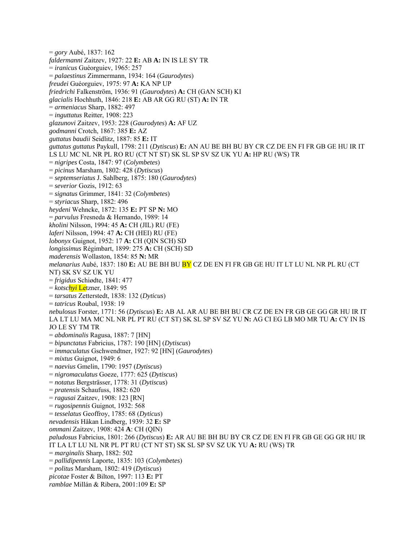= *gory* Aubé, 1837: 162 *faldermanni* Zaitzev, 1927: 22 **E:** AB **A:** IN IS LE SY TR = *iranicus* Guéorguiev, 1965: 257 = *palaestinus* Zimmermann, 1934: 164 (*Gaurodytes*) *freudei* Guéorguiev, 1975: 97 **A:** KA NP UP *friedrichi* Falkenström, 1936: 91 (*Gaurodytes*) **A:** CH (GAN SCH) KI *glacialis* Hochhuth, 1846: 218 **E:** AB AR GG RU (ST) **A:** IN TR = *armeniacus* Sharp, 1882: 497 = *inguttatus* Reitter, 1908: 223 *glazunovi* Zaitzev, 1953: 228 (*Gaurodytes*) **A:** AF UZ *godmanni* Crotch, 1867: 385 **E:** AZ *guttatus baudii* Seidlitz, 1887: 85 **E:** IT *guttatus guttatus* Paykull, 1798: 211 (*Dytiscus*) **E:** AN AU BE BH BU BY CR CZ DE EN FI FR GB GE HU IR IT LS LU MC NL NR PL RO RU (CT NT ST) SK SL SP SV SZ UK YU **A:** HP RU (WS) TR = *nigripes* Costa, 1847: 97 (*Colymbetes*) = *picinus* Marsham, 1802: 428 (*Dytiscus*) = *septemseriatus* J. Sahlberg, 1875: 180 (*Gaurodytes*) = *severior* Gozis, 1912: 63 = *signatus* Grimmer, 1841: 32 (*Colymbetes*) = *styriacus* Sharp, 1882: 496 *heydeni* Wehncke, 1872: 135 **E:** PT SP **N:** MO = *parvulus* Fresneda & Hernando, 1989: 14 *kholini* Nilsson, 1994: 45 **A:** CH (JIL) RU (FE) *laferi* Nilsson, 1994: 47 **A:** CH (HEI) RU (FE) *lobonyx* Guignot, 1952: 17 **A:** CH (QIN SCH) SD *longissimus* Régimbart, 1899: 275 **A:** CH (SCH) SD *maderensis* Wollaston, 1854: 85 **N:** MR *melanarius* Aubé, 1837: 180 **E:** AU BE BH BU BY CZ DE EN FI FR GB GE HU IT LT LU NL NR PL RU (CT NT) SK SV SZ UK YU = *frigidus* Schiødte, 1841: 477 = *kotschyi* Letzner, 1849: 95 = *tarsatus* Zetterstedt, 1838: 132 (*Dyticus*) = *tatricus* Roubal, 1938: 19 *nebulosus* Forster, 1771: 56 (*Dytiscus*) **E:** AB AL AR AU BE BH BU CR CZ DE EN FR GB GE GG GR HU IR IT LA LT LU MA MC NL NR PL PT RU (CT ST) SK SL SP SV SZ YU **N:** AG CI EG LB MO MR TU **A:** CY IN IS JO LE SY TM TR = *abdominalis* Ragusa, 1887: 7 [HN] = *bipunctatus* Fabricius, 1787: 190 [HN] (*Dytiscus*) = *immaculatus* Gschwendtner, 1927: 92 [HN] (*Gaurodytes*) = *mixtus* Guignot, 1949: 6 = *naevius* Gmelin, 1790: 1957 (*Dytiscus*) = *nigromaculatus* Goeze, 1777: 625 (*Dytiscus*) = *notatus* Bergsträsser, 1778: 31 (*Dytiscus*) = *pratensis* Schaufuss, 1882: 620 = *ragusai* Zaitzev, 1908: 123 [RN] = *rugosipennis* Guignot, 1932: 568 = *tesselatus* Geoffroy, 1785: 68 (*Dyticus*) *nevadensis* Håkan Lindberg, 1939: 32 **E:** SP *ommani* Zaitzev, 1908: 424 **A**: CH (QIN) *paludosus* Fabricius, 1801: 266 (*Dytiscus*) **E:** AR AU BE BH BU BY CR CZ DE EN FI FR GB GE GG GR HU IR IT LA LT LU NL NR PL PT RU (CT NT ST) SK SL SP SV SZ UK YU **A:** RU (WS) TR = *marginalis* Sharp, 1882: 502 = *pallidipennis* Laporte, 1835: 103 (*Colymbetes*) = *politus* Marsham, 1802: 419 (*Dytiscus*) *picotae* Foster & Bilton, 1997: 113 **E:** PT *ramblae* Millán & Ribera, 2001:109 **E:** SP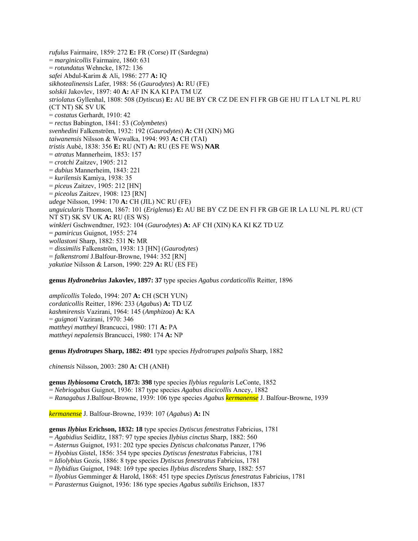*rufulus* Fairmaire, 1859: 272 **E:** FR (Corse) IT (Sardegna) = *marginicollis* Fairmaire, 1860: 631 = *rotundatus* Wehncke, 1872: 136 *safei* Abdul-Karim & Ali, 1986: 277 **A:** IQ *sikhotealinensis* Lafer, 1988: 56 (*Gaurodytes*) **A:** RU (FE) *solskii* Jakovlev, 1897: 40 **A:** AF IN KA KI PA TM UZ *striolatus* Gyllenhal, 1808: 508 (*Dytiscus*) **E:** AU BE BY CR CZ DE EN FI FR GB GE HU IT LA LT NL PL RU (CT NT) SK SV UK = *costatus* Gerhardt, 1910: 42 = *rectus* Babington, 1841: 53 (*Colymbetes*) *svenhedini* Falkenström, 1932: 192 (*Gaurodytes*) **A:** CH (XIN) MG *taiwanensis* Nilsson & Wewalka, 1994: 993 **A:** CH (TAI) *tristis* Aubé, 1838: 356 **E:** RU (NT) **A:** RU (ES FE WS) **NAR**  = *atratus* Mannerheim, 1853: 157 = *crotchi* Zaitzev, 1905: 212 = *dubius* Mannerheim, 1843: 221 = *kurilensis* Kamiya, 1938: 35 = *piceu*s Zaitzev, 1905: 212 [HN] = *piceolus* Zaitzev, 1908: 123 [RN] *udege* Nilsson, 1994: 170 **A:** CH (JIL) NC RU (FE) *unguicularis* Thomson, 1867: 101 (*Eriglenus*) **E:** AU BE BY CZ DE EN FI FR GB GE IR LA LU NL PL RU (CT NT ST) SK SV UK **A:** RU (ES WS) *winkleri* Gschwendtner, 1923: 104 (*Gaurodytes*) **A:** AF CH (XIN) KA KI KZ TD UZ = *pamiricus* Guignot, 1955: 274 *wollastoni* Sharp, 1882: 531 **N:** MR = *dissimilis* Falkenström, 1938: 13 [HN] (*Gaurodytes*) = *falkenstromi* J.Balfour-Browne, 1944: 352 [RN] *yakutiae* Nilsson & Larson, 1990: 229 **A:** RU (ES FE)

#### **genus** *Hydronebrius* **Jakovlev, 1897: 37** type species *Agabus cordaticollis* Reitter, 1896

*amplicollis* Toledo, 1994: 207 **A:** CH (SCH YUN) *cordaticollis* Reitter, 1896: 233 (*Agabus*) **A:** TD UZ *kashmirensis* Vazirani, 1964: 145 (*Amphizoa*) **A:** KA = *guignoti* Vazirani, 1970: 346 *mattheyi mattheyi* Brancucci, 1980: 171 **A:** PA *mattheyi nepalensis* Brancucci, 1980: 174 **A:** NP

**genus** *Hydrotrupes* **Sharp, 1882: 491** type species *Hydrotrupes palpalis* Sharp, 1882

*chinensis* Nilsson, 2003: 280 **A:** CH (ANH)

**genus** *Ilybiosoma* **Crotch, 1873: 398** type species *Ilybius regularis* LeConte, 1852

= *Nebriogabus* Guignot, 1936: 187 type species *Agabus discicollis* Ancey, 1882

= *Ranagabus* J.Balfour-Browne, 1939: 106 type species *Agabus kermanense* J. Balfour-Browne, 1939

*kermanense* J. Balfour-Browne, 1939: 107 (*Agabus*) **A:** IN

**genus** *Ilybius* **Erichson, 1832: 18** type species *Dytiscus fenestratus* Fabricius, 1781

= *Agabidius* Seidlitz, 1887: 97 type species *Ilybius cinctus* Sharp, 1882: 560

= *Asternus* Guignot, 1931: 202 type species *Dytiscus chalconatus* Panzer, 1796

= *Hyobius* Gistel, 1856: 354 type species *Dytiscus fenestratus* Fabricius, 1781

= *Idiolybius* Gozis, 1886: 8 type species *Dytiscus fenestratus* Fabricius, 1781

= *Ilybidius* Guignot, 1948: 169 type species *Ilybius discedens* Sharp, 1882: 557

= *Ilyobius* Gemminger & Harold, 1868: 451 type species *Dytiscus fenestratus* Fabricius, 1781

= *Parasternus* Guignot, 1936: 186 type species *Agabus subtilis* Erichson, 1837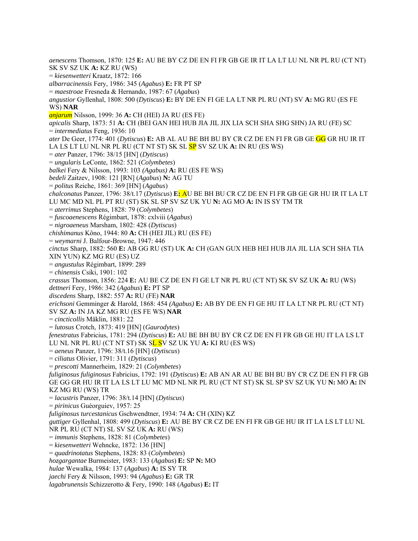*aenescens* Thomson, 1870: 125 **E:** AU BE BY CZ DE EN FI FR GB GE IR IT LA LT LU NL NR PL RU (CT NT) SK SV SZ UK **A:** KZ RU (WS) = *kiesenwetteri* Kraatz, 1872: 166 *albarracinensis* Fery, 1986: 345 (*Agabus*) **E:** FR PT SP = *maestroae* Fresneda & Hernando, 1987: 67 (*Agabus*) *angustior* Gyllenhal, 1808: 500 (*Dytiscus*) **E:** BY DE EN FI GE LA LT NR PL RU (NT) SV **A:** MG RU (ES FE WS) **NAR**  *anjarum* Nilsson, 1999: 36 **A:** CH (HEI) JA RU (ES FE) *apicalis* Sharp, 1873: 51 **A:** CH (BEI GAN HEI HUB JIA JIL JIX LIA SCH SHA SHG SHN) JA RU (FE) SC = *intermediatus* Feng, 1936: 10 *ater* De Geer, 1774: 401 (*Dytiscus*) **E:** AB AL AU BE BH BU BY CR CZ DE EN FI FR GB GE GG GR HU IR IT LA LS LT LU NL NR PL RU (CT NT ST) SK SL SP SV SZ UK **A:** IN RU (ES WS) = *ater* Panzer, 1796: 38/15 [HN] (*Dytiscus*) = *ungularis* LeConte, 1862: 521 (*Colymbetes*) *balkei* Fery & Nilsson, 1993: 103 *(Agabus)* **A:** RU (ES FE WS) *bedeli* Zaitzev, 1908: 121 [RN] (*Agabus*) **N:** AG TU = *politus* Reiche, 1861: 369 [HN] (*Agabus*) *chalconatus* Panzer, 1796: 38/t.17 (*Dytiscus*) **E:** AU BE BH BU CR CZ DE EN FI FR GB GE GR HU IR IT LA LT LU MC MD NL PL PT RU (ST) SK SL SP SV SZ UK YU **N:** AG MO **A:** IN IS SY TM TR = *aterrimus* Stephens, 1828: 79 (*Colymbetes*) = *fuscoaenescens* Régimbart, 1878: cxlviii (*Agabus*) = *nigroaeneus* Marsham, 1802: 428 (*Dytiscus*) *chishimanus* Kôno, 1944: 80 **A:** CH (HEI JIL) RU (ES FE) = *weymarni* J. Balfour-Browne, 1947: 446 *cinctus* Sharp, 1882: 560 **E:** AB GG RU (ST) UK **A:** CH (GAN GUX HEB HEI HUB JIA JIL LIA SCH SHA TIA XIN YUN) KZ MG RU (ES) UZ = *angustulus* Régimbart, 1899: 289 = *chinensis* Csiki, 1901: 102 *crassus* Thomson, 1856: 224 **E:** AU BE CZ DE EN FI GE LT NR PL RU (CT NT) SK SV SZ UK **A:** RU (WS) *dettneri* Fery, 1986: 342 (*Agabus*) **E:** PT SP *discedens* Sharp, 1882: 557 **A:** RU (FE) **NAR**  *erichsoni* Gemminger & Harold, 1868: 454 *(Agabus)* **E:** AB BY DE EN FI GE HU IT LA LT NR PL RU (CT NT) SV SZ **A:** IN JA KZ MG RU (ES FE WS) **NAR**  = *cincticollis* Mäklin, 1881: 22 = *lutosus* Crotch, 1873: 419 [HN] (*Gaurodytes*) *fenestratus* Fabricius, 1781: 294 (*Dytiscus*) **E:** AU BE BH BU BY CR CZ DE EN FI FR GB GE HU IT LA LS LT LU NL NR PL RU (CT NT ST) SK SL SV SZ UK YU **A:** KI RU (ES WS) = *aeneus* Panzer, 1796: 38/t.16 [HN] (*Dytiscus*) = *ciliatus* Olivier, 1791: 311 (*Dytiscus*) = *prescotti* Mannerheim, 1829: 21 (*Colymbetes*) *fuliginosus fuliginosus* Fabricius, 1792: 191 (*Dytiscus*) **E:** AB AN AR AU BE BH BU BY CR CZ DE EN FI FR GB GE GG GR HU IR IT LA LS LT LU MC MD NL NR PL RU (CT NT ST) SK SL SP SV SZ UK YU **N:** MO **A:** IN KZ MG RU (WS) TR = *lacustris* Panzer, 1796: 38/t.14 [HN] (*Dytiscus*) = *pirinicus* Guéorguiev, 1957: 25 *fuliginosus turcestanicus* Gschwendtner, 1934: 74 **A:** CH (XIN) KZ *guttiger* Gyllenhal, 1808: 499 (*Dytiscus*) **E:** AU BE BY CR CZ DE EN FI FR GB GE HU IR IT LA LS LT LU NL NR PL RU (CT NT) SL SV SZ UK **A:** RU (WS) = *immunis* Stephens, 1828: 81 (*Colymbetes*) = *kiesenwetteri* Wehncke, 1872: 136 [HN] = *quadrinotatus* Stephens, 1828: 83 (*Colymbetes*) *hozgargantae* Burmeister, 1983: 133 (*Agabus*) **E:** SP **N:** MO *hulae* Wewalka, 1984: 137 (*Agabus*) **A:** IS SY TR *jaechi* Fery & Nilsson, 1993: 94 (*Agabus*) **E:** GR TR *lagabrunensis* Schizzerotto & Fery, 1990: 148 (*Agabus*) **E:** IT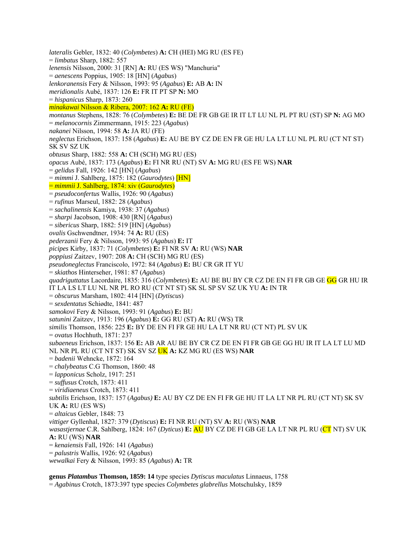*lateralis* Gebler, 1832: 40 (*Colymbetes*) **A:** CH (HEI) MG RU (ES FE) = *limbatus* Sharp, 1882: 557 *lenensis* Nilsson, 2000: 31 [RN] **A:** RU (ES WS) "Manchuria" = *aenescens* Poppius, 1905: 18 [HN] (*Agabus*) *lenkoranensis* Fery & Nilsson, 1993: 95 (*Agabus*) **E:** AB **A:** IN *meridionalis* Aubé, 1837: 126 **E:** FR IT PT SP **N:** MO = *hispanicus* Sharp, 1873: 260 *minakawai* Nilsson & Ribera, 2007: 162 **A:** RU (FE) *montanus* Stephens, 1828: 76 (*Colymbetes*) **E:** BE DE FR GB GE IR IT LT LU NL PL PT RU (ST) SP **N:** AG MO = *melanocornis* Zimmermann, 1915: 223 (*Agabus*) *nakanei* Nilsson, 1994: 58 **A:** JA RU (FE) *neglectus* Erichson, 1837: 158 (*Agabus*) **E:** AU BE BY CZ DE EN FR GE HU LA LT LU NL PL RU (CT NT ST) SK SV SZ UK *obtusus* Sharp, 1882: 558 **A:** CH (SCH) MG RU (ES) *opacus* Aubé, 1837: 173 (*Agabus*) **E:** FI NR RU (NT) SV **A:** MG RU (ES FE WS) **NAR** = *gelidus* Fall, 1926: 142 [HN] (*Agabus*) = *mimmi* J. Sahlberg, 1875: 182 (*Gaurodytes*) [HN] = *mimmii* J. Sahlberg, 1874: xiv (*Gaurodytes*) = *pseudoconfertus* Wallis, 1926: 90 (*Agabus*) = *rufinus* Marseul, 1882: 28 (*Agabus*) = *sachalinensis* Kamiya, 1938: 37 (*Agabus*) = *sharpi* Jacobson, 1908: 430 [RN] (*Agabus*) = *sibericus* Sharp, 1882: 519 [HN] (*Agabus*) *ovalis* Gschwendtner, 1934: 74 **A:** RU (ES) *pederzanii* Fery & Nilsson, 1993: 95 (*Agabus*) **E:** IT *picipes* Kirby, 1837: 71 (*Colymbetes*) **E:** FI NR SV **A:** RU (WS) **NAR**  *poppiusi* Zaitzev, 1907: 208 **A:** CH (SCH) MG RU (ES) *pseudoneglectus* Franciscolo, 1972: 84 (*Agabus*) **E:** BU CR GR IT YU = *skiathos* Hinterseher, 1981: 87 (*Agabus*) *quadriguttatus* Lacordaire, 1835: 316 (*Colymbetes*) **E:** AU BE BU BY CR CZ DE EN FI FR GB GE GG GR HU IR IT LA LS LT LU NL NR PL RO RU (CT NT ST) SK SL SP SV SZ UK YU **A:** IN TR = *obscurus* Marsham, 1802: 414 [HN] (*Dytiscus*) = *sexdentatus* Schiødte, 1841: 487 *samokovi* Fery & Nilsson, 1993: 91 (*Agabus*) **E:** BU *satunini* Zaitzev, 1913: 196 (*Agabus*) **E:** GG RU (ST) **A:** RU (WS) TR *similis* Thomson, 1856: 225 **E:** BY DE EN FI FR GE HU LA LT NR RU (CT NT) PL SV UK = *ovatus* Hochhuth, 1871: 237 *subaeneus* Erichson, 1837: 156 **E:** AB AR AU BE BY CR CZ DE EN FI FR GB GE GG HU IR IT LA LT LU MD NL NR PL RU (CT NT ST) SK SV SZ UK **A:** KZ MG RU (ES WS) **NAR**  = *badenii* Wehncke, 1872: 164 = *chalybeatus* C.G Thomson, 1860: 48 = *lapponicus* Scholz, 1917: 251 = *suffusus* Crotch, 1873: 411 = *viridiaeneus* Crotch, 1873: 411 *subtilis* Erichson, 1837: 157 (*Agabus)* **E:** AU BY CZ DE EN FI FR GE HU IT LA LT NR PL RU (CT NT) SK SV UK **A:** RU (ES WS) = *altaicus* Gebler, 1848: 73 *vittiger* Gyllenhal, 1827: 379 (*Dytiscus*) **E:** FI NR RU (NT) SV **A:** RU (WS) **NAR**  *wasastjernae* C.R. Sahlberg, 1824: 167 (*Dyticus*) **E:** AU BY CZ DE FI GB GE LA LT NR PL RU (CT NT) SV UK **A:** RU (WS) **NAR**  = *kenaiensis* Fall, 1926: 141 (*Agabus*) = *palustris* Wallis, 1926: 92 (*Agabus*) *wewalkai* Fery & Nilsson, 1993: 85 (*Agabus*) **A:** TR

**genus** *Platambus* **Thomson, 1859: 14** type species *Dytiscus maculatus* Linnaeus, 1758 = *Agabinus* Crotch, 1873:397 type species *Colymbetes glabrellus* Motschulsky, 1859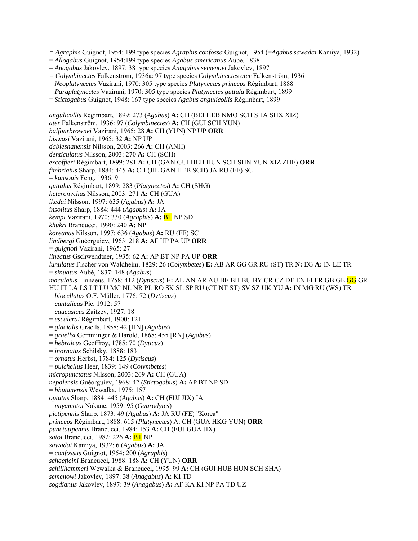*= Agraphis* Guignot, 1954: 199 type species *Agraphis confossa* Guignot, 1954 (=*Agabus sawadai* Kamiya, 1932)

- = *Allogabus* Guignot, 1954:199 type species *Agabus americanus* Aubé, 1838
- = *Anagabus* Jakovlev, 1897: 38 type species *Anagabus semenovi* Jakovlev, 1897
- *= Colymbinectes* Falkenström, 1936a: 97 type species *Colymbinectes ater* Falkenström, 1936
- = *Neoplatynectes* Vazirani, 1970: 305 type species *Platynectes princeps* Régimbart, 1888
- = *Paraplatynectes* Vazirani, 1970: 305 type species *Platynectes guttula* Régimbart, 1899
- = *Stictogabus* Guignot, 1948: 167 type species *Agabus angulicollis* Régimbart, 1899

*angulicollis* Régimbart, 1899: 273 (*Agabus*) **A:** CH (BEI HEB NMO SCH SHA SHX XIZ) *ater* Falkenström, 1936: 97 (*Colymbinectes*) **A:** CH (GUI SCH YUN) *balfourbrownei* Vazirani, 1965: 28 **A:** CH (YUN) NP UP **ORR**  *biswasi* Vazirani, 1965: 32 **A:** NP UP *dabieshanensis* Nilsson, 2003: 266 **A:** CH (ANH) *denticulatus* Nilsson, 2003: 270 **A:** CH (SCH) *excoffieri* Régimbart, 1899: 281 **A:** CH (GAN GUI HEB HUN SCH SHN YUN XIZ ZHE) **ORR**  *fimbriatus* Sharp, 1884: 445 **A:** CH (JIL GAN HEB SCH) JA RU (FE) SC = *kansouis* Feng, 1936: 9 *guttulus* Régimbart, 1899: 283 (*Platynectes*) **A:** CH (SHG) *heteronychus* Nilsson, 2003: 271 **A:** CH (GUA) *ikedai* Nilsson, 1997: 635 (*Agabus*) **A:** JA *insolitus* Sharp, 1884: 444 (*Agabus*) **A:** JA *kempi* Vazirani, 1970: 330 (*Agraphis*) **A:** BT NP SD *khukri* Brancucci, 1990: 240 **A:** NP *koreanus* Nilsson, 1997: 636 (*Agabus*) **A:** RU (FE) SC *lindbergi* Guéorguiev, 1963: 218 **A:** AF HP PA UP **ORR**  = *guignoti* Vazirani, 1965: 27 *lineatus* Gschwendtner, 1935: 62 **A:** AP BT NP PA UP **ORR** *lunulatus* Fischer von Waldheim, 1829: 26 (*Colymbetes*) **E:** AB AR GG GR RU (ST) TR **N:** EG **A:** IN LE TR = *sinuatus* Aubé, 1837: 148 (*Agabus*) *maculatus* Linnaeus, 1758: 412 (*Dytiscus*) **E:** AL AN AR AU BE BH BU BY CR CZ DE EN FI FR GB GE GG GR HU IT LA LS LT LU MC NL NR PL RO SK SL SP RU (CT NT ST) SV SZ UK YU **A:** IN MG RU (WS) TR = *biocellatus* O.F. Müller, 1776: 72 (*Dytiscus*) = *cantalicus* Pic, 1912: 57 = *caucasicus* Zaitzev, 1927: 18 = *escalerai* Régimbart, 1900: 121 = *glacialis* Graells, 1858: 42 [HN] (*Agabus*) = *graellsi* Gemminger & Harold, 1868: 455 [RN] (*Agabus*) = *hebraicus* Geoffroy, 1785: 70 (*Dyticus*) = *inornatus* Schilsky, 1888: 183 = *ornatus* Herbst, 1784: 125 (*Dytiscus*) = *pulchellus* Heer, 1839: 149 (*Colymbetes*) *micropunctatus* Nilsson, 2003: 269 **A:** CH (GUA) *nepalensis* Guéorguiev, 1968: 42 (*Stictogabus*) **A:** AP BT NP SD = *bhutanensis* Wewalka, 1975: 157 *optatus* Sharp, 1884: 445 (*Agabus*) **A:** CH (FUJ JIX) JA = *miyamotoi* Nakane, 1959: 95 (*Gaurodytes*) *pictipennis* Sharp, 1873: 49 (*Agabus*) **A:** JA RU (FE) "Korea" *princeps* Régimbart, 1888: 615 (*Platynectes*) A: CH (GUA HKG YUN) **ORR**  *punctatipennis* Brancucci, 1984: 153 **A:** CH (FUJ GUA JIX) *satoi* Brancucci, 1982: 226 **A:** BT NP *sawadai* Kamiya, 1932: 6 (*Agabus*) **A:** JA = *confossus* Guignot, 1954: 200 (*Agraphis*) *schaefleini* Brancucci, 1988: 188 **A:** CH (YUN) **ORR**  *schillhammeri* Wewalka & Brancucci, 1995: 99 **A:** CH (GUI HUB HUN SCH SHA) *semenowi* Jakovlev, 1897: 38 (*Anagabus*) **A:** KI TD *sogdianus* Jakovlev, 1897: 39 (*Anagabus*) **A:** AF KA KI NP PA TD UZ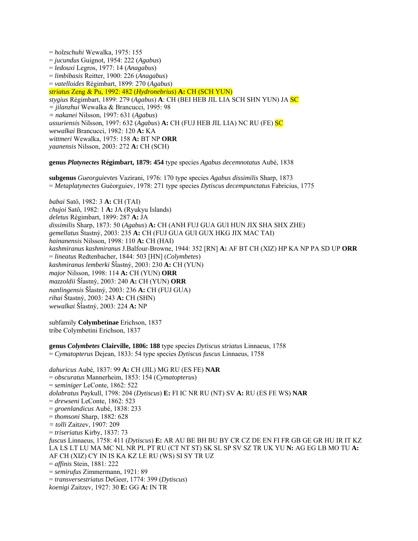= *holzschuhi* Wewalka, 1975: 155 = *jucundus* Guignot, 1954: 222 (*Agabus*) = *ledouxi* Legros, 1977: 14 (*Anagabus*) = *limbibasis* Reitter, 1900: 226 (*Anagabus*) = *vatelloides* Régimbart, 1899: 270 (*Agabus*) *striatus* Zeng & Pu, 1992: 482 (*Hydronebrius*) **A:** CH (SCH YUN) *stygius* Régimbart, 1899: 279 (*Agabus*) **A**: CH (BEI HEB JIL LIA SCH SHN YUN) JA SC *= jilanzhui* Wewalka & Brancucci, 1995: 98 *= nakanei* Nilsson, 1997: 631 (*Agabus*) *ussuriensis* Nilsson, 1997: 632 (*Agabus*) **A:** CH (FUJ HEB JIL LIA) NC RU (FE) SC *wewalkai* Brancucci, 1982: 120 **A:** KA *wittmeri* Wewalka, 1975: 158 **A:** BT NP **ORR**  *yaanensis* Nilsson, 2003: 272 **A:** CH (SCH)

**genus** *Platynectes* **Régimbart, 1879: 454** type species *Agabus decemnotatus* Aubé, 1838

**subgenus** *Gueorguievtes* Vazirani, 1976: 170 type species *Agabus dissimilis* Sharp, 1873 = *Metaplatynectes* Guéorguiev, 1978: 271 type species *Dytiscus decempunctatus* Fabricius, 1775

*babai* Satô, 1982: 3 **A:** CH (TAI) *chujoi* Satô, 1982: 1 **A:** JA (Ryukyu Islands) *deletus* Régimbart, 1899: 287 **A:** JA *dissimilis* Sharp, 1873: 50 (*Agabus*) **A:** CH (ANH FUJ GUA GUI HUN JIX SHA SHX ZHE) *gemellatus* Štastný, 2003: 235 **A:** CH (FUJ GUA GUI GUX HKG JIX MAC TAI) *hainanensis* Nilsson, 1998: 110 **A:** CH (HAI) *kashmiranus kashmiranus* J.Balfour-Browne, 1944: 352 [RN] **A:** AF BT CH (XIZ) HP KA NP PA SD UP **ORR** = *lineatus* Redtenbacher, 1844: 503 [HN] (*Colymbetes*) *kashmiranus lemberki* ŠÄastný, 2003: 230 **A:** CH (YUN) *major* Nilsson, 1998: 114 **A:** CH (YUN) **ORR**  *mazzoldii* ŠÄastný, 2003: 240 **A:** CH (YUN) **ORR** *nanlingensis* ŠÄastný, 2003: 236 **A:** CH (FUJ GUA) *rihai* Štastný, 2003: 243 **A:** CH (SHN) *wewalkai* ŠÄastný, 2003: 224 **A:** NP

subfamily **Colymbetinae** Erichson, 1837 tribe Colymbetini Erichson, 1837

**genus** *Colymbetes* **Clairville, 1806: 188** type species *Dytiscus striatus* Linnaeus, 1758 = *Cymatopterus* Dejean, 1833: 54 type species *Dytiscus fuscus* Linnaeus, 1758

*dahuricus* Aubé, 1837: 99 **A:** CH (JIL) MG RU (ES FE) **NAR** = *obscuratus* Mannerheim, 1853: 154 (*Cymatopteru*s) = *seminiger* LeConte, 1862: 522 *dolabratus* Paykull, 1798: 204 (*Dytiscus*) **E:** FI IC NR RU (NT) SV **A:** RU (ES FE WS) **NAR**  = *drewseni* LeConte, 1862: 523 = *groenlandicus* Aubé, 1838: 233 = *thomsoni* Sharp, 1882: 628 *= tolli* Zaitzev, 1907: 209 = *triseriatus* Kirby, 1837: 73 *fuscus* Linnaeus, 1758: 411 (*Dytiscus*) **E:** AR AU BE BH BU BY CR CZ DE EN FI FR GB GE GR HU IR IT KZ LA LS LT LU MA MC NL NR PL PT RU (CT NT ST) SK SL SP SV SZ TR UK YU **N:** AG EG LB MO TU **A:**  AF CH (XIZ) CY IN IS KA KZ LE RU (WS) SI SY TR UZ = *affinis* Stein, 1881: 222 = *semirufus* Zimmermann, 1921: 89 = *transversestriatus* DeGeer, 1774: 399 (*Dytiscus*) *koenigi* Zaitzev, 1927: 30 **E:** GG **A:** IN TR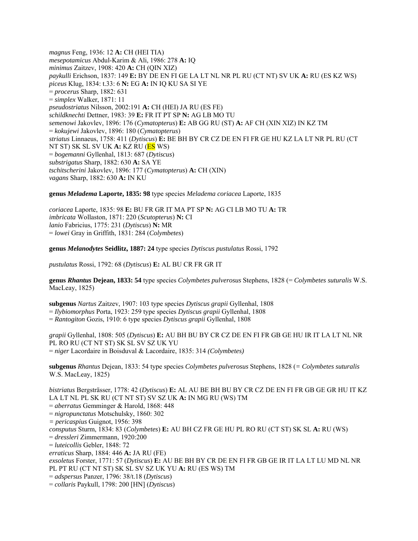*magnus* Feng, 1936: 12 **A:** CH (HEI TIA) *mesepotamicus* Abdul-Karim & Ali, 1986: 278 **A:** IQ *minimus* Zaitzev, 1908: 420 **A:** CH (QIN XIZ) *paykulli* Erichson, 1837: 149 **E:** BY DE EN FI GE LA LT NL NR PL RU (CT NT) SV UK **A:** RU (ES KZ WS) *piceus* Klug, 1834: t.33: 6 **N:** EG **A:** IN IQ KU SA SI YE = *procerus* Sharp, 1882: 631 = *simplex* Walker, 1871: 11 *pseudostriatus* Nilsson, 2002:191 **A:** CH (HEI) JA RU (ES FE) *schildknechti* Dettner, 1983: 39 **E:** FR IT PT SP **N:** AG LB MO TU *semenowi* Jakovlev, 1896: 176 (*Cymatopterus*) **E:** AB GG RU (ST) **A:** AF CH (XIN XIZ) IN KZ TM = *kokujewi* Jakovlev, 1896: 180 (*Cymatopterus*) *striatus* Linnaeus, 1758: 411 (*Dytiscus*) **E:** BE BH BY CR CZ DE EN FI FR GE HU KZ LA LT NR PL RU (CT NT ST) SK SL SV UK **A:** KZ RU (ES WS) = *bogemanni* Gyllenhal, 1813: 687 (*Dytiscus*) *substrigatus* Sharp, 1882: 630 **A:** SA YE *tschitscherini* Jakovlev, 1896: 177 (*Cymatopterus*) **A:** CH (XIN) *vagans* Sharp, 1882: 630 **A:** IN KU

**genus** *Meladema* **Laporte, 1835: 98** type species *Meladema coriacea* Laporte, 1835

*coriacea* Laporte, 1835: 98 **E:** BU FR GR IT MA PT SP **N:** AG CI LB MO TU **A:** TR *imbricata* Wollaston, 1871: 220 (*Scutopterus*) **N:** CI *lanio* Fabricius, 1775: 231 (*Dytiscus*) **N:** MR = *lowei* Gray in Griffith, 1831: 284 (*Colymbetes*)

**genus** *Melanodytes* **Seidlitz, 1887: 24** type species *Dytiscus pustulatus* Rossi, 1792

*pustulatus* Rossi, 1792: 68 (*Dytiscus*) **E:** AL BU CR FR GR IT

**genus** *Rhantus* **Dejean, 1833: 54** type species *Colymbetes pulverosus* Stephens, 1828 (= *Colymbetes suturalis* W.S. MacLeay, 1825)

**subgenus** *Nartus* Zaitzev, 1907: 103 type species *Dytiscus grapii* Gyllenhal, 1808 = *Ilybiomorphus* Porta, 1923: 259 type species *Dytiscus grapii* Gyllenhal, 1808 = *Rantogiton* Gozis, 1910: 6 type species *Dytiscus grapii* Gyllenhal, 1808

*grapii* Gyllenhal, 1808: 505 (*Dytiscus*) **E:** AU BH BU BY CR CZ DE EN FI FR GB GE HU IR IT LA LT NL NR PL RO RU (CT NT ST) SK SL SV SZ UK YU = *niger* Lacordaire in Boisduval & Lacordaire, 1835: 314 *(Colymbetes)* 

**subgenus** *Rhantus* Dejean, 1833: 54 type species *Colymbetes pulverosus* Stephens, 1828 (*= Colymbetes suturalis* W.S. MacLeay, 1825)

*bistriatus* Bergsträsser, 1778: 42 (*Dytiscus*) **E:** AL AU BE BH BU BY CR CZ DE EN FI FR GB GE GR HU IT KZ LA LT NL PL SK RU (CT NT ST) SV SZ UK **A:** IN MG RU (WS) TM

= *aberratus* Gemminger & Harold, 1868: 448

= *nigropunctatus* Motschulsky, 1860: 302

*= pericaspius* Guignot, 1956: 398

*consputus* Sturm, 1834: 83 (*Colymbetes*) **E:** AU BH CZ FR GE HU PL RO RU (CT ST) SK SL **A:** RU (WS)

= *dressleri* Zimmermann, 1920:200

= *luteicollis* Gebler, 1848: 72

*erraticus* Sharp, 1884: 446 **A:** JA RU (FE)

*exsoletus* Forster, 1771: 57 (*Dytiscus*) **E:** AU BE BH BY CR DE EN FI FR GB GE IR IT LA LT LU MD NL NR PL PT RU (CT NT ST) SK SL SV SZ UK YU **A:** RU (ES WS) TM

= *adspersus* Panzer, 1796: 38/t.18 (*Dytiscus*)

= *collaris* Paykull, 1798: 200 [HN] (*Dytiscus*)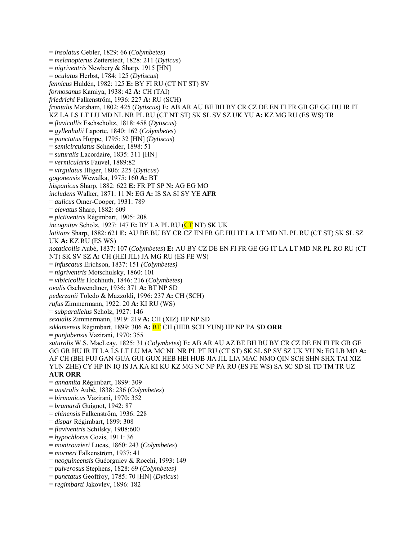= *insolatus* Gebler, 1829: 66 (*Colymbetes*) = *melanopterus* Zetterstedt, 1828: 211 (*Dyticus*) = *nigriventris* Newbery & Sharp, 1915 [HN] = *oculatus* Herbst, 1784: 125 (*Dytiscus*) *fennicus* Huldén, 1982: 125 **E:** BY FI RU (CT NT ST) SV *formosanus* Kamiya, 1938: 42 **A:** CH (TAI) *friedrichi* Falkenström, 1936: 227 **A:** RU (SCH) *frontalis* Marsham, 1802: 425 (*Dytiscus*) **E:** AB AR AU BE BH BY CR CZ DE EN FI FR GB GE GG HU IR IT KZ LA LS LT LU MD NL NR PL RU (CT NT ST) SK SL SV SZ UK YU **A:** KZ MG RU (ES WS) TR = *flavicollis* Eschscholtz, 1818: 458 (*Dytiscus*) = *gyllenhalii* Laporte, 1840: 162 (*Colymbetes*) = *punctatus* Hoppe, 1795: 32 [HN] (*Dytiscus*) = *semicirculatus* Schneider, 1898: 51 = *suturalis* Lacordaire, 1835: 311 [HN] = *vermicularis* Fauvel, 1889:82 = *virgulatus* Illiger, 1806: 225 (*Dyticus*) *gogonensis* Wewalka, 1975: 160 **A:** BT *hispanicus* Sharp, 1882: 622 **E:** FR PT SP **N:** AG EG MO *includens* Walker, 1871: 11 **N:** EG **A:** IS SA SI SY YE **AFR**  = *aulicus* Omer-Cooper, 1931: 789 = *elevatus* Sharp, 1882: 609 = *pictiventris* Régimbart, 1905: 208 *incognitus* Scholz, 1927: 147 **E:** BY LA PL RU (CT NT) SK UK *latitans* Sharp, 1882: 621 **E:** AU BE BU BY CR CZ EN FR GE HU IT LA LT MD NL PL RU (CT ST) SK SL SZ UK **A:** KZ RU (ES WS) *notaticollis* Aubé, 1837: 107 (*Colymbetes*) **E:** AU BY CZ DE EN FI FR GE GG IT LA LT MD NR PL RO RU (CT NT) SK SV SZ **A:** CH (HEI JIL) JA MG RU (ES FE WS) = *infuscatus* Erichson, 1837: 151 *(Colymbetes)*  = *nigriventris* Motschulsky, 1860: 101 = *vibicicollis* Hochhuth, 1846: 216 (*Colymbetes*) *ovalis* Gschwendtner, 1936: 371 **A:** BT NP SD *pederzanii* Toledo & Mazzoldi, 1996: 237 **A:** CH (SCH) *rufus* Zimmermann, 1922: 20 **A:** KI RU (WS) = *subparallelus* Scholz, 1927: 146 *sexualis* Zimmermann, 1919: 219 **A:** CH (XIZ) HP NP SD *sikkimensis* Régimbart, 1899: 306 **A:** BT CH (HEB SCH YUN) HP NP PA SD **ORR**  = *punjabensis* Vazirani, 1970: 355 *suturalis* W.S. MacLeay, 1825: 31 (*Colymbetes*) **E:** AB AR AU AZ BE BH BU BY CR CZ DE EN FI FR GB GE GG GR HU IR IT LA LS LT LU MA MC NL NR PL PT RU (CT ST) SK SL SP SV SZ UK YU **N:** EG LB MO **A:** AF CH (BEI FUJ GAN GUA GUI GUX HEB HEI HUB JIA JIL LIA MAC NMO QIN SCH SHN SHX TAI XIZ YUN ZHE) CY HP IN IQ IS JA KA KI KU KZ MG NC NP PA RU (ES FE WS) SA SC SD SI TD TM TR UZ **AUR ORR**  = *annamita* Régimbart, 1899: 309 = *australis* Aubé, 1838: 236 (*Colymbetes*) = *birmanicus* Vazirani, 1970: 352 = *bramardi* Guignot, 1942: 87 = *chinensis* Falkenström, 1936: 228 = *dispar* Régimbart, 1899: 308 = *flaviventris* Schilsky, 1908:600 = *hypochlorus* Gozis, 1911: 36 = *montrouzieri* Lucas, 1860: 243 (*Colymbetes*) = *morneri* Falkenström, 1937: 41

- = *neoguineensis* Guéorguiev & Rocchi, 1993: 149
- = *pulverosus* Stephens, 1828: 69 (*Colymbetes)*
- = *punctatus* Geoffroy, 1785: 70 [HN] (*Dyticus*)
- = *regimbarti* Jakovlev, 1896: 182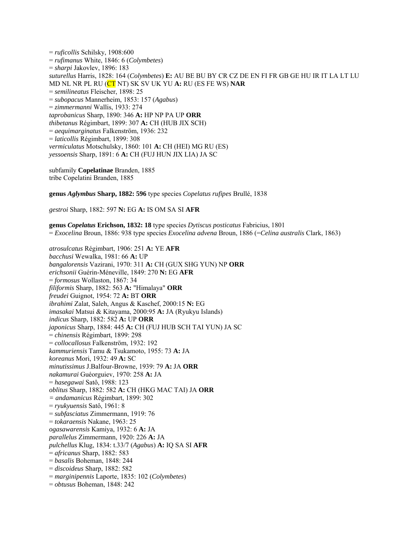= *ruficollis* Schilsky, 1908:600 = *rufimanus* White, 1846: 6 (*Colymbetes*) = *sharpi* Jakovlev, 1896: 183 *suturellus* Harris, 1828: 164 (*Colymbetes*) **E:** AU BE BU BY CR CZ DE EN FI FR GB GE HU IR IT LA LT LU MD NL NR PL RU (CT NT) SK SV UK YU **A:** RU (ES FE WS) **NAR**  = *semilineatus* Fleischer, 1898: 25 = *subopacus* Mannerheim, 1853: 157 (*Agabus*) = *zimmermanni* Wallis, 1933: 274 *taprobanicus* Sharp, 1890: 346 **A:** HP NP PA UP **ORR**  *thibetanus* Régimbart, 1899: 307 **A:** CH (HUB JIX SCH) = *aequimarginatus* Falkenström, 1936: 232 = *laticollis* Régimbart, 1899: 308 *vermiculatus* Motschulsky, 1860: 101 **A:** CH (HEI) MG RU (ES) *yessoensis* Sharp, 1891: 6 **A:** CH (FUJ HUN JIX LIA) JA SC

subfamily **Copelatinae** Branden, 1885 tribe Copelatini Branden, 1885

**genus** *Aglymbus* **Sharp, 1882: 596** type species *Copelatus rufipes* Brullé, 1838

*gestroi* Sharp, 1882: 597 **N:** EG **A:** IS OM SA SI **AFR** 

**genus** *Copelatus* **Erichson, 1832: 18** type species *Dytiscus posticatus* Fabricius, 1801 = *Exocelina* Broun, 1886: 938 type species *Exocelina advena* Broun, 1886 (=*Celina australis* Clark, 1863)

*atrosulcatus* Régimbart, 1906: 251 **A:** YE **AFR**  *bacchusi* Wewalka, 1981: 66 **A:** UP *bangalorensis* Vazirani, 1970: 311 **A:** CH (GUX SHG YUN) NP **ORR**  *erichsonii* Guérin-Méneville, 1849: 270 **N:** EG **AFR**  = *formosus* Wollaston, 1867: 34 *filiformis* Sharp, 1882: 563 **A:** "Himalaya" **ORR**  *freudei* Guignot, 1954: 72 **A:** BT **ORR**  *ibrahimi* Zalat, Saleh, Angus & Kaschef, 2000:15 **N:** EG *imasakai* Matsui & Kitayama, 2000:95 **A:** JA (Ryukyu Islands) *indicus* Sharp, 1882: 582 **A:** UP **ORR**  *japonicus* Sharp, 1884: 445 **A:** CH (FUJ HUB SCH TAI YUN) JA SC = *chinensis* Régimbart, 1899: 298 = *collocallosus* Falkenström, 1932: 192 *kammuriensis* Tamu & Tsukamoto, 1955: 73 **A:** JA *koreanus* Mori, 1932: 49 **A:** SC *minutissimus* J.Balfour-Browne, 1939: 79 **A:** JA **ORR**  *nakamurai* Guéorguiev, 1970: 258 **A:** JA = *hasegawai* Satô, 1988: 123 *oblitus* Sharp, 1882: 582 **A:** CH (HKG MAC TAI) JA **ORR** *= andamanicus* Régimbart, 1899: 302 = *ryukyuensis* Satô, 1961: 8 = *subfasciatus* Zimmermann, 1919: 76 = *tokaraensis* Nakane, 1963: 25 *ogasawarensis* Kamiya, 1932: 6 **A:** JA *parallelus* Zimmermann, 1920: 226 **A:** JA *pulchellus* Klug, 1834: t.33/7 (*Agabus*) **A:** IQ SA SI **AFR**  = *africanus* Sharp, 1882: 583 = *basalis* Boheman, 1848: 244 = *discoideus* Sharp, 1882: 582 = *marginipennis* Laporte, 1835: 102 (*Colymbetes*) = *obtusus* Boheman, 1848: 242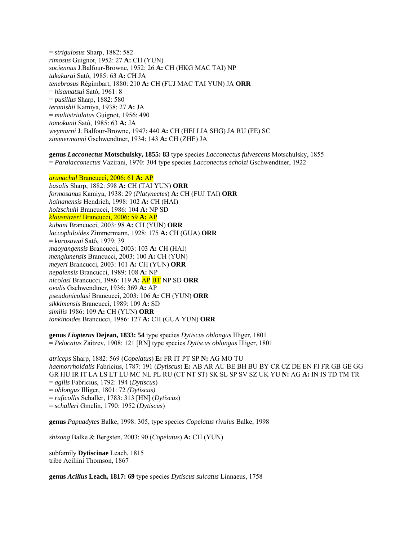= *strigulosus* Sharp, 1882: 582 *rimosus* Guignot, 1952: 27 **A:** CH (YUN) *sociennus* J.Balfour-Browne, 1952: 26 **A:** CH (HKG MAC TAI) NP *takakurai* Satô, 1985: 63 **A:** CH JA *tenebrosus* Régimbart, 1880: 210 **A:** CH (FUJ MAC TAI YUN) JA **ORR**  = *hisamatsui* Satô, 1961: 8 = *pusillus* Sharp, 1882: 580 *teranishii* Kamiya, 1938: 27 **A:** JA = *multistriolatus* Guignot, 1956: 490 *tomokunii* Satô, 1985: 63 **A:** JA *weymarni* J. Balfour-Browne, 1947: 440 **A:** CH (HEI LIA SHG) JA RU (FE) SC *zimmermanni* Gschwendtner, 1934: 143 **A:** CH (ZHE) JA

**genus** *Lacconectus* **Motschulsky, 1855: 83** type species *Lacconectus fulvescens* Motschulsky, 1855 = *Paralacconectus* Vazirani, 1970: 304 type species *Lacconectus scholzi* Gschwendtner, 1922

*arunachal* Brancucci, 2006: 61 **A:** AP

*basalis* Sharp, 1882: 598 **A:** CH (TAI YUN) **ORR**  *formosanus* Kamiya, 1938: 29 (*Platynectes*) **A:** CH (FUJ TAI) **ORR** *hainanensis* Hendrich, 1998: 102 **A:** CH (HAI) *holzschuhi* Brancucci, 1986: 104 **A:** NP SD *klausnitzeri* Brancucci, 2006: 59 **A:** AP *kubani* Brancucci, 2003: 98 **A:** CH (YUN) **ORR** *laccophiloides* Zimmermann, 1928: 175 **A:** CH (GUA) **ORR**  = *kurosawai* Satô, 1979: 39 *maoyangensis* Brancucci, 2003: 103 **A:** CH (HAI) *menglunensis* Brancucci, 2003: 100 **A:** CH (YUN) *meyeri* Brancucci, 2003: 101 **A:** CH (YUN) **ORR** *nepalensis* Brancucci, 1989: 108 **A:** NP *nicolasi* Brancucci, 1986: 119 **A:** AP BT NP SD **ORR**  *ovalis* Gschwendtner, 1936: 369 **A:** AP *pseudonicolasi* Brancucci, 2003: 106 **A:** CH (YUN) **ORR** *sikkimensis* Brancucci, 1989: 109 **A:** SD *similis* 1986: 109 **A:** CH (YUN) **ORR** *tonkinoides* Brancucci, 1986: 127 **A:** CH (GUA YUN) **ORR**

**genus** *Liopterus* **Dejean, 1833: 54** type species *Dytiscus oblongus* Illiger, 1801 = *Pelocatus* Zaitzev, 1908: 121 [RN] type species *Dytiscus oblongus* Illiger, 1801

*atriceps* Sharp, 1882: 569 (*Copelatus*) **E:** FR IT PT SP **N:** AG MO TU *haemorrhoidalis* Fabricius, 1787: 191 (*Dytiscus*) **E:** AB AR AU BE BH BU BY CR CZ DE EN FI FR GB GE GG GR HU IR IT LA LS LT LU MC NL PL RU (CT NT ST) SK SL SP SV SZ UK YU **N:** AG **A:** IN IS TD TM TR = *agilis* Fabricius, 1792: 194 (*Dytiscus*) = *oblongus* Illiger, 1801: 72 *(Dytiscus)*  = *ruficollis* Schaller, 1783: 313 [HN] (*Dytiscus*) = *schalleri* Gmelin, 1790: 1952 (*Dytiscus*)

**genus** *Papuadytes* Balke, 1998: 305, type species *Copelatus rivulus* Balke, 1998

*shizong* Balke & Bergsten, 2003: 90 (*Copelatus*) **A:** CH (YUN)

subfamily **Dytiscinae** Leach, 1815 tribe Aciliini Thomson, 1867

**genus** *Acilius* **Leach, 1817: 69** type species *Dytiscus sulcatus* Linnaeus, 1758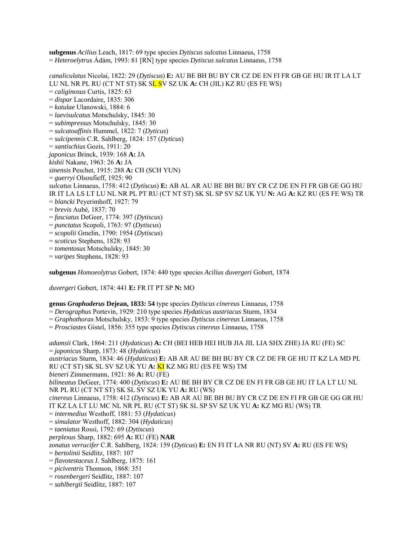**subgenus** *Acilius* Leach, 1817: 69 type species *Dytiscus sulcatus* Linnaeus, 1758 = *Heteroelytrus* Ádám, 1993: 81 [RN] type species *Dytiscus sulcatus* Linnaeus, 1758

*canaliculatus* Nicolai, 1822: 29 (*Dytiscus*) **E:** AU BE BH BU BY CR CZ DE EN FI FR GB GE HU IR IT LA LT LU NL NR PL RU (CT NT ST) SK SL SV SZ UK **A:** CH (JIL) KZ RU (ES FE WS) = *caliginosus* Curtis, 1825: 63 = *dispar* Lacordaire, 1835: 306 = *kotulae* Ulanowski, 1884: 6 = *laevisulcatus* Motschulsky, 1845: 30 = *subimpressus* Motschulsky, 1845: 30 = *sulcatoaffinis* Hummel, 1822: 7 (*Dyticus*) = *sulcipennis* C.R. Sahlberg, 1824: 157 (*Dyticus*) = *xantischius* Gozis, 1911: 20 *japonicus* Brinck, 1939: 168 **A:** JA *kishii* Nakane, 1963: 26 **A:** JA *sinensis* Peschet, 1915: 288 **A:** CH (SCH YUN) = *guerryi* Olsoufieff, 1925: 90 *sulcatus* Linnaeus, 1758: 412 (*Dytiscus*) **E:** AB AL AR AU BE BH BU BY CR CZ DE EN FI FR GB GE GG HU IR IT LA LS LT LU NL NR PL PT RU (CT NT ST) SK SL SP SV SZ UK YU **N:** AG **A:** KZ RU (ES FE WS) TR = *blancki* Peyerimhoff, 1927: 79 = *brevis* Aubé, 1837: 70 = *fasciatus* DeGeer, 1774: 397 (*Dytiscus*) = *punctatus* Scopoli, 1763: 97 (*Dytiscus*) = *scopolii* Gmelin, 1790: 1954 (*Dytiscus*) = *scoticus* Stephens, 1828: 93 = *tomentosus* Motschulsky, 1845: 30 = *varipes* Stephens, 1828: 93

**subgenus** *Homoeolytrus* Gobert, 1874: 440 type species *Acilius duvergeri* Gobert, 1874

*duvergeri* Gobert, 1874: 441 **E:** FR IT PT SP **N:** MO

## **genus** *Graphoderus* **Dejean, 1833: 54** type species *Dytiscus cinereus* Linnaeus, 1758

= *Derographus* Portevin, 1929: 210 type species *Hydaticus austriacus* Sturm, 1834

- = *Graphothorax* Motschulsky, 1853: 9 type species *Dytiscus cinereus* Linnaeus, 1758
- = *Prosciastes* Gistel, 1856: 355 type species *Dytiscus cinereus* Linnaeus, 1758

*adamsii* Clark, 1864: 211 (*Hydaticus*) **A:** CH (BEI HEB HEI HUB JIA JIL LIA SHX ZHE) JA RU (FE) SC = *japonicus* Sharp, 1873: 48 (*Hydaticus*) *austriacus* Sturm, 1834: 46 (*Hydaticus*) **E:** AB AR AU BE BH BU BY CR CZ DE FR GE HU IT KZ LA MD PL RU (CT ST) SK SL SV SZ UK YU **A:** KI KZ MG RU (ES FE WS) TM *bieneri* Zimmermann, 1921: 86 **A:** RU (FE) *bilineatus* DeGeer, 1774: 400 (*Dytiscus*) **E:** AU BE BH BY CR CZ DE EN FI FR GB GE HU IT LA LT LU NL NR PL RU (CT NT ST) SK SL SV SZ UK YU **A:** RU (WS) *cinereus* Linnaeus, 1758: 412 (*Dytiscus*) **E:** AB AR AU BE BH BU BY CR CZ DE EN FI FR GB GE GG GR HU IT KZ LA LT LU MC NL NR PL RU (CT ST) SK SL SP SV SZ UK YU **A:** KZ MG RU (WS) TR = *intermedius* Westhoff, 1881: 53 (*Hydaticus*) = *simulator* Westhoff, 1882: 304 (*Hydaticus*) = *taeniatus* Rossi, 1792: 69 (*Dytiscus*) *perplexus* Sharp, 1882: 695 **A:** RU (FE) **NAR** *zonatus verrucifer* C.R. Sahlberg, 1824: 159 (*Dyticus*) **E:** EN FI IT LA NR RU (NT) SV **A:** RU (ES FE WS) = *bertolinii* Seidlitz, 1887: 107 = *flavotestaceus* J. Sahlberg, 1875: 161 = *piciventris* Thomson, 1868: 351 = *rosenbergeri* Seidlitz, 1887: 107 = *sahlbergii* Seidlitz, 1887: 107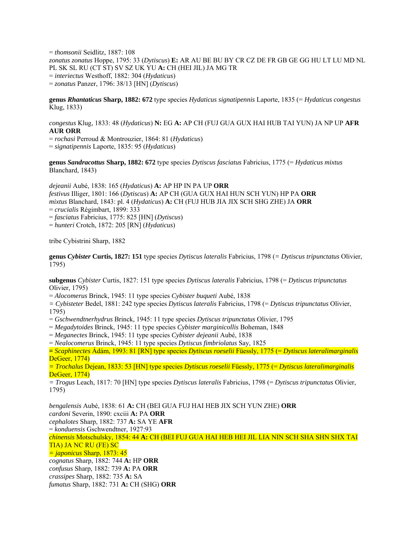= *thomsonii* Seidlitz, 1887: 108 *zonatus zonatus* Hoppe, 1795: 33 (*Dytiscus*) **E:** AR AU BE BU BY CR CZ DE FR GB GE GG HU LT LU MD NL PL SK SL RU (CT ST) SV SZ UK YU **A:** CH (HEI JIL) JA MG TR = *interiectus* Westhoff, 1882: 304 (*Hydaticus*) = *zonatus* Panzer, 1796: 38/13 [HN] (*Dytiscus*)

**genus** *Rhantaticus* **Sharp, 1882: 672** type species *Hydaticus signatipennis* Laporte, 1835 (= *Hydaticus congestus*  Klug, 1833)

*congestus* Klug, 1833: 48 (*Hydaticus*) **N:** EG **A:** AP CH (FUJ GUA GUX HAI HUB TAI YUN) JA NP UP **AFR AUR ORR**

= *rochasi* Perroud & Montrouzier, 1864: 81 (*Hydaticus*) = *signatipennis* Laporte, 1835: 95 (*Hydaticus*)

**genus** *Sandracottus* **Sharp, 1882: 672** type species *Dytiscus fasciatus* Fabricius, 1775 (= *Hydaticus mixtus* Blanchard, 1843)

*dejeanii* Aubé, 1838: 165 (*Hydaticus*) **A:** AP HP IN PA UP **ORR**  *festivus* Illiger, 1801: 166 (*Dytiscus*) **A:** AP CH (GUA GUX HAI HUN SCH YUN) HP PA **ORR**  *mixtus* Blanchard, 1843: pl. 4 (*Hydaticus*) **A:** CH (FUJ HUB JIA JIX SCH SHG ZHE) JA **ORR**  = *crucialis* Régimbart, 1899: 333 = *fasciatus* Fabricius, 1775: 825 [HN] (*Dytiscus*) = *hunteri* Crotch, 1872: 205 [RN] (*Hydaticus*)

tribe Cybistrini Sharp, 1882

**genus** *Cybister* **Curtis, 1827: 151** type species *Dytiscus lateralis* Fabricius, 1798 (*= Dytiscus tripunctatus* Olivier, 1795)

**subgenus** *Cybister* Curtis, 1827: 151 type species *Dytiscus lateralis* Fabricius, 1798 (= *Dytiscus tripunctatus* Olivier, 1795)

= *Alocomerus* Brinck, 1945: 11 type species *Cybister buqueti* Aubé, 1838

*= Cybisteter* Bedel, 1881: 242 type species *Dytiscus lateralis* Fabricius, 1798 (= *Dytiscus tripunctatus* Olivier, 1795)

= *Gschwendtnerhydrus* Brinck, 1945: 11 type species *Dytiscus tripunctatus* Olivier, 1795

= *Megadytoides* Brinck, 1945: 11 type species *Cybister marginicollis* Boheman, 1848

= *Meganectes* Brinck, 1945: 11 type species *Cybister dejeanii* Aubé, 1838

= *Nealocomerus* Brinck, 1945: 11 type species *Dytiscus fimbriolatus* Say, 1825

**=** *Scaphinectes* Ádám, 1993: 81 [RN] type species *Dytiscus roeselii* Füessly, 1775 (= *Dytiscus lateralimarginalis* DeGeer, 1774)

*= Trochalus* Dejean, 1833: 53 [HN] type species *Dytiscus roeselii* Füessly, 1775 (= *Dytiscus lateralimarginalis* DeGeer, 1774)

*= Trogus* Leach, 1817: 70 [HN] type species *Dytiscus lateralis* Fabricius, 1798 (= *Dytiscus tripunctatus* Olivier, 1795)

*bengalensis* Aubé, 1838: 61 **A:** CH (BEI GUA FUJ HAI HEB JIX SCH YUN ZHE) **ORR**  *cardoni* Severin, 1890: cxciii **A:** PA **ORR**  *cephalotes* Sharp, 1882: 737 **A:** SA YE **AFR**  = *konduensis* Gschwendtner, 1927:93 *chinensis* Motschulsky, 1854: 44 **A:** CH (BEI FUJ GUA HAI HEB HEI JIL LIA NIN SCH SHA SHN SHX TAI TIA) JA NC RU (FE) SC *= japonicus* Sharp, 1873: 45 *cognatus* Sharp, 1882: 744 **A:** HP **ORR**  *confusus* Sharp, 1882: 739 **A:** PA **ORR**  *crassipes* Sharp, 1882: 735 **A:** SA *fumatus* Sharp, 1882: 731 **A:** CH (SHG) **ORR**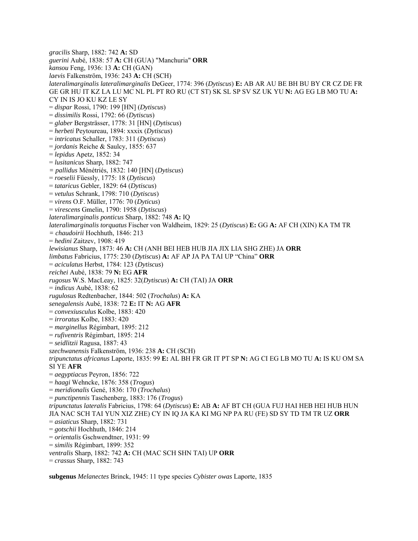*gracilis* Sharp, 1882: 742 **A:** SD *guerini* Aubé, 1838: 57 **A:** CH (GUA) "Manchuria" **ORR**  *kansou* Feng, 1936: 13 **A:** CH (GAN) *laevis* Falkenström, 1936: 243 **A:** CH (SCH) *lateralimarginalis lateralimarginalis* DeGeer, 1774: 396 (*Dytiscus*) **E:** AB AR AU BE BH BU BY CR CZ DE FR GE GR HU IT KZ LA LU MC NL PL PT RO RU (CT ST) SK SL SP SV SZ UK YU **N:** AG EG LB MO TU **A:**  CY IN IS JO KU KZ LE SY = *dispar* Rossi, 1790: 199 [HN] (*Dytiscus*) = *dissimilis* Rossi, 1792: 66 (*Dytiscus*) = *glaber* Bergsträsser, 1778: 31 [HN] (*Dytiscus*) = *herbeti* Peytoureau, 1894: xxxix (*Dytiscus*) = *intricatus* Schaller, 1783: 311 (*Dytiscus*) = *jordanis* Reiche & Saulcy, 1855: 637 = *lepidus* Apetz, 1852: 34 = *lusitanicus* Sharp, 1882: 747 *= pallidus* Ménétriés, 1832: 140 [HN] (*Dytiscus*) = *roeselii* Füessly, 1775: 18 (*Dytiscus*) = *tataricus* Gebler, 1829: 64 (*Dytiscus*) = *vetulus* Schrank, 1798: 710 (*Dytiscus*) = *virens* O.F. Müller, 1776: 70 (*Dyticus*) = *virescens* Gmelin, 1790: 1958 (*Dytiscus*) *lateralimarginalis ponticus* Sharp, 1882: 748 **A:** IQ *lateralimarginalis torquatus* Fischer von Waldheim, 1829: 25 (*Dytiscus*) **E:** GG **A:** AF CH (XIN) KA TM TR *= chaudoirii* Hochhuth, 1846: 213 = *hedini* Zaitzev, 1908: 419 *lewisianus* Sharp, 1873: 46 **A:** CH (ANH BEI HEB HUB JIA JIX LIA SHG ZHE) JA **ORR**  *limbatus* Fabricius, 1775: 230 (*Dytiscus*) **A:** AF AP JA PA TAI UP "China" **ORR**  = *aciculatus* Herbst, 1784: 123 (*Dytiscus*) *reichei* Aubé, 1838: 79 **N:** EG **AFR**  *rugosus* W.S. MacLeay, 1825: 32(*Dytiscus*) **A:** CH (TAI) JA **ORR**  = *indicus* Aubé, 1838: 62 *rugulosus* Redtenbacher, 1844: 502 (*Trochalus*) **A:** KA *senegalensis* Aubé, 1838: 72 **E:** IT **N:** AG **AFR**  = *convexiusculus* Kolbe, 1883: 420 = *irroratus* Kolbe, 1883: 420 = *marginellus* Régimbart, 1895: 212 = *rufiventris* Régimbart, 1895: 214 = *seidlitzii* Ragusa, 1887: 43 *szechwanensis* Falkenström, 1936: 238 **A:** CH (SCH) *tripunctatus africanus* Laporte, 1835: 99 **E:** AL BH FR GR IT PT SP **N:** AG CI EG LB MO TU **A:** IS KU OM SA SI YE **AFR**  = *aegyptiacus* Peyron, 1856: 722 = *haagi* Wehncke, 1876: 358 (*Trogus*) = *meridionalis* Gené, 1836: 170 (*Trochalus*) = *punctipennis* Taschenberg, 1883: 176 (*Trogus*) *tripunctatus lateralis* Fabricius, 1798: 64 (*Dytiscus*) **E:** AB **A:** AF BT CH (GUA FUJ HAI HEB HEI HUB HUN JIA NAC SCH TAI YUN XIZ ZHE) CY IN IQ JA KA KI MG NP PA RU (FE) SD SY TD TM TR UZ **ORR**  = *asiaticus* Sharp, 1882: 731 = *gotschii* Hochhuth, 1846: 214 = *orientalis* Gschwendtner, 1931: 99 = *similis* Régimbart, 1899: 352 *ventralis* Sharp, 1882: 742 **A:** CH (MAC SCH SHN TAI) UP **ORR**  = *crassus* Sharp, 1882: 743

**subgenus** *Melanectes* Brinck, 1945: 11 type species *Cybister owas* Laporte, 1835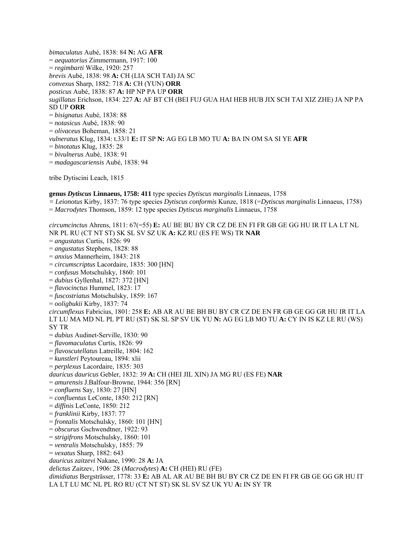*bimaculatus* Aubé, 1838: 84 **N:** AG **AFR**  = *aequatorius* Zimmermann, 1917: 100 = *regimbarti* Wilke, 1920: 257 *brevis* Aubé, 1838: 98 **A:** CH (LIA SCH TAI) JA SC *convexus* Sharp, 1882: 718 **A:** CH (YUN) **ORR**  *posticus* Aubé, 1838: 87 **A:** HP NP PA UP **ORR**  *sugillatus* Erichson, 1834: 227 **A:** AF BT CH (BEI FUJ GUA HAI HEB HUB JIX SCH TAI XIZ ZHE) JA NP PA SD UP **ORR**  = *bisignatus* Aubé, 1838: 88 = *notasicus* Aubé, 1838: 90 = *olivaceus* Boheman, 1858: 21 *vulneratus* Klug, 1834: t.33/1 **E:** IT SP **N:** AG EG LB MO TU **A:** BA IN OM SA SI YE **AFR**  = *binotatus* Klug, 1835: 28 = *bivulnerus* Aubé, 1838: 91 = *madagascariensis* Aubé, 1838: 94

tribe Dytiscini Leach, 1815

#### **genus** *Dytiscus* **Linnaeus, 1758: 411** type species *Dytiscus marginalis* Linnaeus, 1758

*= Leionotus* Kirby, 1837: 76 type species *Dytiscus conformis* Kunze, 1818 (=*Dytiscus marginalis* Linnaeus, 1758)

*circumcinctus* Ahrens, 1811: 67(=55) **E:** AU BE BU BY CR CZ DE EN FI FR GB GE GG HU IR IT LA LT NL

= *Macrodytes* Thomson, 1859: 12 type species *Dytiscus marginalis* Linnaeus, 1758

NR PL RU (CT NT ST) SK SL SV SZ UK **A:** KZ RU (ES FE WS) TR **NAR**  = *angustatus* Curtis, 1826: 99 = *angustatus* Stephens, 1828: 88 = *anxius* Mannerheim, 1843: 218 = *circumscriptus* Lacordaire, 1835: 300 [HN] = *confusus* Motschulsky, 1860: 101 = *dubius* Gyllenhal, 1827: 372 [HN] = *flavocinctus* Hummel, 1823: 17 = *fuscostriatus* Motschulsky, 1859: 167 = *ooligbukii* Kirby, 1837: 74 *circumflexus* Fabricius, 1801: 258 **E:** AB AR AU BE BH BU BY CR CZ DE EN FR GB GE GG GR HU IR IT LA LT LU MA MD NL PL PT RU (ST) SK SL SP SV UK YU **N:** AG EG LB MO TU **A:** CY IN IS KZ LE RU (WS) SY TR = *dubius* Audinet-Serville, 1830: 90 = *flavomaculatus* Curtis, 1826: 99 = *flavoscutellatus* Latreille, 1804: 162 = *kunstleri* Peytoureau, 1894: xlii = *perplexus* Lacordaire, 1835: 303 *dauricus dauricus* Gebler, 1832: 39 **A:** CH (HEI JIL XIN) JA MG RU (ES FE) **NAR**  = *amurensis* J.Balfour-Browne, 1944: 356 [RN] = *confluens* Say, 1830: 27 [HN] = *confluentus* LeConte, 1850: 212 [RN] = *diffinis* LeConte, 1850: 212 = *franklinii* Kirby, 1837: 77 = *frontalis* Motschulsky, 1860: 101 [HN] = *obscurus* Gschwendtner, 1922: 93 = *strigifrons* Motschulsky, 1860: 101 = *ventralis* Motschulsky, 1855: 79 = *vexatus* Sharp, 1882: 643 *dauricus zaitzevi* Nakane, 1990: 28 **A:** JA *delictus* Zaitzev, 1906: 28 (*Macrodytes*) **A:** CH (HEI) RU (FE) *dimidiatus* Bergsträsser, 1778: 33 **E:** AB AL AR AU BE BH BU BY CR CZ DE EN FI FR GB GE GG GR HU IT LA LT LU MC NL PL RO RU (CT NT ST) SK SL SV SZ UK YU **A:** IN SY TR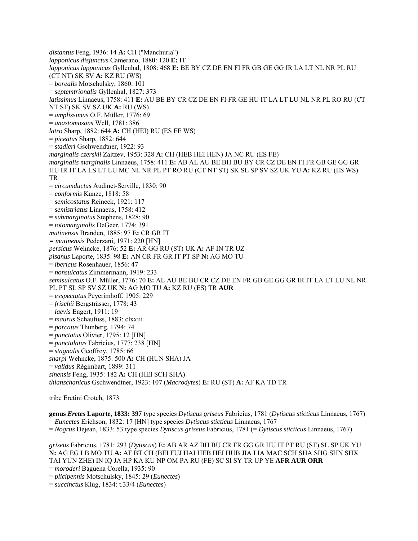*distantus* Feng, 1936: 14 **A:** CH ("Manchuria") *lapponicus disjunctus* Camerano, 1880: 120 **E:** IT *lapponicus lapponicus* Gyllenhal, 1808: 468 **E:** BE BY CZ DE EN FI FR GB GE GG IR LA LT NL NR PL RU (CT NT) SK SV **A:** KZ RU (WS) = *borealis* Motschulsky, 1860: 101 = *septemtrionalis* Gyllenhal, 1827: 373 *latissimus* Linnaeus, 1758: 411 **E:** AU BE BY CR CZ DE EN FI FR GE HU IT LA LT LU NL NR PL RO RU (CT NT ST) SK SV SZ UK **A:** RU (WS) = *amplissimus* O.F. Müller, 1776: 69 = *anastomozans* Well, 1781: 386 *latro* Sharp, 1882: 644 **A:** CH (HEI) RU (ES FE WS) = *piceatus* Sharp, 1882: 644 = *stadleri* Gschwendtner, 1922: 93 *marginalis czerskii* Zaitzev, 1953: 328 **A:** CH (HEB HEI HEN) JA NC RU (ES FE) *marginalis marginalis* Linnaeus, 1758: 411 **E:** AB AL AU BE BH BU BY CR CZ DE EN FI FR GB GE GG GR HU IR IT LA LS LT LU MC NL NR PL PT RO RU (CT NT ST) SK SL SP SV SZ UK YU **A:** KZ RU (ES WS) TR = *circumductus* Audinet-Serville, 1830: 90 = *conformis* Kunze, 1818: 58 = *semicostatus* Reineck, 1921: 117 = *semistriatus* Linnaeus, 1758: 412 = *submarginatus* Stephens, 1828: 90 = *totomarginalis* DeGeer, 1774: 391 *mutinensis* Branden, 1885: 97 **E:** CR GR IT *= mutinensis* Pederzani, 1971: 220 [HN] *persicus* Wehncke, 1876: 52 **E:** AR GG RU (ST) UK **A:** AF IN TR UZ *pisanus* Laporte, 1835: 98 **E:** AN CR FR GR IT PT SP **N:** AG MO TU = *ibericus* Rosenhauer, 1856: 47 = *nonsulcatus* Zimmermann, 1919: 233 *semisulcatus* O.F. Müller, 1776: 70 **E:** AL AU BE BU CR CZ DE EN FR GB GE GG GR IR IT LA LT LU NL NR PL PT SL SP SV SZ UK **N:** AG MO TU **A:** KZ RU (ES) TR **AUR**  = *exspectatus* Peyerimhoff, 1905: 229 = *frischii* Bergsträsser, 1778: 43 = *laevis* Engert, 1911: 19 = *maurus* Schaufuss, 1883: clxxiii = *porcatus* Thunberg, 1794: 74 = *punctatus* Olivier, 1795: 12 [HN] = *punctulatus* Fabricius, 1777: 238 [HN] = *stagnalis* Geoffroy, 1785: 66 *sharpi* Wehncke, 1875: 500 **A:** CH (HUN SHA) JA = *validus* Régimbart, 1899: 311 *sinensis* Feng, 1935: 182 **A:** CH (HEI SCH SHA) *thianschanicus* Gschwendtner, 1923: 107 (*Macrodytes*) **E:** RU (ST) **A:** AF KA TD TR

tribe Eretini Crotch, 1873

**genus** *Eretes* **Laporte, 1833: 397** type species *Dytiscus griseus* Fabricius, 1781 (*Dytiscus sticticus* Linnaeus, 1767) = *Eunectes* Erichson, 1832: 17 [HN] type species *Dytiscus sticticus* Linnaeus, 1767 = *Nogrus* Dejean, 1833: 53 type species *Dytiscus griseus* Fabricius, 1781 (= *Dytiscus sticticus* Linnaeus, 1767)

*griseus* Fabricius, 1781: 293 (*Dytiscus*) **E:** AB AR AZ BH BU CR FR GG GR HU IT PT RU (ST) SL SP UK YU **N:** AG EG LB MO TU **A:** AF BT CH (BEI FUJ HAI HEB HEI HUB JIA LIA MAC SCH SHA SHG SHN SHX TAI YUN ZHE) IN IQ JA HP KA KU NP OM PA RU (FE) SC SI SY TR UP YE **AFR AUR ORR** = *moroderi* Báguena Corella, 1935: 90 = *plicipennis* Motschulsky, 1845: 29 (*Eunectes*)

= *succinctus* Klug, 1834: t.33/4 (*Eunectes*)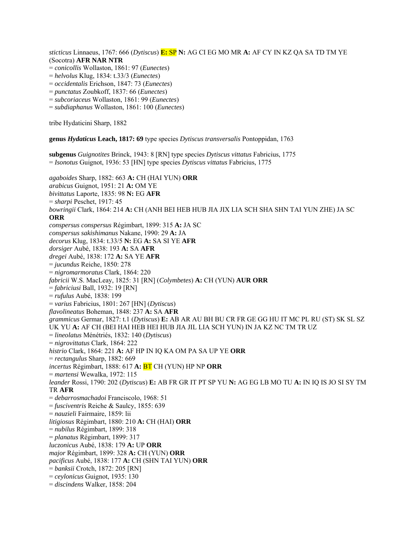*sticticus* Linnaeus, 1767: 666 (*Dytiscus*) **E:** SP **N:** AG CI EG MO MR **A:** AF CY IN KZ QA SA TD TM YE (Socotra) **AFR NAR NTR**

- = *conicollis* Wollaston, 1861: 97 (*Eunectes*)
- = *helvolus* Klug, 1834: t.33/3 (*Eunectes*)
- = *occidentalis* Erichson, 1847: 73 (*Eunectes*)
- = *punctatus* Zoubkoff, 1837: 66 (*Eunectes*)
- = *subcoriaceus* Wollaston, 1861: 99 (*Eunectes*)
- = *subdiaphanus* Wollaston, 1861: 100 (*Eunectes*)

tribe Hydaticini Sharp, 1882

**genus** *Hydaticus* **Leach, 1817: 69** type species *Dytiscus transversalis* Pontoppidan, 1763

**subgenus** *Guignotites* Brinck, 1943: 8 [RN] type species *Dytiscus vittatus* Fabricius, 1775 = *Isonotus* Guignot, 1936: 53 [HN] type species *Dytiscus vittatus* Fabricius, 1775

*agaboides* Sharp, 1882: 663 **A:** CH (HAI YUN) **ORR**  *arabicus* Guignot, 1951: 21 **A:** OM YE *bivittatus* Laporte, 1835: 98 **N:** EG **AFR**  = *sharpi* Peschet, 1917: 45 *bowringii* Clark, 1864: 214 **A:** CH (ANH BEI HEB HUB JIA JIX LIA SCH SHA SHN TAI YUN ZHE) JA SC **ORR** *conspersus conspersus* Régimbart, 1899: 315 **A:** JA SC *conspersus sakishimanus* Nakane, 1990: 29 **A:** JA *decorus* Klug, 1834: t.33/5 **N:** EG **A:** SA SI YE **AFR** *dorsiger* Aubé, 1838: 193 **A:** SA **AFR** *dregei* Aubé, 1838: 172 **A:** SA YE **AFR** = *jucundus* Reiche, 1850: 278 = *nigromarmoratus* Clark, 1864: 220 *fabricii* W.S. MacLeay, 1825: 31 [RN] (*Colymbetes*) **A:** CH (YUN) **AUR ORR**  = *fabriciusi* Ball, 1932: 19 [RN] = *rufulus* Aubé, 1838: 199 = *varius* Fabricius, 1801: 267 [HN] (*Dytiscus*) *flavolineatus* Boheman, 1848: 237 **A:** SA **AFR** *grammicus* Germar, 1827: t.1 (*Dytiscus*) **E:** AB AR AU BH BU CR FR GE GG HU IT MC PL RU (ST) SK SL SZ UK YU **A:** AF CH (BEI HAI HEB HEI HUB JIA JIL LIA SCH YUN) IN JA KZ NC TM TR UZ = *lineolatus* Ménétriés, 1832: 140 (*Dytiscus*) = *nigrovittatus* Clark, 1864: 222 *histrio* Clark, 1864: 221 **A:** AF HP IN IQ KA OM PA SA UP YE **ORR** = *rectangulus* Sharp, 1882: 669 *incertus* Régimbart, 1888: 617 **A:** BT CH (YUN) HP NP **ORR** = *martensi* Wewalka, 1972: 115 *leander* Rossi, 1790: 202 (*Dytiscus*) **E:** AB FR GR IT PT SP YU **N:** AG EG LB MO TU **A:** IN IQ IS JO SI SY TM TR **AFR** = *debarrosmachadoi* Franciscolo, 1968: 51 = *fusciventris* Reiche & Saulcy, 1855: 639 = *nauzieli* Fairmaire, 1859: lii *litigiosus* Régimbart, 1880: 210 **A:** CH (HAI) **ORR** = *nubilus* Régimbart, 1899: 318 = *planatus* Régimbart, 1899: 317 *luczonicus* Aubé, 1838: 179 **A:** UP **ORR** *major* Régimbart, 1899: 328 **A:** CH (YUN) **ORR** *pacificus* Aubé, 1838: 177 **A:** CH (SHN TAI YUN) **ORR** = *banksii* Crotch, 1872: 205 [RN] = *ceylonicus* Guignot, 1935: 130 = *discindens* Walker, 1858: 204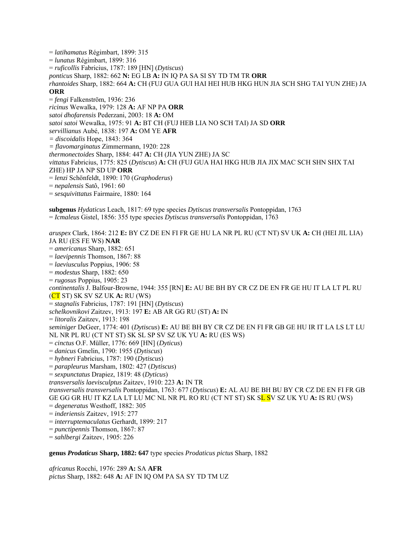= *latihamatus* Régimbart, 1899: 315 = *lunatus* Régimbart, 1899: 316 = *ruficollis* Fabricius, 1787: 189 [HN] (*Dytiscus*) *ponticus* Sharp, 1882: 662 **N:** EG LB **A:** IN IQ PA SA SI SY TD TM TR **ORR** *rhantoides* Sharp, 1882: 664 **A:** CH (FUJ GUA GUI HAI HEI HUB HKG HUN JIA SCH SHG TAI YUN ZHE) JA **ORR** = *fengi* Falkenström, 1936: 236 *ricinus* Wewalka, 1979: 128 **A:** AF NP PA **ORR** *satoi dhofarensis* Pederzani, 2003: 18 **A:** OM *satoi satoi* Wewalka, 1975: 91 **A:** BT CH (FUJ HEB LIA NO SCH TAI) JA SD **ORR**  *servillianus* Aubé, 1838: 197 **A:** OM YE **AFR** *= discoidalis* Hope, 1843: 364 *= flavomarginatus* Zimmermann, 1920: 228 *thermonectoides* Sharp, 1884: 447 **A:** CH (JIA YUN ZHE) JA SC *vittatus* Fabricius, 1775: 825 (*Dytiscus*) **A:** CH (FUJ GUA HAI HKG HUB JIA JIX MAC SCH SHN SHX TAI ZHE) HP JA NP SD UP **ORR** = *lenzi* Schönfeldt, 1890: 170 (*Graphoderus*) = *nepalensis* Satô, 1961: 60 = *sesquivittatus* Fairmaire, 1880: 164 **subgenus** *Hydaticus* Leach, 1817: 69 type species *Dytiscus transversalis* Pontoppidan, 1763 = *Icmaleus* Gistel, 1856: 355 type species *Dytiscus transversalis* Pontoppidan, 1763 *aruspex* Clark, 1864: 212 **E:** BY CZ DE EN FI FR GE HU LA NR PL RU (CT NT) SV UK **A:** CH (HEI JIL LIA) JA RU (ES FE WS) **NAR** = *americanus* Sharp, 1882: 651 = *laevipennis* Thomson, 1867: 88 = *laeviusculus* Poppius, 1906: 58 = *modestus* Sharp, 1882: 650 = *rugosus* Poppius, 1905: 23 *continentalis* J. Balfour-Browne, 1944: 355 [RN] **E:** AU BE BH BY CR CZ DE EN FR GE HU IT LA LT PL RU (CT ST) SK SV SZ UK **A:** RU (WS) = *stagnalis* Fabricius, 1787: 191 [HN] (*Dytiscus*) *schelkovnikovi* Zaitzev, 1913: 197 **E:** AB AR GG RU (ST) **A:** IN = *litoralis* Zaitzev, 1913: 198 *seminiger* DeGeer, 1774: 401 (*Dytiscus*) **E:** AU BE BH BY CR CZ DE EN FI FR GB GE HU IR IT LA LS LT LU NL NR PL RU (CT NT ST) SK SL SP SV SZ UK YU **A:** RU (ES WS) = *cinctus* O.F. Müller, 1776: 669 [HN] (*Dyticus*) = *danicus* Gmelin, 1790: 1955 (*Dytiscus*) = *hybneri* Fabricius, 1787: 190 (*Dytiscus*) = *parapleurus* Marsham, 1802: 427 (*Dytiscus*) = *sexpunctatus* Drapiez, 1819: 48 (*Dyticus*) *transversalis laevisculptus* Zaitzev, 1910: 223 **A:** IN TR *transversalis transversalis* Pontoppidan, 1763: 677 (*Dytiscus*) **E:** AL AU BE BH BU BY CR CZ DE EN FI FR GB GE GG GR HU IT KZ LA LT LU MC NL NR PL RO RU (CT NT ST) SK SL SV SZ UK YU **A:** IS RU (WS) = *degeneratus* Westhoff, 1882: 305 = *inderiensis* Zaitzev, 1915: 277 = *interruptemaculatus* Gerhardt, 1899: 217 = *punctipennis* Thomson, 1867: 87 = *sahlbergi* Zaitzev, 1905: 226

**genus** *Prodaticus* **Sharp, 1882: 647** type species *Prodaticus pictus* Sharp, 1882

*africanus* Rocchi, 1976: 289 **A:** SA **AFR** *pictus* Sharp, 1882: 648 **A:** AF IN IQ OM PA SA SY TD TM UZ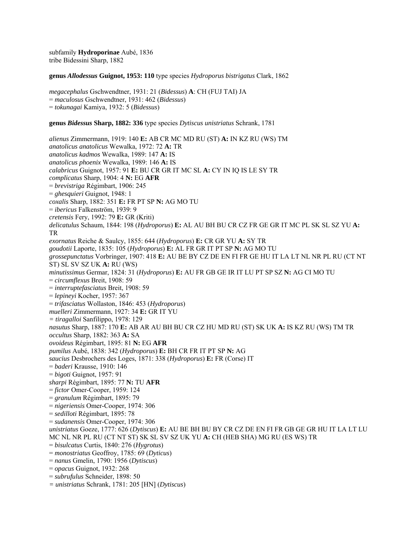subfamily **Hydroporinae** Aubé, 1836 tribe Bidessini Sharp, 1882

#### **genus** *Allodessus* **Guignot, 1953: 110** type species *Hydroporus bistrigatus* Clark, 1862

*megacephalus* Gschwendtner, 1931: 21 (*Bidessus*) **A**: CH (FUJ TAI) JA = *maculosus* Gschwendtner, 1931: 462 (*Bidessus*) = *tokunagai* Kamiya, 1932: 5 (*Bidessus*)

#### **genus** *Bidessus* **Sharp, 1882: 336** type species *Dytiscus unistriatus* Schrank, 1781

*alienus* Zimmermann, 1919: 140 **E:** AB CR MC MD RU (ST) **A:** IN KZ RU (WS) TM *anatolicus anatolicus* Wewalka, 1972: 72 **A:** TR *anatolicus kadmos* Wewalka, 1989: 147 **A:** IS *anatolicus phoenix* Wewalka, 1989: 146 **A:** IS *calabricus* Guignot, 1957: 91 **E:** BU CR GR IT MC SL **A:** CY IN IQ IS LE SY TR *complicatus* Sharp, 1904: 4 **N:** EG **AFR** = *brevistriga* Régimbart, 1906: 245 = *ghesquieri* Guignot, 1948: 1 *coxalis* Sharp, 1882: 351 **E:** FR PT SP **N:** AG MO TU = *ibericus* Falkenström, 1939: 9 *cretensis* Fery, 1992: 79 **E:** GR (Kriti) *delicatulus* Schaum, 1844: 198 (*Hydroporus*) **E:** AL AU BH BU CR CZ FR GE GR IT MC PL SK SL SZ YU **A:**  TR *exornatus* Reiche & Saulcy, 1855: 644 (*Hydroporus*) **E:** CR GR YU **A:** SY TR *goudotii* Laporte, 1835: 105 (*Hydroporus*) **E:** AL FR GR IT PT SP **N:** AG MO TU *grossepunctatus* Vorbringer, 1907: 418 **E:** AU BE BY CZ DE EN FI FR GE HU IT LA LT NL NR PL RU (CT NT ST) SL SV SZ UK **A:** RU (WS) *minutissimus* Germar, 1824: 31 (*Hydroporus*) **E:** AU FR GB GE IR IT LU PT SP SZ **N:** AG CI MO TU = *circumflexus* Breit, 1908: 59 = *interruptefasciatus* Breit, 1908: 59 = *lepineyi* Kocher, 1957: 367 = *trifasciatus* Wollaston, 1846: 453 (*Hydroporus*) *muelleri* Zimmermann, 1927: 34 **E:** GR IT YU *= tiragalloi* Sanfilippo, 1978: 129 *nasutus* Sharp, 1887: 170 **E:** AB AR AU BH BU CR CZ HU MD RU (ST) SK UK **A:** IS KZ RU (WS) TM TR *occultus* Sharp, 1882: 363 **A:** SA *ovoideus* Régimbart, 1895: 81 **N:** EG **AFR** *pumilus* Aubé, 1838: 342 (*Hydroporus*) **E:** BH CR FR IT PT SP **N:** AG *saucius* Desbrochers des Loges, 1871: 338 (*Hydroporus*) **E:** FR (Corse) IT = *baderi* Krausse, 1910: 146 = *bigoti* Guignot, 1957: 91 *sharpi* Régimbart, 1895: 77 **N:** TU **AFR** = *fictor* Omer-Cooper, 1959: 124 = *granulum* Régimbart, 1895: 79 = *nigeriensis* Omer-Cooper, 1974: 306 = *sedilloti* Régimbart, 1895: 78 = *sudanensis* Omer-Cooper, 1974: 306 *unistriatus* Goeze, 1777: 626 (*Dytiscus*) **E:** AU BE BH BU BY CR CZ DE EN FI FR GB GE GR HU IT LA LT LU MC NL NR PL RU (CT NT ST) SK SL SV SZ UK YU **A:** CH (HEB SHA) MG RU (ES WS) TR = *bisulcatus* Curtis, 1840: 276 (*Hygrotus*) = *monostriatus* Geoffroy, 1785: 69 (*Dyticus*) = *nanus* Gmelin, 1790: 1956 (*Dytiscus*) = *opacus* Guignot, 1932: 268 = *subrufulus* Schneider, 1898: 50

*= unistriatus* Schrank, 1781: 205 [HN] (*Dytiscus*)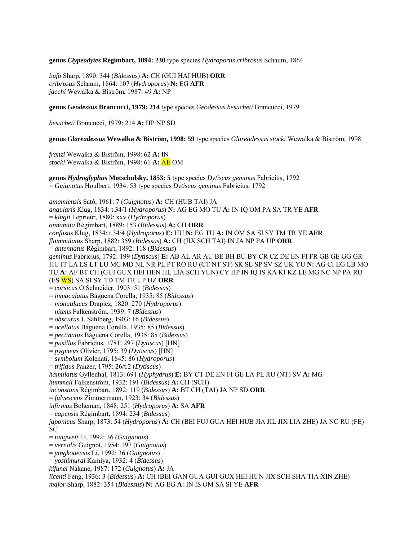**genus** *Clypeodytes* **Régimbart, 1894: 230** type species *Hydroporus cribrosus* Schaum, 1864

*bufo* Sharp, 1890: 344 (*Bidessus*) **A:** CH (GUI HAI HUB) **ORR**  *cribrosus* Schaum, 1864: 107 (*Hydroporus*) **N:** EG **AFR**  *jaechi* Wewalka & Biström, 1987: 49 **A:** NP

**genus** *Geodessus* **Brancucci, 1979: 214** type species *Geodessus besucheti* Brancucci, 1979

*besucheti* Brancucci, 1979: 214 **A:** HP NP SD

**genus** *Glareadessus* **Wewalka & Biström, 1998: 59** type species *Glareadessus stocki* Wewalka & Biström, 1998

*franzi* Wewalka & Biström, 1998: 62 **A:** IN *stocki* Wewalka & Biström, 1998: 61 **A:** AE OM

**genus** *Hydroglyphus* **Motschulsky, 1853: 5** type species *Dytiscus geminus* Fabricius, 1792 = *Guignotus* Houlbert, 1934: 53 type species *Dytiscus geminus* Fabricius, 1792

*amamiensis* Satô, 1961: 7 (*Guignotus*) **A:** CH (HUB TAI) JA *angularis* Klug, 1834: t.34/1 (*Hydroporus*) **N:** AG EG MO TU **A:** IN IQ OM PA SA TR YE **AFR**  = *klugii* Leprieur, 1880: xxv (*Hydroporus*) *annamita* Régimbart, 1889: 153 (*Bidessus*) **A:** CH **ORR**  *confusus* Klug, 1834: t.34/4 (*Hydroporus*) **E:** HU **N:** EG TU **A:** IN OM SA SI SY TM TR YE **AFR**  *flammulatus* Sharp, 1882: 359 (*Bidessus*) **A:** CH (JIX SCH TAI) IN JA NP PA UP **ORR**  = *antennatus* Régimbart, 1892: 118 (*Bidessus*) *geminus* Fabricius, 1792: 199 (*Dytiscus*) **E:** AB AL AR AU BE BH BU BY CR CZ DE EN FI FR GB GE GG GR HU IT LA LS LT LU MC MD NL NR PL PT RO RU (CT NT ST) SK SL SP SV SZ UK YU **N:** AG CI EG LB MO TU **A:** AF BT CH (GUI GUX HEI HEN JIL LIA SCH YUN) CY HP IN IQ IS KA KI KZ LE MG NC NP PA RU (ES WS) SA SI SY TD TM TR UP UZ **ORR**  = *corsicus* O.Schneider, 1903: 51 (*Bidessus*) = *inmaculatus* Báguena Corella, 1935: 85 (*Bidessus*) = *monaulacus* Drapiez, 1820: 270 (*Hydroporus*) = *nitens* Falkenström, 1939: 7 (*Bidessus*) = *obscurus* J. Sahlberg, 1903: 16 (*Bidessus*) = *ocellatus* Báguena Corella, 1935: 85 (*Bidessus*) = *pectinatus* Báguena Corella, 1935: 85 (*Bidessus*) = *pusillus* Fabricius, 1781: 297 (*Dytiscus*) [HN] = *pygmeus* Olivier, 1795: 39 (*Dytiscus*) [HN] = *symbolum* Kolenati, 1845: 86 (*Hydroporus*) = *trifidus* Panzer, 1795: 26/t.2 (*Dytiscus*) *hamulatus* Gyllenhal, 1813: 691 (*Hyphydrus*) **E:** BY CT DE EN FI GE LA PL RU (NT) SV **A:** MG *hummeli* Falkenström, 1932: 191 (*Bidessus*) **A:** CH (SCH) *inconstans* Régimbart, 1892: 119 (*Bidessus*) **A:** BT CH (TAI) JA NP SD **ORR**  = *fulvescens* Zimmermann, 1923: 34 (*Bidessus*) *infirmus* Boheman, 1848: 251 (*Hydroporus*) **A:** SA **AFR**  = *capensis* Régimbart, 1894: 234 (*Bidessus*) *japonicus* Sharp, 1873: 54 (*Hydroporus*) **A:** CH (BEI FUJ GUA HEI HUB JIA JIL JIX LIA ZHE) JA NC RU (FE) SC = *tangweii* Li, 1992: 36 (*Guignotus*) = *vernalis* Guignot, 1954: 197 (*Guignotus*) = *yingkouensis* Li, 1992: 36 (*Guignotus*) = *yoshimurai* Kamiya, 1932: 4 (*Bidessus*) *kifunei* Nakane, 1987: 172 (*Guignotus*) **A:** JA *licenti* Feng, 1936: 3 (*Bidessus*) **A:** CH (BEI GAN GUA GUI GUX HEI HUN JIX SCH SHA TIA XIN ZHE)

*major* Sharp, 1882: 354 (*Bidessus*) **N:** AG EG **A:** IN IS OM SA SI YE **AFR**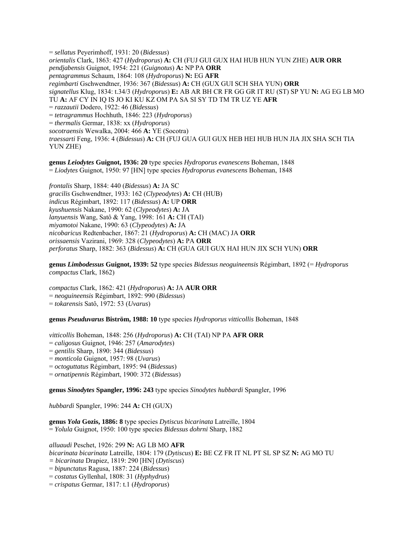= *sellatus* Peyerimhoff, 1931: 20 (*Bidessus*) *orientalis* Clark, 1863: 427 (*Hydroporus*) **A:** CH (FUJ GUI GUX HAI HUB HUN YUN ZHE) **AUR ORR**  *pendjabensis* Guignot, 1954: 221 (*Guignotus*) **A:** NP PA **ORR**  *pentagrammus* Schaum, 1864: 108 (*Hydroporus*) **N:** EG **AFR**  *regimbarti* Gschwendtner, 1936: 367 (*Bidessus*) **A:** CH (GUX GUI SCH SHA YUN) **ORR**  *signatellus* Klug, 1834: t.34/3 (*Hydroporus*) **E:** AB AR BH CR FR GG GR IT RU (ST) SP YU **N:** AG EG LB MO TU **A:** AF CY IN IQ IS JO KI KU KZ OM PA SA SI SY TD TM TR UZ YE **AFR**  = *razzautii* Dodero, 1922: 46 (*Bidessus*) = *tetragrammus* Hochhuth, 1846: 223 (*Hydroporus*) = *thermalis* Germar, 1838: xx (*Hydroporus*) *socotraensis* Wewalka, 2004: 466 **A:** YE (Socotra) *traessarti* Feng, 1936: 4 (*Bidessus*) **A:** CH (FUJ GUA GUI GUX HEB HEI HUB HUN JIA JIX SHA SCH TIA YUN ZHE)

**genus** *Leiodytes* **Guignot, 1936: 20** type species *Hydroporus evanescens* Boheman, 1848 = *Liodytes* Guignot, 1950: 97 [HN] type species *Hydroporus evanescens* Boheman, 1848

*frontalis* Sharp, 1884: 440 (*Bidessus*) **A:** JA SC *gracilis* Gschwendtner, 1933: 162 (*Clypeodytes*) **A:** CH (HUB) *indicus* Régimbart, 1892: 117 (*Bidessus*) **A:** UP **ORR**  *kyushuensis* Nakane, 1990: 62 (*Clypeodytes*) **A:** JA *lanyuensis* Wang, Satô & Yang, 1998: 161 **A:** CH (TAI) *miyamotoi* Nakane, 1990: 63 (*Clypeodytes*) **A:** JA *nicobaricus* Redtenbacher, 1867: 21 (*Hydroporus*) **A:** CH (MAC) JA **ORR**  *orissaensis* Vazirani, 1969: 328 (*Clypeodytes*) **A:** PA **ORR**  *perforatus* Sharp, 1882: 363 (*Bidessus*) **A:** CH (GUA GUI GUX HAI HUN JIX SCH YUN) **ORR** 

**genus** *Limbodessus* **Guignot, 1939: 52** type species *Bidessus neoguineensis* Régimbart, 1892 (= *Hydroporus compactus* Clark, 1862)

*compactus* Clark, 1862: 421 (*Hydroporus*) **A:** JA **AUR ORR**  = *neoguineensis* Régimbart, 1892: 990 (*Bidessus*) = *tokarensis* Satô, 1972: 53 (*Uvarus*)

**genus** *Pseuduvarus* **Biström, 1988: 10** type species *Hydroporus vitticollis* Boheman, 1848

*vitticollis* Boheman, 1848: 256 (*Hydroporus*) **A:** CH (TAI) NP PA **AFR ORR** 

= *caligosus* Guignot, 1946: 257 (*Amarodytes*)

= *gentilis* Sharp, 1890: 344 (*Bidessus*)

= *monticola* Guignot, 1957: 98 (*Uvarus*)

= *octoguttatus* Régimbart, 1895: 94 (*Bidessus*)

= *ornatipennis* Régimbart, 1900: 372 (*Bidessus*)

**genus** *Sinodytes* **Spangler, 1996: 243** type species *Sinodytes hubbardi* Spangler, 1996

*hubbardi* Spangler, 1996: 244 **A:** CH (GUX)

**genus** *Yola* **Gozis, 1886: 8** type species *Dytiscus bicarinata* Latreille, 1804 = *Yolula* Guignot, 1950: 100 type species *Bidessus dohrni* Sharp, 1882

*alluaudi* Peschet, 1926: 299 **N:** AG LB MO **AFR**  *bicarinata bicarinata* Latreille, 1804: 179 (*Dytiscus*) **E:** BE CZ FR IT NL PT SL SP SZ **N:** AG MO TU *= bicarinata* Drapiez, 1819: 290 [HN] (*Dytiscus*) = *bipunctatus* Ragusa, 1887: 224 (*Bidessus*)

= *costatus* Gyllenhal, 1808: 31 (*Hyphydrus*)

= *crispatus* Germar, 1817: t.1 (*Hydroporus*)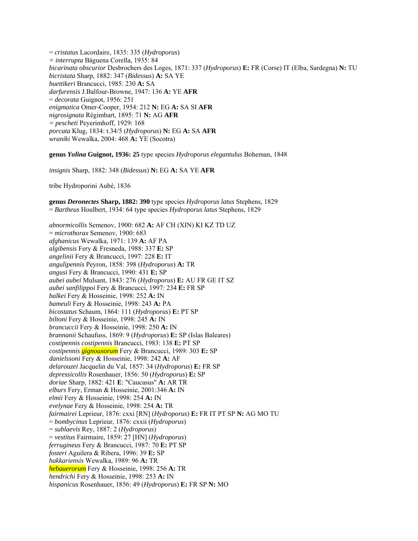= *cristatus* Lacordaire, 1835: 335 (*Hydroporus*) *= interrupta* Báguena Corella, 1935: 84 *bicarinata obscurior* Desbrochers des Loges, 1871: 337 (*Hydroporus*) **E:** FR (Corse) IT (Elba, Sardegna) **N:** TU *bicristata* Sharp, 1882: 347 (*Bidessus*) **A:** SA YE *buettikeri* Brancucci, 1985: 230 **A:** SA *darfurensis* J.Balfour-Browne, 1947: 136 **A:** YE **AFR**  = *decorata* Guignot, 1956: 251 *enigmatica* Omer-Cooper, 1954: 212 **N:** EG **A:** SA SI **AFR**  *nigrosignata* Régimbart, 1895: 71 **N:** AG **AFR**  *= pescheti* Peyerimhoff, 1929: 168 *porcata* Klug, 1834: t.34/5 (*Hydroporus*) **N:** EG **A:** SA **AFR**  *wraniki* Wewalka, 2004: 468 **A:** YE (Socotra)

**genus** *Yolina* **Guignot, 1936: 25** type species *Hydroporus elegantulus* Boheman, 1848

*insignis* Sharp, 1882: 348 (*Bidessus*) **N:** EG **A:** SA YE **AFR** 

tribe Hydroporini Aubé, 1836

**genus** *Deronectes* **Sharp, 1882: 390** type species *Hydroporus latus* Stephens, 1829 = *Bartheus* Houlbert, 1934: 64 type species *Hydroporus latus* Stephens, 1829

*abnormicollis* Semenov, 1900: 682 **A:** AF CH (XIN) KI KZ TD UZ = *microthorax* Semenov, 1900: 683 *afghanicus* Wewalka, 1971: 139 **A:** AF PA *algibensis* Fery & Fresneda, 1988: 337 **E:** SP *angelinii* Fery & Brancucci, 1997: 228 **E:** IT *angulipennis* Peyron, 1858: 398 (*Hydroporus*) **A:** TR *angusi* Fery & Brancucci, 1990: 431 **E:** SP *aubei aubei* Mulsant, 1843: 276 (*Hydroporus*) **E:** AU FR GE IT SZ *aubei sanfilippoi* Fery & Brancucci, 1997: 234 **E:** FR SP *balkei* Fery & Hosseinie, 1998: 252 **A:** IN *bameuli* Fery & Hosseinie, 1998: 243 **A:** PA *bicostatus* Schaum, 1864: 111 (*Hydroporus*) **E:** PT SP *biltoni* Fery & Hosseinie, 1998: 245 **A:** IN *brancuccii* Fery & Hosseinie, 1998: 250 **A:** IN *brannanii* Schaufuss, 1869: 9 (*Hydroporus*) **E:** SP (Islas Baleares) *costipennis costipennis* Brancucci, 1983: 138 **E:** PT SP *costipennis gignouxorum* Fery & Brancucci, 1989: 303 **E:** SP *danielssoni* Fery & Hosseinie, 1998: 242 **A:** AF *delarouzei* Jacquelin du Val, 1857: 34 (*Hydroporus*) **E:** FR SP *depressicollis* Rosenhauer, 1856: 50 (*Hydroporus*) **E:** SP *doriae* Sharp, 1882: 421 **E**: "Caucasus" **A:** AR TR *elburs* Fery, Erman & Hosseinie, 2001:346 **A:** IN *elmii* Fery & Hosseinie, 1998: 254 **A:** IN *evelynae* Fery & Hosseinie, 1998: 254 **A:** TR *fairmairei* Leprieur, 1876: cxxi [RN] (*Hydroporus*) **E:** FR IT PT SP **N:** AG MO TU = *bombycinus* Leprieur, 1876: cxxii (*Hydroporus*) = *sublaevis* Rey, 1887: 2 (*Hydroporus*) = *vestitus* Fairmaire, 1859: 27 [HN] (*Hydroporus*) *ferrugineus* Fery & Brancucci, 1987: 70 **E:** PT SP *fosteri* Aguilera & Ribera, 1996: 39 **E:** SP *hakkariensis* Wewalka, 1989: 96 **A:** TR *hebauerorum* Fery & Hosseinie, 1998: 256 **A:** TR *hendrichi* Fery & Hosseinie, 1998: 253 **A:** IN *hispanicus* Rosenhauer, 1856: 49 (*Hydroporus*) **E:** FR SP **N:** MO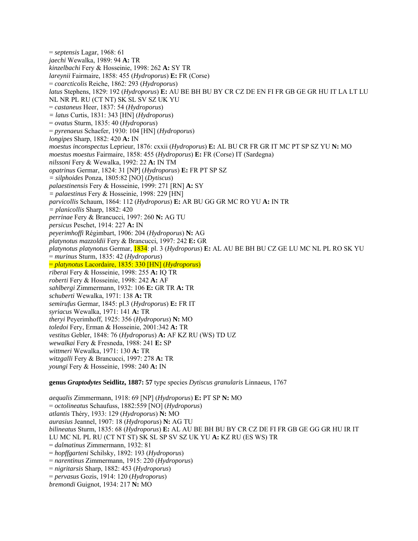= *septensis* Lagar, 1968: 61 *jaechi* Wewalka, 1989: 94 **A:** TR *kinzelbachi* Fery & Hosseinie, 1998: 262 **A:** SY TR *lareynii* Fairmaire, 1858: 455 (*Hydroporus*) **E:** FR (Corse) = *coarcticolis* Reiche, 1862: 293 (*Hydroporus*) *latus* Stephens, 1829: 192 (*Hydroporus*) **E:** AU BE BH BU BY CR CZ DE EN FI FR GB GE GR HU IT LA LT LU NL NR PL RU (CT NT) SK SL SV SZ UK YU = *castaneus* Heer, 1837: 54 (*Hydroporus*) *= latus* Curtis, 1831: 343 [HN] (*Hydroporus*) = *ovatus* Sturm, 1835: 40 (*Hydroporus*) = *pyrenaeus* Schaefer, 1930: 104 [HN] (*Hydroporus*) *longipes* Sharp, 1882: 420 **A:** IN *moestus inconspectus* Leprieur, 1876: cxxii (*Hydroporus*) **E:** AL BU CR FR GR IT MC PT SP SZ YU **N:** MO *moestus moestus* Fairmaire, 1858: 455 (*Hydroporus*) **E:** FR (Corse) IT (Sardegna) *nilssoni* Fery & Wewalka, 1992: 22 **A:** IN TM *opatrinus* Germar, 1824: 31 [NP] (*Hydroporus*) **E:** FR PT SP SZ *= silphoides* Ponza, 1805:82 [NO] (*Dytiscus*) *palaestinensis* Fery & Hosseinie, 1999: 271 [RN] **A:** SY *= palaestinus* Fery & Hosseinie, 1998: 229 [HN] *parvicollis* Schaum, 1864: 112 (*Hydroporus*) **E:** AR BU GG GR MC RO YU **A:** IN TR *= planicollis* Sharp, 1882: 420 *perrinae* Fery & Brancucci, 1997: 260 **N:** AG TU *persicus* Peschet, 1914: 227 **A:** IN *peyerimhoffi* Régimbart, 1906: 204 (*Hydroporus*) **N:** AG *platynotus mazzoldii* Fery & Brancucci, 1997: 242 **E:** GR *platynotus platynotus* Germar, 1834: pl. 3 (*Hydroporus*) **E:** AL AU BE BH BU CZ GE LU MC NL PL RO SK YU = *murinus* Sturm, 1835: 42 (*Hydroporus*) = *platynotus* Lacordaire, 1835: 330 [HN] (*Hydroporus*) *riberai* Fery & Hosseinie, 1998: 255 **A:** IQ TR *roberti* Fery & Hosseinie, 1998: 242 **A:** AF *sahlbergi* Zimmermann, 1932: 106 **E:** GR TR **A:** TR *schuberti* Wewalka, 1971: 138 **A:** TR *semirufus* Germar, 1845: pl.3 (*Hydroporus*) **E:** FR IT *syriacus* Wewalka, 1971: 141 **A:** TR *theryi* Peyerimhoff, 1925: 356 (*Hydroporus*) **N:** MO *toledoi* Fery, Erman & Hosseinie, 2001:342 **A:** TR *vestitus* Gebler, 1848: 76 (*Hydroporus*) **A:** AF KZ RU (WS) TD UZ *wewalkai* Fery & Fresneda, 1988: 241 **E:** SP *wittmeri* Wewalka, 1971: 130 **A:** TR *witzgalli* Fery & Brancucci, 1997: 278 **A:** TR *youngi* Fery & Hosseinie, 1998: 240 **A:** IN **genus** *Graptodytes* **Seidlitz, 1887: 57** type species *Dytiscus granularis* Linnaeus, 1767

*aequalis* Zimmermann, 1918: 69 [NP] (*Hydroporus*) **E:** PT SP **N:** MO = *octolineatus* Schaufuss, 1882:559 [NO] (*Hydroporus*) *atlantis* Théry, 1933: 129 (*Hydroporus*) **N:** MO *aurasius* Jeannel, 1907: 18 (*Hydroporus*) **N:** AG TU *bilineatus* Sturm, 1835: 68 (*Hydroporus*) **E:** AL AU BE BH BU BY CR CZ DE FI FR GB GE GG GR HU IR IT LU MC NL PL RU (CT NT ST) SK SL SP SV SZ UK YU **A:** KZ RU (ES WS) TR = *dalmatinus* Zimmermann, 1932: 81 = *hopffgarteni* Schilsky, 1892: 193 (*Hydroporus*) = *narentinus* Zimmermann, 1915: 220 (*Hydroporus*) = *nigritarsis* Sharp, 1882: 453 (*Hydroporus*) = *pervasus* Gozis, 1914: 120 (*Hydroporus*) *bremondi* Guignot, 1934: 217 **N:** MO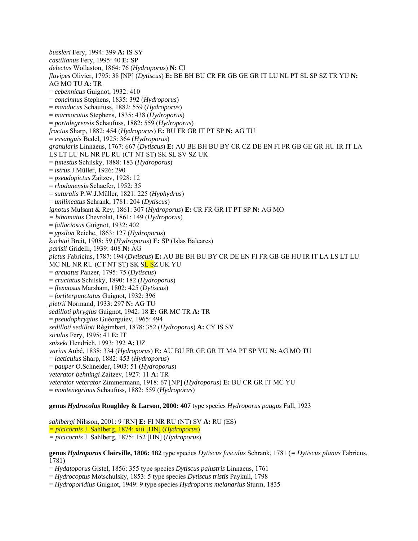*bussleri* Fery, 1994: 399 **A:** IS SY *castilianus* Fery, 1995: 40 **E:** SP *delectus* Wollaston, 1864: 76 (*Hydroporus*) **N:** CI *flavipes* Olivier, 1795: 38 [NP] (*Dytiscus*) **E:** BE BH BU CR FR GB GE GR IT LU NL PT SL SP SZ TR YU **N:**  AG MO TU **A:** TR = *cebennicus* Guignot, 1932: 410 = *concinnus* Stephens, 1835: 392 (*Hydroporus*) = *manducus* Schaufuss, 1882: 559 (*Hydroporus*) = *marmoratus* Stephens, 1835: 438 (*Hydroporus*) = *portalegrensis* Schaufuss, 1882: 559 (*Hydroporus*) *fractus* Sharp, 1882: 454 (*Hydroporus*) **E:** BU FR GR IT PT SP **N:** AG TU = *exsanguis* Bedel, 1925: 364 (*Hydroporus*) *granularis* Linnaeus, 1767: 667 (*Dytiscus*) **E:** AU BE BH BU BY CR CZ DE EN FI FR GB GE GR HU IR IT LA LS LT LU NL NR PL RU (CT NT ST) SK SL SV SZ UK = *funestus* Schilsky, 1888: 183 (*Hydroporus*) = *istrus* J.Müller, 1926: 290 = *pseudopictus* Zaitzev, 1928: 12 = *rhodanensis* Schaefer, 1952: 35 = *suturalis* P.W.J.Müller, 1821: 225 (*Hyphydrus*) = *unilineatus* Schrank, 1781: 204 (*Dytiscus*) *ignotus* Mulsant & Rey, 1861: 307 (*Hydroporus*) **E:** CR FR GR IT PT SP **N:** AG MO *= bihamatus* Chevrolat, 1861: 149 (*Hydroporus*) = *fallaciosus* Guignot, 1932: 402 = *ypsilon* Reiche, 1863: 127 (*Hydroporus*) *kuchtai* Breit, 1908: 59 (*Hydroporus*) **E:** SP (Islas Baleares) *parisii* Gridelli, 1939: 408 **N:** AG *pictus* Fabricius, 1787: 194 (*Dytiscus*) **E:** AU BE BH BU BY CR DE EN FI FR GB GE HU IR IT LA LS LT LU MC NL NR RU (CT NT ST) SK S<mark>L S</mark>Z UK YU = *arcuatus* Panzer, 1795: 75 (*Dytiscus*) = *cruciatus* Schilsky, 1890: 182 (*Hydroporus*) = *flexuosus* Marsham, 1802: 425 (*Dytiscus*) = *fortiterpunctatus* Guignot, 1932: 396 *pietrii* Normand, 1933: 297 **N:** AG TU *sedilloti phrygius* Guignot, 1942: 18 **E:** GR MC TR **A:** TR = *pseudophrygius* Guéorguiev, 1965: 494 *sedilloti sedilloti* Régimbart, 1878: 352 (*Hydroporus*) **A:** CY IS SY *siculus* Fery, 1995: 41 **E:** IT *snizeki* Hendrich, 1993: 392 **A:** UZ *varius* Aubé, 1838: 334 (*Hydroporus*) **E:** AU BU FR GE GR IT MA PT SP YU **N:** AG MO TU = *laeticulus* Sharp, 1882: 453 (*Hydroporus*) = *pauper* O.Schneider, 1903: 51 (*Hydroporus*) *veterator behningi* Zaitzev, 1927: 11 **A:** TR *veterator veterator* Zimmermann, 1918: 67 [NP] (*Hydroporus*) **E:** BU CR GR IT MC YU = *montenegrinus* Schaufuss, 1882: 559 (*Hydroporus*)

**genus** *Hydrocolus* **Roughley & Larson, 2000: 407** type species *Hydroporus paugus* Fall, 1923

*sahlbergi* Nilsson, 2001: 9 [RN] **E:** FI NR RU (NT) SV **A:** RU (ES) *= picicornis* J. Sahlberg, 1874: xiii [HN] (*Hydroporus*) *= picicornis* J. Sahlberg, 1875: 152 [HN] (*Hydroporus*)

**genus** *Hydroporus* **Clairville, 1806: 182** type species *Dytiscus fusculus* Schrank, 1781 (*= Dytiscus planus* Fabricus, 1781)

= *Hydatoporus* Gistel, 1856: 355 type species *Dytiscus palustris* Linnaeus, 1761

= *Hydrocoptus* Motschulsky, 1853: 5 type species *Dytiscus tristis* Paykull, 1798

= *Hydroporidius* Guignot, 1949: 9 type species *Hydroporus melanarius* Sturm, 1835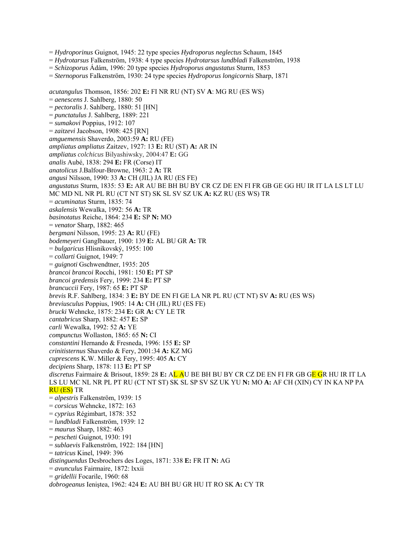= *Hydroporinus* Guignot, 1945: 22 type species *Hydroporus neglectus* Schaum, 1845

= *Hydrotarsus* Falkenström, 1938: 4 type species *Hydrotarsus lundbladi* Falkenström, 1938

= *Schizoporus* Ádám, 1996: 20 type species *Hydroporus angustatus* Sturm, 1853

= *Sternoporus* Falkenström, 1930: 24 type species *Hydroporus longicornis* Sharp, 1871

*acutangulus* Thomson, 1856: 202 **E:** FI NR RU (NT) SV **A**: MG RU (ES WS) = *aenescens* J. Sahlberg, 1880: 50 = *pectoralis* J. Sahlberg, 1880: 51 [HN] = *punctatulus* J. Sahlberg, 1889: 221 = *sumakovi* Poppius, 1912: 107 = *zaitzevi* Jacobson, 1908: 425 [RN] *amguemensis* Shaverdo, 2003:59 **A:** RU (FE) *ampliatus ampliatus* Zaitzev, 1927: 13 **E:** RU (ST) **A:** AR IN *ampliatus colchicus* Bilyashiwsky, 2004:47 **E:** GG *analis* Aubé, 1838: 294 **E:** FR (Corse) IT *anatolicus* J.Balfour-Browne, 1963: 2 **A:** TR *angusi* Nilsson, 1990: 33 **A:** CH (JIL) JA RU (ES FE) *angustatus* Sturm, 1835: 53 **E:** AR AU BE BH BU BY CR CZ DE EN FI FR GB GE GG HU IR IT LA LS LT LU MC MD NL NR PL RU (CT NT ST) SK SL SV SZ UK **A:** KZ RU (ES WS) TR = *acuminatus* Sturm, 1835: 74 *askalensis* Wewalka, 1992: 56 **A:** TR *basinotatus* Reiche, 1864: 234 **E:** SP **N:** MO = *venator* Sharp, 1882: 465 *bergmani* Nilsson, 1995: 23 **A:** RU (FE) *bodemeyeri* Ganglbauer, 1900: 139 **E:** AL BU GR **A:** TR = *bulgaricus* Hlisnikovský, 1955: 100 = *collarti* Guignot, 1949: 7 = *guignoti* Gschwendtner, 1935: 205 *brancoi brancoi* Rocchi, 1981: 150 **E:** PT SP *brancoi gredensis* Fery, 1999: 234 **E:** PT SP *brancuccii* Fery, 1987: 65 **E:** PT SP *brevis* R.F. Sahlberg, 1834: 3 **E:** BY DE EN FI GE LA NR PL RU (CT NT) SV **A:** RU (ES WS) *breviusculus* Poppius, 1905: 14 **A:** CH (JIL) RU (ES FE) *brucki* Wehncke, 1875: 234 **E:** GR **A:** CY LE TR *cantabricus* Sharp, 1882: 457 **E:** SP *carli* Wewalka, 1992: 52 **A:** YE *compunctus* Wollaston, 1865: 65 **N:** CI *constantini* Hernando & Fresneda, 1996: 155 **E:** SP *crinitisternus* Shaverdo & Fery, 2001:34 **A:** KZ MG *cuprescens* K.W. Miller & Fery, 1995: 405 **A:** CY *decipiens* Sharp, 1878: 113 **E:** PT SP *discretus* Fairmaire & Brisout, 1859: 28 **E:** AL AU BE BH BU BY CR CZ DE EN FI FR GB GE GR HU IR IT LA LS LU MC NL NR PL PT RU (CT NT ST) SK SL SP SV SZ UK YU **N:** MO **A:** AF CH (XIN) CY IN KA NP PA RU (ES) TR = *alpestris* Falkenström, 1939: 15 = *corsicus* Wehncke, 1872: 163 = *cyprius* Régimbart, 1878: 352 = *lundbladi* Falkenström, 1939: 12 = *maurus* Sharp, 1882: 463 = *pescheti* Guignot, 1930: 191 = *sublaevis* Falkenström, 1922: 184 [HN] = *tatricus* Kinel, 1949: 396 *distinguendus* Desbrochers des Loges, 1871: 338 **E:** FR IT **N:** AG = *avunculus* Fairmaire, 1872: lxxii = *gridellii* Focarile, 1960: 68 *dobrogeanus* Ieniştea, 1962: 424 **E:** AU BH BU GR HU IT RO SK **A:** CY TR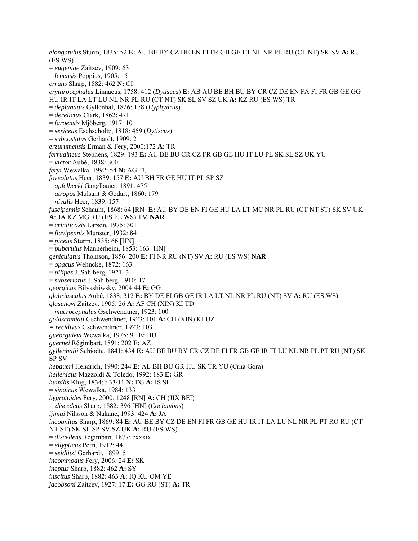*elongatulus* Sturm, 1835: 52 **E:** AU BE BY CZ DE EN FI FR GB GE LT NL NR PL RU (CT NT) SK SV **A:** RU (ES WS) = *eugeniae* Zaitzev, 1909: 63 = *lenensis* Poppius, 1905: 15 *errans* Sharp, 1882: 462 **N:** CI *erythrocephalus* Linnaeus, 1758: 412 (*Dytiscus*) **E:** AB AU BE BH BU BY CR CZ DE EN FA FI FR GB GE GG HU IR IT LA LT LU NL NR PL RU (CT NT) SK SL SV SZ UK **A:** KZ RU (ES WS) TR = *deplanatus* Gyllenhal, 1826: 178 (*Hyphydrus*) = *derelictus* Clark, 1862: 471 = *faroensis* Mjöberg, 1917: 10 = *sericeus* Eschscholtz, 1818: 459 (*Dytiscus*) = *subcostatus* Gerhardt, 1909: 2 *erzurumensis* Erman & Fery, 2000:172 **A:** TR *ferrugineus* Stephens, 1829: 193 **E:** AU BE BU CR CZ FR GB GE HU IT LU PL SK SL SZ UK YU = *victor* Aubé, 1838: 300 *feryi* Wewalka, 1992: 54 **N:** AG TU *foveolatus* Heer, 1839: 157 **E:** AU BH FR GE HU IT PL SP SZ = *apfelbecki* Ganglbauer, 1891: 475 = *atropos* Mulsant & Godart, 1860: 179 = *nivalis* Heer, 1839: 157 *fuscipennis* Schaum, 1868: 64 [RN] **E:** AU BY DE EN FI GE HU LA LT MC NR PL RU (CT NT ST) SK SV UK **A:** JA KZ MG RU (ES FE WS) TM **NAR**  = *criniticoxis* Larson, 1975: 301 = *flavipennis* Munster, 1932: 84 = *piceus* Sturm, 1835: 66 [HN] = *puberulus* Mannerheim, 1853: 163 [HN] *geniculatus* Thomson, 1856: 200 **E:** FI NR RU (NT) SV **A:** RU (ES WS) **NAR**  = *opacus* Wehncke, 1872: 163 = *pilipes* J. Sahlberg, 1921: 3 = *subseriatus* J. Sahlberg, 1910: 171 *georgicus* Bilyashiwsky, 2004:44 **E:** GG *glabriusculus* Aubé, 1838: 312 **E:** BY DE FI GB GE IR LA LT NL NR PL RU (NT) SV **A:** RU (ES WS) *glasunovi* Zaitzev, 1905: 26 **A:** AF CH (XIN) KI TD = *macrocephalus* Gschwendtner, 1923: 100 *goldschmidti* Gschwendtner, 1923: 101 **A:** CH (XIN) KI UZ *= recidivus* Gschwendtner, 1923: 103 *gueorguievi* Wewalka, 1975: 91 **E:** BU *guernei* Régimbart, 1891: 202 **E:** AZ *gyllenhalii* Schiødte, 1841: 434 **E:** AU BE BU BY CR CZ DE FI FR GB GE IR IT LU NL NR PL PT RU (NT) SK SP SV *hebaueri* Hendrich, 1990: 244 **E:** AL BH BU GR HU SK TR YU (Crna Gora) *hellenicus* Mazzoldi & Toledo, 1992: 183 **E:** GR *humilis* Klug, 1834: t.33/11 **N:** EG **A:** IS SI = *sinaicus* Wewalka, 1984: 133 *hygrotoides* Fery, 2000: 1248 [RN] **A:** CH (JIX BEI) *= discedens* Sharp, 1882: 396 [HN] (*Coelambus*) *ijimai* Nilsson & Nakane, 1993: 424 **A:** JA *incognitus* Sharp, 1869: 84 **E:** AU BE BY CZ DE EN FI FR GB GE HU IR IT LA LU NL NR PL PT RO RU (CT NT ST) SK SL SP SV SZ UK **A:** RU (ES WS) = *discedens* Régimbart, 1877: cxxxix = *ellypticus* Pétri, 1912: 44 = *seidlitzi* Gerhardt, 1899: 5 *incommodus* Fery, 2006: 24 **E:** SK *ineptus* Sharp, 1882: 462 **A:** SY *inscitus* Sharp, 1882: 463 **A:** IQ KU OM YE *jacobsoni* Zaitzev, 1927: 17 **E:** GG RU (ST) **A:** TR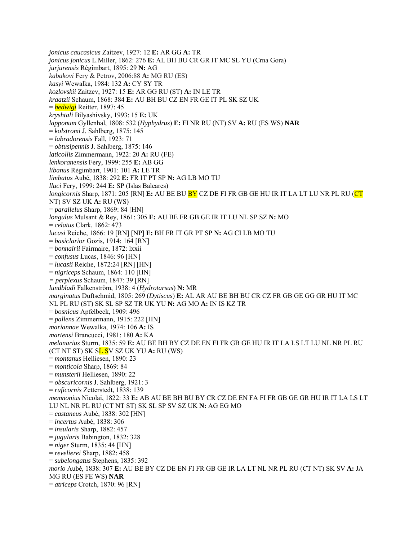*jonicus caucasicus* Zaitzev, 1927: 12 **E:** AR GG **A:** TR *jonicus jonicus* L.Miller, 1862: 276 **E:** AL BH BU CR GR IT MC SL YU (Crna Gora) *jurjurensis* Régimbart, 1895: 29 **N:** AG *kabakovi* Fery & Petrov, 2006:88 **A:** MG RU (ES) *kasyi* Wewalka, 1984: 132 **A:** CY SY TR *kozlovskii* Zaitzev, 1927: 15 **E:** AR GG RU (ST) **A:** IN LE TR *kraatzii* Schaum, 1868: 384 **E:** AU BH BU CZ EN FR GE IT PL SK SZ UK = *hedwigi* Reitter, 1897: 45 *kryshtali* Bilyashivsky, 1993: 15 **E:** UK *lapponum* Gyllenhal, 1808: 532 (*Hyphydrus*) **E:** FI NR RU (NT) SV **A:** RU (ES WS) **NAR**  = *kolstromi* J. Sahlberg, 1875: 145 = *labradorensis* Fall, 1923: 71 = *obtusipennis* J. Sahlberg, 1875: 146 *laticollis* Zimmermann, 1922: 20 **A:** RU (FE) *lenkoranensis* Fery, 1999: 255 **E:** AB GG *libanus* Régimbart, 1901: 101 **A:** LE TR *limbatus* Aubé, 1838: 292 **E:** FR IT PT SP **N:** AG LB MO TU *lluci* Fery, 1999: 244 **E:** SP (Islas Baleares) *longicornis* Sharp, 1871: 205 [RN] **E:** AU BE BU **BY** CZ DE FI FR GB GE HU IR IT LA LT LU NR PL RU (CT NT) SV SZ UK **A:** RU (WS) = *parallelus* Sharp, 1869: 84 [HN] *longulus* Mulsant & Rey, 1861: 305 **E:** AU BE FR GB GE IR IT LU NL SP SZ **N:** MO = *celatus* Clark, 1862: 473 *lucasi* Reiche, 1866: 19 [RN] [NP] **E:** BH FR IT GR PT SP **N:** AG CI LB MO TU = *basiclarior* Gozis, 1914: 164 [RN] = *bonnairii* Fairmaire, 1872: lxxii = *confusus* Lucas, 1846: 96 [HN] = *lucasii* Reiche, 1872:24 [RN] [HN] = *nigriceps* Schaum, 1864: 110 [HN] *= perplexus* Schaum, 1847: 39 [RN] *lundbladi* Falkenström, 1938: 4 (*Hydrotarsus*) **N:** MR *marginatus* Duftschmid, 1805: 269 (*Dytiscus*) **E:** AL AR AU BE BH BU CR CZ FR GB GE GG GR HU IT MC NL PL RU (ST) SK SL SP SZ TR UK YU **N:** AG MO **A:** IN IS KZ TR = *bosnicus* Apfelbeck, 1909: 496 = *pallens* Zimmermann, 1915: 222 [HN] *mariannae* Wewalka, 1974: 106 **A:** IS *martensi* Brancucci, 1981: 180 **A:** KA *melanarius* Sturm, 1835: 59 **E:** AU BE BH BY CZ DE EN FI FR GB GE HU IR IT LA LS LT LU NL NR PL RU (CT NT ST) SK SL SV SZ UK YU **A:** RU (WS) = *montanus* Helliesen, 1890: 23 = *monticola* Sharp, 1869: 84 = *munsterii* Helliesen, 1890: 22 = *obscuricornis* J. Sahlberg, 1921: 3 = *ruficornis* Zetterstedt, 1838: 139 *memnonius* Nicolai, 1822: 33 **E:** AB AU BE BH BU BY CR CZ DE EN FA FI FR GB GE GR HU IR IT LA LS LT LU NL NR PL RU (CT NT ST) SK SL SP SV SZ UK **N:** AG EG MO = *castaneus* Aubé, 1838: 302 [HN] = *incertus* Aubé, 1838: 306 = *insularis* Sharp, 1882: 457 = *jugularis* Babington, 1832: 328 = *niger* Sturm, 1835: 44 [HN] = *revelierei* Sharp, 1882: 458 = *subelongatus* Stephens, 1835: 392 *morio* Aubé, 1838: 307 **E:** AU BE BY CZ DE EN FI FR GB GE IR LA LT NL NR PL RU (CT NT) SK SV **A:** JA MG RU (ES FE WS) **NAR**  = *atriceps* Crotch, 1870: 96 [RN]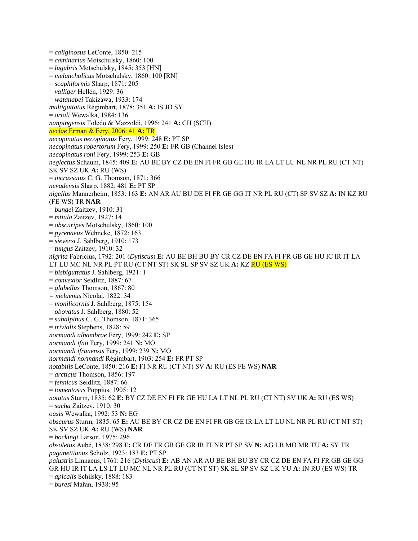= *caliginosus* LeConte, 1850: 215 = *caminarius* Motschulsky, 1860: 100 = *lugubris* Motschulsky, 1845: 353 [HN] = *melancholicus* Motschulsky, 1860: 100 [RN] = *scaphiformis* Sharp, 1871: 205 = *valliger* Hellén, 1929: 36 = *watanabei* Takizawa, 1933: 174 *multiguttatus* Régimbart, 1878: 351 **A:** IS JO SY = *ortali* Wewalka, 1984: 136 *nanpingensis* Toledo & Mazzoldi, 1996: 241 **A:** CH (SCH) *neclae* Erman & Fery, 2006: 41 **A:** TR *necopinatus necopinatus* Fery, 1999: 248 **E:** PT SP *necopinatus robertorum* Fery, 1999: 250 **E:** FR GB (Channel Isles) *necopinatus roni* Fery, 1999: 253 **E:** GB *neglectus* Schaum, 1845: 409 **E:** AU BE BY CZ DE EN FI FR GB GE HU IR LA LT LU NL NR PL RU (CT NT) SK SV SZ UK **A:** RU (WS) = *incrassatus* C. G. Thomson, 1871: 366 *nevadensis* Sharp, 1882: 481 **E:** PT SP *nigellus* Mannerheim, 1853: 163 **E:** AN AR AU BU DE FI FR GE GG IT NR PL RU (CT) SP SV SZ **A:** IN KZ RU (FE WS) TR **NAR**  = *bungei* Zaitzev, 1910: 31 = *mtiula* Zaitzev, 1927: 14 = *obscuripes* Motschulsky, 1860: 100 = *pyrenaeus* Wehncke, 1872: 163 = *sieversi* J. Sahlberg, 1910: 173 = *tungus* Zaitzev, 1910: 32 *nigrita* Fabricius, 1792: 201 (*Dytiscus*) **E:** AU BE BH BU BY CR CZ DE EN FA FI FR GB GE HU IC IR IT LA LT LU MC NL NR PL PT RU (CT NT ST) SK SL SP SV SZ UK **A:** KZ RU (ES WS) = *bisbiguttatus* J. Sahlberg, 1921: 1 = *convexior* Seidlitz, 1887: 67 = *glabellus* Thomson, 1867: 80 *= melaenus* Nicolai, 1822: 34 = *monilicornis* J. Sahlberg, 1875: 154 = *obovatus* J. Sahlberg, 1880: 52 = *subalpinus* C. G. Thomson, 1871: 365 = *trivialis* Stephens, 1828: 59 *normandi alhambrae* Fery, 1999: 242 **E:** SP *normandi ifnii* Fery, 1999: 241 **N:** MO *normandi ifranensis* Fery, 1999: 239 **N:** MO *normandi normandi* Régimbart, 1903: 254 **E:** FR PT SP *notabilis* LeConte, 1850: 216 **E:** FI NR RU (CT NT) SV **A:** RU (ES FE WS) **NAR**  = *arcticus* Thomson, 1856: 197 = *fennicus* Seidlitz, 1887: 66 = *tomentosus* Poppius, 1905: 12 *notatus* Sturm, 1835: 62 **E:** BY CZ DE EN FI FR GE HU LA LT NL PL RU (CT NT) SV UK **A:** RU (ES WS) = *sacha* Zaitzev, 1910: 30 *oasis* Wewalka, 1992: 53 **N:** EG *obscurus* Sturm, 1835: 65 **E:** AU BE BY CR CZ DE EN FI FR GB GE IR LA LT LU NL NR PL RU (CT NT ST) SK SV SZ UK **A:** RU (WS) **NAR**  = *hockingi* Larson, 1975: 296 *obsoletus* Aubé, 1838: 298 **E:** CR DE FR GB GE GR IR IT NR PT SP SV **N:** AG LB MO MR TU **A:** SY TR *paganettianus* Scholz, 1923: 183 **E:** PT SP *palustris* Linnaeus, 1761: 216 (*Dytiscus*) **E:** AB AN AR AU BE BH BU BY CR CZ DE EN FA FI FR GB GE GG GR HU IR IT LA LS LT LU MC NL NR PL RU (CT NT ST) SK SL SP SV SZ UK YU **A:** IN RU (ES WS) TR = *apicalis* Schilsky, 1888: 183 = *buresi* Mařan, 1938: 95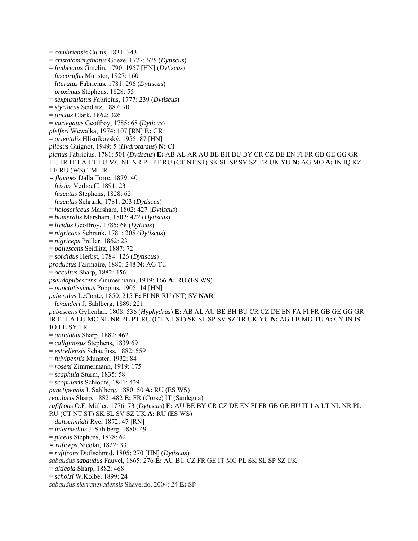= *cambriensis* Curtis, 1831: 343 = *cristatomarginatus* Goeze, 1777: 625 (*Dytiscus*) = *fimbriatus* Gmelin, 1790: 1957 [HN] (*Dytiscus*) = *fuscorufus* Munster, 1927: 160 = *lituratus* Fabricius, 1781: 296 (*Dytiscus*) = *proximus* Stephens, 1828: 55 = *sexpustulatus* Fabricius, 1777: 239 (*Dytiscus*) = *styriacus* Seidlitz, 1887: 70 = *tinctus* Clark, 1862: 326 = *variegatus* Geoffroy, 1785: 68 (*Dyticus*) *pfefferi* Wewalka, 1974: 107 [RN] **E:** GR = *orientalis* Hlisnikovský, 1955: 87 [HN] *pilosus* Guignot, 1949: 5 (*Hydrotarsus*) **N:** CI *planus* Fabricius, 1781: 501 (*Dytiscus*) **E:** AB AL AR AU BE BH BU BY CR CZ DE EN FI FR GB GE GG GR HU IR IT LA LT LU MC NL NR PL PT RU (CT NT ST) SK SL SP SV SZ TR UK YU **N:** AG MO **A:** IN IQ KZ LE RU (WS) TM TR *= flavipes* Dalla Torre, 1879: 40 = *frisius* Verhoeff, 1891: 23 = *fuscatus* Stephens, 1828: 62 = *fusculus* Schrank, 1781: 203 (*Dytiscus*) = *holosericeus* Marsham, 1802: 427 (*Dytiscus*) = *humeralis* Marsham, 1802: 422 (*Dytiscus*) = *lividus* Geoffroy, 1785: 68 (*Dyticus*) = *nigricans* Schrank, 1781: 205 (*Dytiscus*) = *nigriceps* Preller, 1862: 23 = *pallescens* Seidlitz, 1887: 72 = *sordidus* Herbst, 1784: 126 (*Dytiscus*) *productus* Fairmaire, 1880: 248 **N:** AG TU = *occultus* Sharp, 1882: 456 *pseudopubescens* Zimmermann, 1919: 166 **A:** RU (ES WS) = *punctatissimus* Poppius, 1905: 14 [HN] *puberulus* LeConte, 1850: 215 **E:** FI NR RU (NT) SV **NAR**  = *levanderi* J. Sahlberg, 1889: 221 *pubescens* Gyllenhal, 1808: 536 (*Hyphydrus*) **E:** AB AL AU BE BH BU CR CZ DE EN FA FI FR GB GE GG GR IR IT LA LU MC NL NR PL PT RU (CT NT ST) SK SL SP SV SZ TR UK YU **N:** AG LB MO TU **A:** CY IN IS JO LE SY TR = *antidotus* Sharp, 1882: 462 = *caliginosus* Stephens, 1839:69 = *estrellensis* Schaufuss, 1882: 559 = *fulvipennis* Munster, 1932: 84 = *roseni* Zimmermann, 1919: 175 = *scaphula* Sturm, 1835: 58 = *scopularis* Schiødte, 1841: 439 *punctipennis* J. Sahlberg, 1880: 50 **A:** RU **(**ES WS) *regularis* Sharp, 1882: 482 **E:** FR (Corse) IT (Sardegna) *rufifrons* O.F. Müller, 1776: 73 (*Dytiscus*) **E:** AU BE BY CR CZ DE EN FI FR GB GE HU IT LA LT NL NR PL RU (CT NT ST) SK SL SV SZ UK **A:** RU (ES WS) = *duftschmidti* Rye, 1872: 47 [RN] = *intermedius* J. Sahlberg, 1880: 49 = *piceus* Stephens, 1828: 62 *= ruficeps* Nicolai, 1822: 33 = *rufifrons* Duftschmid, 1805: 270 [HN] (*Dytiscus*) *sabaudus sabaudus* Fauvel, 1865: 276 **E:** AU BU CZ FR GE IT MC PL SK SL SP SZ UK = *alticola* Sharp, 1882: 468 = *scholzi* W.Kolbe, 1899: 24 *sabaudus sierranevadensis* Shaverdo, 2004: 24 **E:** SP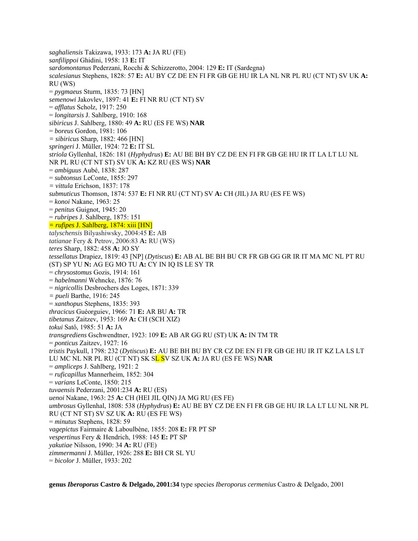*saghaliensis* Takizawa, 1933: 173 **A:** JA RU (FE) *sanfilippoi* Ghidini, 1958: 13 **E:** IT *sardomontanus* Pederzani, Rocchi & Schizzerotto, 2004: 129 **E:** IT (Sardegna) *scalesianus* Stephens, 1828: 57 **E:** AU BY CZ DE EN FI FR GB GE HU IR LA NL NR PL RU (CT NT) SV UK **A:** RU (WS) = *pygmaeus* Sturm, 1835: 73 [HN] *semenowi* Jakovlev, 1897: 41 **E:** FI NR RU (CT NT) SV = *afflatus* Scholz, 1917: 250 = *longitarsis* J. Sahlberg, 1910: 168 *sibiricus* J. Sahlberg, 1880: 49 **A:** RU (ES FE WS) **NAR**  = *boreus* Gordon, 1981: 106 *= sibiricus* Sharp, 1882: 466 [HN] *springeri* J. Müller, 1924: 72 **E:** IT SL *striola* Gyllenhal, 1826: 181 (*Hyphydrus*) **E:** AU BE BH BY CZ DE EN FI FR GB GE HU IR IT LA LT LU NL NR PL RU (CT NT ST) SV UK **A:** KZ RU (ES WS) **NAR**  = *ambiguus* Aubé, 1838: 287 = *subtonsus* LeConte, 1855: 297 *= vittula* Erichson, 1837: 178 *submuticus* Thomson, 1874: 537 **E:** FI NR RU (CT NT) SV **A:** CH (JIL) JA RU (ES FE WS) = *konoi* Nakane, 1963: 25 = *penitus* Guignot, 1945: 20 = *rubripes* J. Sahlberg, 1875: 151 *= rufipes* J. Sahlberg, 1874: xiii [HN] *talyschensis* Bilyashiwsky, 2004:45 **E:** AB *tatianae* Fery & Petrov, 2006:83 **A:** RU (WS) *teres* Sharp, 1882: 458 **A:** JO SY *tessellatus* Drapiez, 1819: 43 [NP] (*Dytiscus*) **E:** AB AL BE BH BU CR FR GB GG GR IR IT MA MC NL PT RU (ST) SP YU **N:** AG EG MO TU **A:** CY IN IQ IS LE SY TR = *chrysostomus* Gozis, 1914: 161 = *habelmanni* Wehncke, 1876: 76 = *nigricollis* Desbrochers des Loges, 1871: 339 *= pueli* Barthe, 1916: 245 = *xanthopus* Stephens, 1835: 393 *thracicus* Guéorguiev, 1966: 71 **E:** AR BU **A:** TR *tibetanus* Zaitzev, 1953: 169 **A:** CH (SCH XIZ) *tokui* Satô, 1985: 51 **A:** JA *transgrediens* Gschwendtner, 1923: 109 **E:** AB AR GG RU (ST) UK **A:** IN TM TR = *ponticus* Zaitzev, 1927: 16 *tristis* Paykull, 1798: 232 (*Dytiscus*) **E:** AU BE BH BU BY CR CZ DE EN FI FR GB GE HU IR IT KZ LA LS LT LU MC NL NR PL RU (CT NT) SK SL SV SZ UK **A:** JA RU (ES FE WS) **NAR**  = *ampliceps* J. Sahlberg, 1921: 2 = *ruficapillus* Mannerheim, 1852: 304 = *varians* LeConte, 1850: 215 *tuvaensis* Pederzani, 2001:234 **A:** RU (ES) *uenoi* Nakane, 1963: 25 **A:** CH (HEI JIL QIN) JA MG RU (ES FE) *umbrosus* Gyllenhal, 1808: 538 (*Hyphydrus*) **E:** AU BE BY CZ DE EN FI FR GB GE HU IR LA LT LU NL NR PL RU (CT NT ST) SV SZ UK **A:** RU (ES FE WS) = *minutus* Stephens, 1828: 59 *vagepictus* Fairmaire & Laboulbène, 1855: 208 **E:** FR PT SP *vespertinus* Fery & Hendrich, 1988: 145 **E:** PT SP *yakutiae* Nilsson, 1990: 34 **A:** RU (FE) *zimmermanni* J. Müller, 1926: 288 **E:** BH CR SL YU = *bicolor* J. Müller, 1933: 202

**genus** *Iberoporus* **Castro & Delgado, 2001:34** type species *Iberoporus cermenius* Castro & Delgado, 2001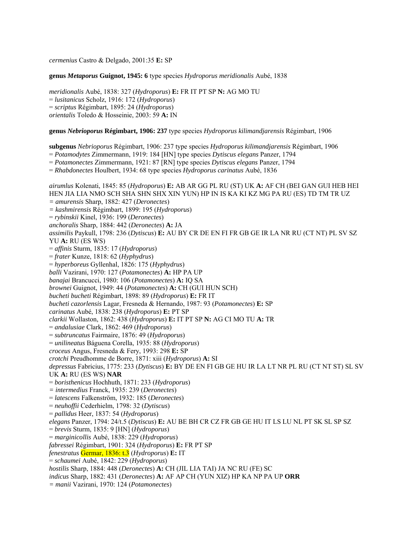*cermenius* Castro & Delgado, 2001:35 **E:** SP

**genus** *Metaporus* **Guignot, 1945: 6** type species *Hydroporus meridionalis* Aubé, 1838

*meridionalis* Aubé, 1838: 327 (*Hydroporus*) **E:** FR IT PT SP **N:** AG MO TU = *lusitanicus* Scholz, 1916: 172 (*Hydroporus*) = *scriptus* Régimbart, 1895: 24 (*Hydroporus*) *orientalis* Toledo & Hosseinie, 2003: 59 **A:** IN

**genus** *Nebrioporus* **Régimbart, 1906: 237** type species *Hydroporus kilimandjarensis* Régimbart, 1906

**subgenus** *Nebrioporus* Régimbart, 1906: 237 type species *Hydroporus kilimandjarensis* Régimbart, 1906

= *Potamodytes* Zimmermann, 1919: 184 [HN] type species *Dytiscus elegans* Panzer, 1794

= *Potamonectes* Zimmermann, 1921: 87 [RN] type species *Dytiscus elegans* Panzer, 1794

= *Rhabdonectes* Houlbert, 1934: 68 type species *Hydroporus carinatus* Aubé, 1836

*airumlus* Kolenati, 1845: 85 (*Hydroporus*) **E:** AB AR GG PL RU (ST) UK **A:** AF CH (BEI GAN GUI HEB HEI HEN JIA LIA NMO SCH SHA SHN SHX XIN YUN) HP IN IS KA KI KZ MG PA RU (ES) TD TM TR UZ *= amurensis* Sharp, 1882: 427 (*Deronectes*) *= kashmirensis* Régimbart, 1899: 195 (*Hydroporus*) = *rybinskii* Kinel, 1936: 199 (*Deronectes*) *anchoralis* Sharp, 1884: 442 (*Deronectes*) **A:** JA *assimilis* Paykull, 1798: 236 (*Dytiscus*) **E:** AU BY CR DE EN FI FR GB GE IR LA NR RU (CT NT) PL SV SZ YU **A:** RU (ES WS) = *affinis* Sturm, 1835: 17 (*Hydroporus*) = *frater* Kunze, 1818: 62 (*Hyphydrus*) = *hyperboreus* Gyllenhal, 1826: 175 (*Hyphydrus*) *balli* Vazirani, 1970: 127 (*Potamonectes*) **A:** HP PA UP *banajai* Brancucci, 1980: 106 (*Potamonectes*) **A:** IQ SA *brownei* Guignot, 1949: 44 (*Potamonectes*) **A:** CH (GUI HUN SCH) *bucheti bucheti* Régimbart, 1898: 89 (*Hydroporus*) **E:** FR IT *bucheti cazorlensis* Lagar, Fresneda & Hernando, 1987: 93 (*Potamonectes*) **E:** SP *carinatus* Aubé, 1838: 238 (*Hydroporus*) **E:** PT SP *clarkii* Wollaston, 1862: 438 (*Hydroporus*) **E:** IT PT SP **N:** AG CI MO TU **A:** TR = *andalusiae* Clark, 1862: 469 (*Hydroporus*) = *subtruncatus* Fairmaire, 1876: 49 (*Hydroporus*) = *unilineatus* Báguena Corella, 1935: 88 (*Hydroporus*) *croceus* Angus, Fresneda & Fery, 1993: 298 **E:** SP *crotchi* Preudhomme de Borre, 1871: xiii (*Hydroporus*) **A:** SI *depressus* Fabricius, 1775: 233 (*Dytiscus*) **E:** BY DE EN FI GB GE HU IR LA LT NR PL RU (CT NT ST) SL SV UK **A:** RU (ES WS) **NAR**  = *boristhenicus* Hochhuth, 1871: 233 (*Hydroporus*) *= intermedius* Franck, 1935: 239 (*Deronectes*) = *latescens* Falkenström, 1932: 185 (*Deronectes*) = *neuhoffii* Cederhielm, 1798: 32 (*Dytiscus*) = *pallidus* Heer, 1837: 54 (*Hydroporus*) *elegans* Panzer, 1794: 24/t.5 (*Dytiscus*) **E:** AU BE BH CR CZ FR GB GE HU IT LS LU NL PT SK SL SP SZ = *brevis* Sturm, 1835: 9 [HN] (*Hydroporus*) = *marginicollis* Aubé, 1838: 229 (*Hydroporus*) *fabressei* Régimbart, 1901: 324 (*Hydroporus*) **E:** FR PT SP *fenestratus* Germar, 1836: t.3 (*Hydroporus*) **E:** IT = *schaumei* Aubé, 1842: 229 (*Hydroporus*) *hostilis* Sharp, 1884: 448 (*Deronectes*) **A:** CH (JIL LIA TAI) JA NC RU (FE) SC *indicus* Sharp, 1882: 431 (*Deronectes*) **A:** AF AP CH (YUN XIZ) HP KA NP PA UP **ORR**  *= manii* Vazirani, 1970: 124 (*Potamonectes*)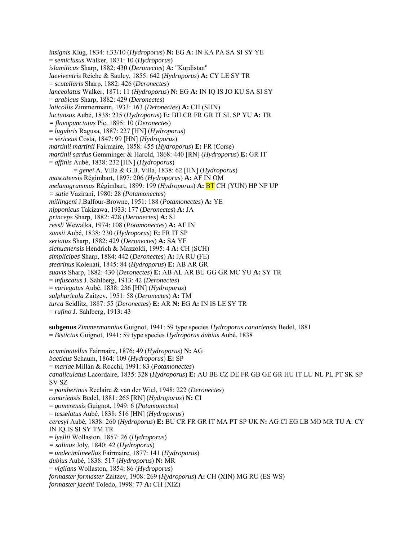*insignis* Klug, 1834: t.33/10 (*Hydroporus*) **N:** EG **A:** IN KA PA SA SI SY YE = *semiclusus* Walker, 1871: 10 (*Hydroporus*) *islamiticus* Sharp, 1882: 430 (*Deronectes*) **A:** "Kurdistan" *laeviventris* Reiche & Saulcy, 1855: 642 (*Hydroporus*) **A:** CY LE SY TR = *scutellaris* Sharp, 1882: 426 (*Deronectes*) *lanceolatus* Walker, 1871: 11 (*Hydroporus*) **N:** EG **A:** IN IQ IS JO KU SA SI SY = *arabicus* Sharp, 1882: 429 (*Deronectes*) *laticollis* Zimmermann, 1933: 163 (*Deronectes*) **A:** CH (SHN) *luctuosus* Aubé, 1838: 235 (*Hydroporus*) **E:** BH CR FR GR IT SL SP YU **A:** TR *= flavopunctatus* Pic, 1895: 10 (*Deronectes*) = *lugubris* Ragusa, 1887: 227 [HN] (*Hydroporus*) = *sericeus* Costa, 1847: 99 [HN] (*Hydroporus*) *martinii martinii* Fairmaire, 1858: 455 (*Hydroporus*) **E:** FR (Corse) *martinii sardus* Gemminger & Harold, 1868: 440 [RN] (*Hydroporus*) **E:** GR IT = *affinis* Aubé, 1838: 232 [HN] (*Hydroporus*) = *genei* A. Villa & G.B. Villa, 1838: 62 [HN] (*Hydroporus*) *mascatensis* Régimbart, 1897: 206 (*Hydroporus*) **A:** AF IN OM *melanogrammus* Régimbart, 1899: 199 (*Hydroporus*) **A:** BT CH (YUN) HP NP UP *= satie* Vazirani, 1980: 28 (*Potamonectes*) *millingeni* J.Balfour-Browne, 1951: 188 (*Potamonectes*) **A:** YE *nipponicus* Takizawa, 1933: 177 (*Deronectes*) **A:** JA *princeps* Sharp, 1882: 428 (*Deronectes*) **A:** SI *ressli* Wewalka, 1974: 108 (*Potamonectes*) **A:** AF IN *sansii* Aubé, 1838: 230 (*Hydroporus*) **E:** FR IT SP *seriatus* Sharp, 1882: 429 (*Deronectes*) **A:** SA YE *sichuanensis* Hendrich & Mazzoldi, 1995: 4 **A:** CH (SCH) *simplicipes* Sharp, 1884: 442 (*Deronectes*) **A:** JA RU (FE) *stearinus* Kolenati, 1845: 84 (*Hydroporus*) **E:** AB AR GR *suavis* Sharp, 1882: 430 (*Deronectes*) **E:** AB AL AR BU GG GR MC YU **A:** SY TR = *infuscatus* J. Sahlberg, 1913: 42 (*Deronectes*) = *variegatus* Aubé, 1838: 236 [HN] (*Hydroporus*) *sulphuricola* Zaitzev, 1951: 58 (*Deronectes*) **A:** TM *turca* Seidlitz, 1887: 55 (*Deronectes*) **E:** AR **N:** EG **A:** IN IS LE SY TR = *rufino* J. Sahlberg, 1913: 43 **subgenus** *Zimmermannius* Guignot, 1941: 59 type species *Hydroporus canariensis* Bedel, 1881 = *Bistictus* Guignot, 1941: 59 type species *Hydroporus dubius* Aubé, 1838 *acuminatellus* Fairmaire, 1876: 49 (*Hydroporus*) **N:** AG *baeticus* Schaum, 1864: 109 (*Hydroporus*) **E:** SP = *mariae* Millán & Rocchi, 1991: 83 (*Potamonectes*) *canaliculatus* Lacordaire, 1835: 328 (*Hydroporus*) **E:** AU BE CZ DE FR GB GE GR HU IT LU NL PL PT SK SP SV SZ = *pantherinus* Reclaire & van der Wiel, 1948: 222 (*Deronectes*) *canariensis* Bedel, 1881: 265 [RN] (*Hydroporus*) **N:** CI = *gomerensis* Guignot, 1949: 6 (*Potamonectes*) = *tesselatus* Aubé, 1838: 516 [HN] (*Hydroporus*) *ceresyi* Aubé, 1838: 260 (*Hydroporus*) **E:** BU CR FR GR IT MA PT SP UK **N:** AG CI EG LB MO MR TU **A**: CY IN IQ IS SI SY TM TR = *lyellii* Wollaston, 1857: 26 (*Hydroporus*) *= salinus* Joly, 1840: 42 (*Hydroporus*) = *undecimlineellus* Fairmaire, 1877: 141 (*Hydroporus*) *dubius* Aubé, 1838: 517 (*Hydroporus*) **N:** MR = *vigilans* Wollaston, 1854: 86 (*Hydroporus*) *formaster formaster* Zaitzev, 1908: 269 (*Hydroporus*) **A:** CH (XIN) MG RU (ES WS)

*formaster jaechi* Toledo, 1998: 77 **A:** CH (XIZ)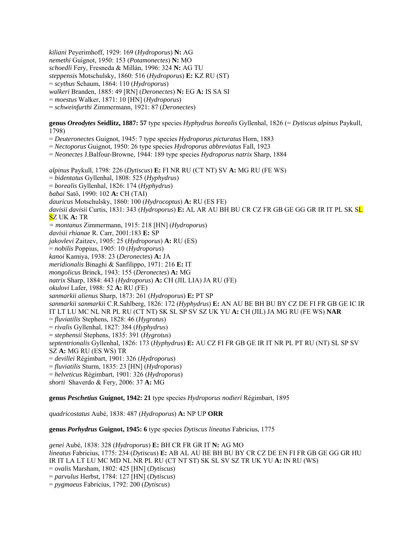*kiliani* Peyerimhoff, 1929: 169 (*Hydroporus*) **N:** AG *nemethi* Guignot, 1950: 153 (*Potamonectes*) **N:** MO *schoedli* Fery, Fresneda & Millán, 1996: 324 **N:** AG TU *steppensis* Motschulsky, 1860: 516 (*Hydroporus*) **E:** KZ RU (ST) = *scythus* Schaum, 1864: 110 (*Hydroporus*) *walkeri* Branden, 1885: 49 [RN] (*Deronectes*) **N:** EG **A:** IS SA SI = *moestus* Walker, 1871: 10 [HN] (*Hydroporus*)

= *schweinfurthi* Zimmermann, 1921: 87 (*Deronectes*)

**genus** *Oreodytes* **Seidlitz, 1887: 57** type species *Hyphydrus borealis* Gyllenhal, 1826 (= *Dytiscus alpinus* Paykull, 1798)

= *Deuteronectes* Guignot, 1945: 7 type species *Hydroporus picturatus* Horn, 1883

= *Nectoporus* Guignot, 1950: 26 type species *Hydroporus abbreviatus* Fall, 1923

= *Neonectes* J.Balfour-Browne, 1944: 189 type species *Hydroporus natrix* Sharp, 1884

*alpinus* Paykull, 1798: 226 (*Dytiscus*) **E:** FI NR RU (CT NT) SV **A:** MG RU (FE WS) = *bidentatus* Gyllenhal, 1808: 525 (*Hyphydrus*) = *borealis* Gyllenhal, 1826: 174 (*Hyphydrus*) *babai* Satô, 1990: 102 **A:** CH (TAI) *dauricus* Motschulsky, 1860: 100 (*Hydrocoptus*) **A:** RU (ES FE) *davisii davisii* Curtis, 1831: 343 (*Hydroporus*) **E:** AL AR AU BH BU CR CZ FR GB GE GG GR IR IT PL SK SL SZ UK **A:** TR *= montanus* Zimmermann, 1915: 218 [HN] (*Hydroporus*) *davisii rhianae* R. Carr, 2001:183 **E:** SP *jakovlevi* Zaitzev, 1905: 25 (*Hydroporus*) **A:** RU (ES) = *nobilis* Poppius, 1905: 10 (*Hydroporus*) *kanoi* Kamiya, 1938: 23 (*Deronectes*) **A:** JA *meridionalis* Binaghi & Sanfilippo, 1971: 216 **E:** IT *mongolicus* Brinck, 1943: 155 (*Deronectes*) **A:** MG *natrix* Sharp, 1884: 443 (*Hydroporus*) **A:** CH (JIL LIA) JA RU (FE) *okulovi* Lafer, 1988: 52 **A:** RU (FE) *sanmarkii alienus* Sharp, 1873: 261 (*Hydroporus*) **E:** PT SP *sanmarkii sanmarkii* C.R.Sahlberg, 1826: 172 (*Hyphydrus*) **E:** AN AU BE BH BU BY CZ DE FI FR GB GE IC IR IT LT LU MC NL NR PL RU (CT NT) SK SL SP SV SZ UK YU **A:** CH (JIL) JA MG RU (FE WS) **NAR**  = *fluviatilis* Stephens, 1828: 46 (*Hygrotus*) = *rivalis* Gyllenhal, 1827: 384 (*Hyphydrus*) = *stephensii* Stephens, 1835: 391 (*Hygrotus*) *septentrionalis* Gyllenhal, 1826: 173 (*Hyphydrus*) **E:** AU CZ FI FR GB GE IR IT NR PL PT RU (NT) SL SP SV SZ **A:** MG RU (ES WS) TR = *devillei* Régimbart, 1901: 326 (*Hydroporus*) = *fluviatilis* Sturm, 1835: 23 [HN] (*Hydroporus*) = *helveticus* Régimbart, 1901: 326 (*Hydroporus*) *shorti* Shaverdo & Fery, 2006: 37 **A:** MG

**genus** *Peschetius* **Guignot, 1942: 21** type species *Hydroporus nodieri* Régimbart, 1895

*quadricostatus* Aubé, 1838: 487 (*Hydroporus*) **A:** NP UP **ORR** 

**genus** *Porhydrus* **Guignot, 1945: 6** type species *Dytiscus lineatus* Fabricius, 1775

*genei* Aubé, 1838: 328 (*Hydroporus*) **E:** BH CR FR GR IT **N:** AG MO *lineatus* Fabricius, 1775: 234 (*Dytiscus*) **E:** AB AL AU BE BH BU BY CR CZ DE EN FI FR GB GE GG GR HU IR IT LA LT LU MC MD NL NR PL RU (CT NT ST) SK SL SV SZ TR UK YU **A:** IN RU (WS) = *ovalis* Marsham, 1802: 425 [HN] (*Dytiscus*) = *parvulus* Herbst, 1784: 127 [HN] (*Dytiscus*) = *pygmaeus* Fabricius, 1792: 200 (*Dytiscus*)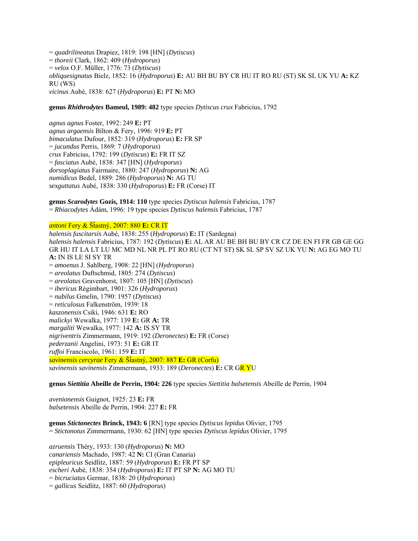= *quadrilineatus* Drapiez, 1819: 198 [HN] (*Dytiscus*) = *thoreii* Clark, 1862: 409 (*Hydroporus*) = *velox* O.F. Müller, 1776: 73 (*Dytiscus*) *obliquesignatus* Bielz, 1852: 16 (*Hydroporus*) **E:** AU BH BU BY CR HU IT RO RU (ST) SK SL UK YU **A:** KZ RU (WS) *vicinus* Aubé, 1838: 627 (*Hydroporus*) **E:** PT **N:** MO

#### **genus** *Rhithrodytes* **Bameul, 1989: 482** type species *Dytiscus crux* Fabricius, 1792

*agnus agnus* Foster, 1992: 249 **E:** PT *agnus argaensis* Bilton & Fery, 1996: 919 **E:** PT *bimaculatus* Dufour, 1852: 319 (*Hydroporus*) **E:** FR SP = *jucundus* Perris, 1869: 7 (*Hydroporus*) *crux* Fabricius, 1792: 199 (*Dytiscus*) **E:** FR IT SZ = *fasciatus* Aubé, 1838: 347 [HN] (*Hydroporus*) *dorsoplagiatus* Fairmaire, 1880: 247 (*Hydroporus*) **N:** AG *numidicus* Bedel, 1889: 286 (*Hydroporus*) **N:** AG TU *sexguttatus* Aubé, 1838: 330 (*Hydroporus*) **E:** FR (Corse) IT

**genus** *Scarodytes* **Gozis, 1914: 110** type species *Dytiscus halensis* Fabricius, 1787 = *Rhiacodytes* Ádám, 1996: 19 type species *Dytiscus halensis* Fabricius, 1787

### *antoni* Fery & ŠÄastný, 2007: 880 **E:** CR IT

*halensis fuscitarsis* Aubé, 1838: 255 (*Hydroporus*) **E:** IT (Sardegna) *halensis halensis* Fabricius, 1787: 192 (*Dytiscus*) **E:** AL AR AU BE BH BU BY CR CZ DE EN FI FR GB GE GG GR HU IT LA LT LU MC MD NL NR PL PT RO RU (CT NT ST) SK SL SP SV SZ UK YU **N:** AG EG MO TU **A:** IN IS LE SI SY TR = *amoenus* J. Sahlberg, 1908: 22 [HN] (*Hydroporus*) = *areolatus* Duftschmid, 1805: 274 (*Dytiscus*) = *areolatus* Gravenhorst, 1807: 105 [HN] (*Dytiscus*) = *ibericus* Régimbart, 1901: 326 (*Hydroporus*) = *nubilus* Gmelin, 1790: 1957 (*Dytiscus*) = *reticulosus* Falkenström, 1939: 18 *kaszonensis* Csiki, 1946: 631 **E:** RO *malickyi* Wewalka, 1977: 139 **E:** GR **A:** TR *margaliti* Wewalka, 1977: 142 **A:** IS SY TR *nigriventris* Zimmermann, 1919: 192 (*Deronectes*) **E:** FR (Corse) *pederzanii* Angelini, 1973: 51 **E:** GR IT *ruffoi* Franciscolo, 1961: 159 **E:** IT *savinensis cercyrae* Fery & ŠÄastný, 2007: 887 **E:** GR (Corfu) *savinensis savinensis* Zimmermann, 1933: 189 (*Deronectes*) **E:** CR GR YU

**genus** *Siettitia* **Abeille de Perrin, 1904: 226** type species *Siettitia balsetensis* Abeille de Perrin, 1904

*avenionensis* Guignot, 1925: 23 **E:** FR *balsetensis* Abeille de Perrin, 1904: 227 **E:** FR

**genus** *Stictonectes* **Brinck, 1943: 6** [RN] type species *Dytiscus lepidus* Olivier, 1795 = *Stictonotus* Zimmermann, 1930: 62 [HN] type species *Dytiscus lepidus* Olivier, 1795

*azruensis* Théry, 1933: 130 (*Hydroporus*) **N:** MO *canariensis* Machado, 1987: 42 **N:** CI (Gran Canaria) *epipleuricus* Seidlitz, 1887: 59 (*Hydroporus*) **E:** FR PT SP *escheri* Aubé, 1838: 354 (*Hydroporus*) **E:** IT PT SP **N:** AG MO TU = *bicruciatus* Germar, 1838: 20 (*Hydroporus*) = *gallicus* Seidlitz, 1887: 60 (*Hydroporus*)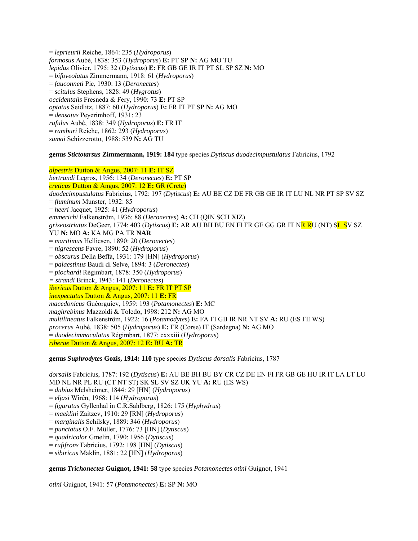= *leprieurii* Reiche, 1864: 235 (*Hydroporus*) *formosus* Aubé, 1838: 353 (*Hydroporus*) **E:** PT SP **N:** AG MO TU *lepidus* Olivier, 1795: 32 (*Dytiscus*) **E:** FR GB GE IR IT PT SL SP SZ **N:** MO = *bifoveolatus* Zimmermann, 1918: 61 (*Hydroporus*) = *fauconneti* Pic, 1930: 13 (*Deronectes*) = *scitulus* Stephens, 1828: 49 (*Hygrotus*) *occidentalis* Fresneda & Fery, 1990: 73 **E:** PT SP *optatus* Seidlitz, 1887: 60 (*Hydroporus*) **E:** FR IT PT SP **N:** AG MO = *densatus* Peyerimhoff, 1931: 23 *rufulus* Aubé, 1838: 349 (*Hydroporus*) **E:** FR IT = *ramburi* Reiche, 1862: 293 (*Hydroporus*) *samai* Schizzerotto, 1988: 539 **N:** AG TU

### **genus** *Stictotarsus* **Zimmermann, 1919: 184** type species *Dytiscus duodecimpustulatus* Fabricius, 1792

*alpestris* Dutton & Angus, 2007: 11 **E:** IT SZ *bertrandi* Legros, 1956: 134 (*Deronectes*) **E:** PT SP *creticus* Dutton & Angus, 2007: 12 **E:** GR (Crete) *duodecimpustulatus* Fabricius, 1792: 197 (*Dytiscus*) **E:** AU BE CZ DE FR GB GE IR IT LU NL NR PT SP SV SZ = *fluminum* Munster, 1932: 85 = *heeri* Jacquet, 1925: 41 (*Hydroporus*) *emmerichi* Falkenström, 1936: 88 (*Deronectes*) **A:** CH (QIN SCH XIZ) *griseostriatus* DeGeer, 1774: 403 (*Dytiscus*) **E:** AR AU BH BU EN FI FR GE GG GR IT NR RU (NT) SL SV SZ YU **N:** MO **A:** KA MG PA TR **NAR** = *maritimus* Helliesen, 1890: 20 (*Deronectes*) = *nigrescens* Favre, 1890: 52 (*Hydroporus*) = *obscurus* Della Beffa, 1931: 179 [HN] (*Hydroporus*) = *palaestinus* Baudi di Selve, 1894: 3 (*Deronectes*) = *piochardi* Régimbart, 1878: 350 (*Hydroporus*) *= strandi* Brinck, 1943: 141 (*Deronectes*) *ibericus* Dutton & Angus, 2007: 11 **E:** FR IT PT SP *inexpectatus* Dutton & Angus, 2007: 11 **E:** FR *macedonicus* Guéorguiev, 1959: 193 (*Potamonectes*) **E:** MC *maghrebinus* Mazzoldi & Toledo, 1998: 212 **N:** AG MO *multilineatus* Falkenström, 1922: 16 (*Potamodytes*) **E:** FA FI GB IR NR NT SV **A:** RU (ES FE WS) *procerus* Aubé, 1838: 505 (*Hydroporus*) **E:** FR (Corse) IT (Sardegna) **N:** AG MO = *duodecimmaculatus* Régimbart, 1877: cxxxiii (*Hydroporus*) *riberae* Dutton & Angus, 2007: 12 **E:** BU **A:** TR

**genus** *Suphrodytes* **Gozis, 1914: 110** type species *Dytiscus dorsalis* Fabricius, 1787

*dorsalis* Fabricius, 1787: 192 (*Dytiscus*) **E:** AU BE BH BU BY CR CZ DE EN FI FR GB GE HU IR IT LA LT LU MD NL NR PL RU (CT NT ST) SK SL SV SZ UK YU **A:** RU (ES WS) = *dubius* Melsheimer, 1844: 29 [HN] (*Hydroporus*) = *eljasi* Wirén, 1968: 114 (*Hydroporus*) = *figuratus* Gyllenhal in C.R.Sahlberg, 1826: 175 (*Hyphydrus*) = *maeklini* Zaitzev, 1910: 29 [RN] (*Hydroporus*) = *marginalis* Schilsky, 1889: 346 (*Hydroporus*) = *punctatus* O.F. Müller, 1776: 73 [HN] (*Dytiscus*) = *quadricolor* Gmelin, 1790: 1956 (*Dytiscus*) = *rufifrons* Fabricius, 1792: 198 [HN] (*Dytiscus*)

= *sibiricus* Mäklin, 1881: 22 [HN] (*Hydroporus*)

**genus** *Trichonectes* **Guignot, 1941: 58** type species *Potamonectes otini* Guignot, 1941

*otini* Guignot, 1941: 57 (*Potamonectes*) **E:** SP **N:** MO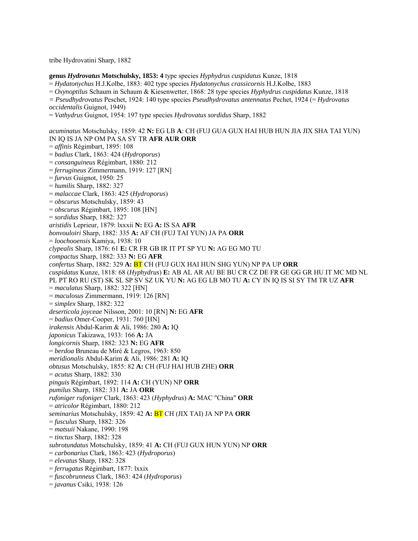tribe Hydrovatini Sharp, 1882

**genus** *Hydrovatus* **Motschulsky, 1853: 4** type species *Hyphydrus cuspidatus* Kunze, 1818

= *Hydatonychus* H.J.Kolbe, 1883: 402 type species *Hydatonychus crassicornis* H.J.Kolbe, 1883

= *Oxynoptilus* Schaum in Schaum & Kiesenwetter, 1868: 28 type species *Hyphydrus cuspidatus* Kunze, 1818

- *= Pseudhydrovatus* Peschet, 1924: 140 type species *Pseudhydrovatus antennatus* Pechet, 1924 (= *Hydrovatus occidentalis* Guignot, 1949)
- = *Vathydrus* Guignot, 1954: 197 type species *Hydrovatus sordidus* Sharp, 1882

*acuminatus* Motschulsky, 1859: 42 **N:** EG LB **A**: CH (FUJ GUA GUX HAI HUB HUN JIA JIX SHA TAI YUN) IN IQ IS JA NP OM PA SA SY TR **AFR AUR ORR**  = *affinis* Régimbart, 1895: 108 = *badius* Clark, 1863: 424 (*Hydroporus*) = *consanguineus* Régimbart, 1880: 212 = *ferrugineus* Zimmermann, 1919: 127 [RN] = *furvus* Guignot, 1950: 25 = *humilis* Sharp, 1882: 327 = *malaccae* Clark, 1863: 425 (*Hydroporus*) = *obscurus* Motschulsky, 1859: 43 = *obscurus* Régimbart, 1895: 108 [HN] = *sordidus* Sharp, 1882: 327 *aristidis* Leprieur, 1879: lxxxii **N:** EG **A:** IS SA **AFR**  *bonvouloiri* Sharp, 1882: 335 **A:** AF CH (FUJ TAI YUN) JA PA **ORR**  = *loochooensis* Kamiya, 1938: 10 *clypealis* Sharp, 1876: 61 **E:** CR FR GB IR IT PT SP YU **N:** AG EG MO TU *compactus* Sharp, 1882: 333 **N:** EG **AFR**  *confertus* Sharp, 1882: 329 **A:** BT CH (FUJ GUX HAI HUN SHG YUN) NP PA UP **ORR**  *cuspidatus* Kunze, 1818: 68 (*Hyphydrus*) **E:** AB AL AR AU BE BU CR CZ DE FR GE GG GR HU IT MC MD NL PL PT RO RU (ST) SK SL SP SV SZ UK YU **N:** AG EG LB MO TU **A:** CY IN IQ IS SI SY TM TR UZ **AFR**  = *maculatus* Sharp, 1882: 322 [HN] = *maculosus* Zimmermann, 1919: 126 [RN] = *simplex* Sharp, 1882: 322 *deserticola joyceae* Nilsson, 2001: 10 [RN] **N:** EG **AFR**  = *badius* Omer-Cooper, 1931: 760 [HN] *irakensis* Abdul-Karim & Ali, 1986: 280 **A:** IQ *japonicus* Takizawa, 1933: 166 **A:** JA *longicornis* Sharp, 1882: 323 **N:** EG **AFR**  = *berdoa* Bruneau de Miré & Legros, 1963: 850 *meridionalis* Abdul-Karim & Ali, 1986: 281 **A:** IQ *obtusus* Motschulsky, 1855: 82 **A:** CH (FUJ HAI HUB ZHE) **ORR**  = *acutus* Sharp, 1882: 330 *pinguis* Régimbart, 1892: 114 **A:** CH (YUN) NP **ORR**  *pumilus* Sharp, 1882: 331 **A:** JA **ORR**  *rufoniger rufoniger* Clark, 1863: 423 (*Hyphydrus*) **A:** MAC "China" **ORR**  = *atricolor* Régimbart, 1880: 212 *seminarius* Motschulsky, 1859: 42 **A:** BT CH (JIX TAI) JA NP PA **ORR**  = *fusculus* Sharp, 1882: 326 = *matsuii* Nakane, 1990: 198 = *tinctus* Sharp, 1882: 328 *subrotundatus* Motschulsky, 1859: 41 **A:** CH (FUJ GUX HUN YUN) NP **ORR**  = *carbonarius* Clark, 1863: 423 (*Hydroporus*) = *elevatus* Sharp, 1882: 328 = *ferrugatus* Régimbart, 1877: lxxix = *fuscobrunneus* Clark, 1863: 424 (*Hydroporus*) = *javanus* Csiki, 1938: 126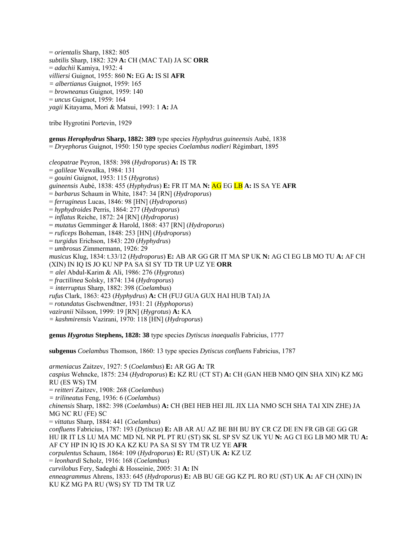= *orientalis* Sharp, 1882: 805 *subtilis* Sharp, 1882: 329 **A:** CH (MAC TAI) JA SC **ORR**  = *adachii* Kamiya, 1932: 4 *villiersi* Guignot, 1955: 860 **N:** EG **A:** IS SI **AFR**  *= albertianus* Guignot, 1959: 165 = *browneanus* Guignot, 1959: 140 = *uncus* Guignot, 1959: 164 *yagii* Kitayama, Mori & Matsui, 1993: 1 **A:** JA

tribe Hygrotini Portevin, 1929

**genus** *Herophydrus* **Sharp, 1882: 389** type species *Hyphydrus guineensis* Aubé, 1838 = *Dryephorus* Guignot, 1950: 150 type species *Coelambus nodieri* Régimbart, 1895

*cleopatrae* Peyron, 1858: 398 (*Hydroporus*) **A:** IS TR = *galileae* Wewalka, 1984: 131 = *gouini* Guignot, 1953: 115 (*Hygrotus*) *guineensis* Aubé, 1838: 455 (*Hyphydrus*) **E:** FR IT MA **N:** AG EG LB **A:** IS SA YE **AFR**  = *barbarus* Schaum in White, 1847: 34 [RN] (*Hydroporus*) = *ferrugineus* Lucas, 1846: 98 [HN] (*Hydroporus*) = *hyphydroides* Perris, 1864: 277 (*Hydroporus*) = *inflatus* Reiche, 1872: 24 [RN] (*Hydroporus*) = *mutatus* Gemminger & Harold, 1868: 437 [RN] (*Hydroporus*) = *ruficeps* Boheman, 1848: 253 [HN] (*Hydroporus*) = *turgidus* Erichson, 1843: 220 (*Hyphydrus*) = *umbrosus* Zimmermann, 1926: 29 *musicus* Klug, 1834: t.33/12 (*Hydroporus*) **E:** AB AR GG GR IT MA SP UK **N:** AG CI EG LB MO TU **A:** AF CH (XIN) IN IQ IS JO KU NP PA SA SI SY TD TR UP UZ YE **ORR**  *= alei* Abdul-Karim & Ali, 1986: 276 (*Hygrotus*) = *fractilinea* Solsky, 1874: 134 (*Hydroporus*) *= interruptus* Sharp, 1882: 398 (*Coelambus*) *rufus* Clark, 1863: 423 (*Hyphydrus*) **A:** CH (FUJ GUA GUX HAI HUB TAI) JA = *rotundatus* Gschwendtner, 1931: 21 (*Hyphoporus*) *vaziranii* Nilsson, 1999: 19 [RN] (*Hygrotus*) **A:** KA *= kashmirensis* Vazirani, 1970: 118 [HN] (*Hydroporus*)

**genus** *Hygrotus* **Stephens, 1828: 38** type species *Dytiscus inaequalis* Fabricius, 1777

**subgenus** *Coelambus* Thomson, 1860: 13 type species *Dytiscus confluens* Fabricius, 1787

*armeniacus* Zaitzev, 1927: 5 (*Coelambus*) **E:** AR GG **A:** TR *caspius* Wehncke, 1875: 234 (*Hydroporus*) **E:** KZ RU (CT ST) **A:** CH (GAN HEB NMO QIN SHA XIN) KZ MG RU (ES WS) TM = *reitteri* Zaitzev, 1908: 268 (*Coelambus*) *= trilineatus* Feng, 1936: 6 (*Coelambus*) *chinensis* Sharp, 1882: 398 (*Coelambus*) **A:** CH (BEI HEB HEI JIL JIX LIA NMO SCH SHA TAI XIN ZHE) JA MG NC RU (FE) SC = *vittatus* Sharp, 1884: 441 (*Coelambus*) *confluens* Fabricius, 1787: 193 (*Dytiscus*) **E:** AB AR AU AZ BE BH BU BY CR CZ DE EN FR GB GE GG GR HU IR IT LS LU MA MC MD NL NR PL PT RU (ST) SK SL SP SV SZ UK YU **N:** AG CI EG LB MO MR TU **A:**  AF CY HP IN IQ IS JO KA KZ KU PA SA SI SY TM TR UZ YE **AFR** *corpulentus* Schaum, 1864: 109 (*Hydroporus*) **E:** RU (ST) UK **A:** KZ UZ = *leonhardi* Scholz, 1916: 168 (*Coelambus*) *curvilobus* Fery, Sadeghi & Hosseinie, 2005: 31 **A:** IN *enneagrammus* Ahrens, 1833: 645 (*Hydroporus*) **E:** AB BU GE GG KZ PL RO RU (ST) UK **A:** AF CH (XIN) IN KU KZ MG PA RU (WS) SY TD TM TR UZ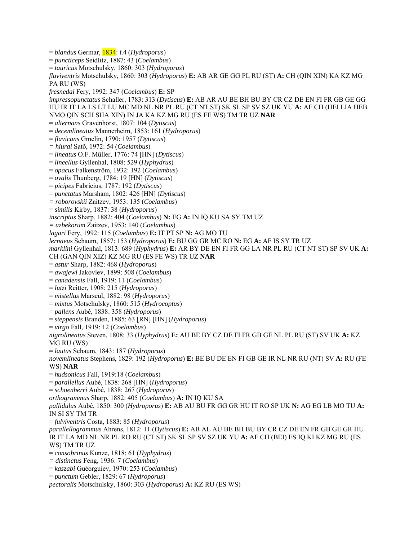= *blandus* Germar, 1834: t.4 (*Hydroporus*) = *puncticeps* Seidlitz, 1887: 43 (*Coelambus*) = *tauricus* Motschulsky, 1860: 303 (*Hydroporus*) *flaviventris* Motschulsky, 1860: 303 (*Hydroporus*) **E:** AB AR GE GG PL RU (ST) **A:** CH (QIN XIN) KA KZ MG PA RU (WS) *fresnedai* Fery, 1992: 347 (*Coelambus*) **E:** SP *impressopunctatus* Schaller, 1783: 313 (*Dytiscus*) **E:** AB AR AU BE BH BU BY CR CZ DE EN FI FR GB GE GG HU IR IT LA LS LT LU MC MD NL NR PL RU (CT NT ST) SK SL SP SV SZ UK YU **A:** AF CH (HEI LIA HEB NMO QIN SCH SHA XIN) IN JA KA KZ MG RU (ES FE WS) TM TR UZ **NAR**  = *alternans* Gravenhorst, 1807: 104 (*Dytiscus*) = *decemlineatus* Mannerheim, 1853: 161 (*Hydroporus*) = *flavicans* Gmelin, 1790: 1957 (*Dytiscus*) *= hiurai* Satô, 1972: 54 (*Coelambus*) = *lineatus* O.F. Müller, 1776: 74 [HN] (*Dytiscus*) = *lineellus* Gyllenhal, 1808: 529 (*Hyphydrus*) = *opacus* Falkenström, 1932: 192 (*Coelambus*) = *ovalis* Thunberg, 1784: 19 [HN] (*Dytiscus*) = *picipes* Fabricius, 1787: 192 (*Dytiscus*) = *punctatus* Marsham, 1802: 426 [HN] (*Dytiscus*) *= roborovskii* Zaitzev, 1953: 135 (*Coelambus*) = *similis* Kirby, 1837: 38 (*Hydroporus*) *inscriptus* Sharp, 1882: 404 (*Coelambus*) **N:** EG **A:** IN IQ KU SA SY TM UZ *= uzbekorum* Zaitzev, 1953: 140 (*Coelambus*) *lagari* Fery, 1992: 115 (*Coelambus*) **E:** IT PT SP **N:** AG MO TU *lernaeus* Schaum, 1857: 153 (*Hydroporus*) **E:** BU GG GR MC RO **N:** EG **A:** AF IS SY TR UZ *marklini* Gyllenhal, 1813: 689 (*Hyphydrus*) **E:** AR BY DE EN FI FR GG LA NR PL RU (CT NT ST) SP SV UK **A:**  CH (GAN QIN XIZ) KZ MG RU (ES FE WS) TR UZ **NAR**  = *astur* Sharp, 1882: 468 (*Hydroporus*) = *awajewi* Jakovlev, 1899: 508 (*Coelambus*) = *canadensis* Fall, 1919: 11 (*Coelambus*) = *lutzi* Reitter, 1908: 215 (*Hydroporus*) = *mistellus* Marseul, 1882: 98 (*Hydroporus*) = *mixtus* Motschulsky, 1860: 515 (*Hydrocoptus*) = *pallens* Aubé, 1838: 358 (*Hydroporus*) = *steppensis* Branden, 1885: 63 [RN] [HN] (*Hydroporus*) = *virgo* Fall, 1919: 12 (*Coelambus*) *nigrolineatus* Steven, 1808: 33 (*Hyphydrus*) **E:** AU BE BY CZ DE FI FR GB GE NL PL RU (ST) SV UK **A:** KZ MG RU (WS) = *lautus* Schaum, 1843: 187 (*Hydroporus*) *novemlineatus* Stephens, 1829: 192 (*Hydroporus*) **E:** BE BU DE EN FI GB GE IR NL NR RU (NT) SV **A:** RU (FE WS) **NAR**  = *hudsonicus* Fall, 1919:18 (*Coelambus*) = *parallellus* Aubé, 1838: 268 [HN] (*Hydroporus*) = *schoenherri* Aubé, 1838: 267 (*Hydroporus*) *orthogrammus* Sharp, 1882: 405 (*Coelambus*) **A:** IN IQ KU SA *pallidulus* Aubé, 1850: 300 (*Hydroporus*) **E:** AB AU BU FR GG GR HU IT RO SP UK **N:** AG EG LB MO TU **A:**  IN SI SY TM TR = *fulviventris* Costa, 1883: 85 (*Hydroporus*) *parallellogrammus* Ahrens, 1812: 11 (*Dytiscus*) **E:** AB AL AU BE BH BU BY CR CZ DE EN FR GB GE GR HU IR IT LA MD NL NR PL RO RU (CT ST) SK SL SP SV SZ UK YU **A:** AF CH (BEI) ES IQ KI KZ MG RU (ES WS) TM TR UZ = *consobrinus* Kunze, 1818: 61 (*Hyphydrus*) *= distinctus* Feng, 1936: 7 (*Coelambus*) = *kaszabi* Guéorguiev, 1970: 253 (*Coelambus*) = *punctum* Gebler, 1829: 67 (*Hydroporus*) *pectoralis* Motschulsky, 1860: 303 (*Hydroporus*) **A:** KZ RU (ES WS)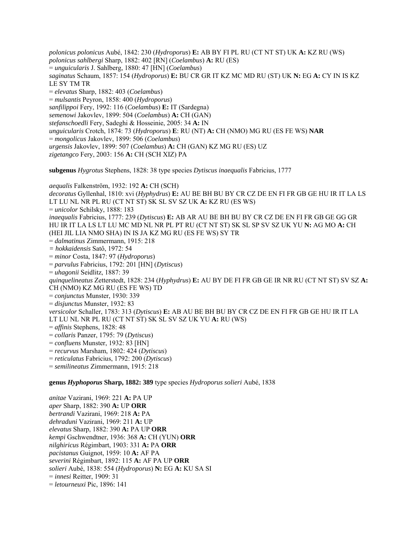*polonicus polonicus* Aubé, 1842: 230 (*Hydroporus*) **E:** AB BY FI PL RU (CT NT ST) UK **A:** KZ RU (WS) *polonicus sahlbergi* Sharp, 1882: 402 [RN] (*Coelambus*) **A:** RU (ES) = *unguicularis* J. Sahlberg, 1880: 47 [HN] (*Coelambus*) *saginatus* Schaum, 1857: 154 (*Hydroporus*) **E:** BU CR GR IT KZ MC MD RU (ST) UK **N:** EG **A:** CY IN IS KZ LE SY TM TR = *elevatus* Sharp, 1882: 403 (*Coelambus*) = *mulsantis* Peyron, 1858: 400 (*Hydroporus*) *sanfilippoi* Fery, 1992: 116 (*Coelambus*) **E:** IT (Sardegna) *semenowi* Jakovlev, 1899: 504 (*Coelambus*) **A:** CH (GAN) *stefanschoedli* Fery, Sadeghi & Hosseinie, 2005: 34 **A:** IN *unguicularis* Crotch, 1874: 73 (*Hydroporus*) **E**: RU (NT) **A:** CH (NMO) MG RU (ES FE WS) **NAR**  = *mongolicus* Jakovlev, 1899: 506 (*Coelambus*) *urgensis* Jakovlev, 1899: 507 (*Coelambus*) **A:** CH (GAN) KZ MG RU (ES) UZ *zigetangco* Fery, 2003: 156 **A:** CH (SCH XIZ) PA **subgenus** *Hygrotus* Stephens, 1828: 38 type species *Dytiscus inaequalis* Fabricius, 1777

*aequalis* Falkenström, 1932: 192 **A:** CH (SCH) *decoratus* Gyllenhal, 1810: xvi (*Hyphydrus*) **E:** AU BE BH BU BY CR CZ DE EN FI FR GB GE HU IR IT LA LS LT LU NL NR PL RU (CT NT ST) SK SL SV SZ UK **A:** KZ RU (ES WS) = *unicolor* Schilsky, 1888: 183 *inaequalis* Fabricius, 1777: 239 (*Dytiscus*) **E:** AB AR AU BE BH BU BY CR CZ DE EN FI FR GB GE GG GR HU IR IT LA LS LT LU MC MD NL NR PL PT RU (CT NT ST) SK SL SP SV SZ UK YU **N:** AG MO **A:** CH (HEI JIL LIA NMO SHA) IN IS JA KZ MG RU (ES FE WS) SY TR = *dalmatinus* Zimmermann, 1915: 218 *= hokkaidensis* Satô, 1972: 54 = *minor* Costa, 1847: 97 (*Hydroporus*) = *parvulus* Fabricius, 1792: 201 [HN] (*Dytiscus*) = *uhagonii* Seidlitz, 1887: 39 *quinquelineatus* Zetterstedt, 1828: 234 (*Hyphydrus*) **E:** AU BY DE FI FR GB GE IR NR RU (CT NT ST) SV SZ **A:**  CH (NMO) KZ MG RU (ES FE WS) TD = *conjunctus* Munster, 1930: 339 = *disjunctus* Munster, 1932: 83 *versicolor* Schaller, 1783: 313 (*Dytiscus*) **E:** AB AU BE BH BU BY CR CZ DE EN FI FR GB GE HU IR IT LA LT LU NL NR PL RU (CT NT ST) SK SL SV SZ UK YU **A:** RU (WS) = *affinis* Stephens, 1828: 48 = *collaris* Panzer, 1795: 79 (*Dytiscus*) = *confluens* Munster, 1932: 83 [HN] = *recurvus* Marsham, 1802: 424 (*Dytiscus*) = *reticulatus* Fabricius, 1792: 200 (*Dytiscus*) = *semilineatus* Zimmermann, 1915: 218

**genus** *Hyphoporus* **Sharp, 1882: 389** type species *Hydroporus solieri* Aubé, 1838

*anitae* Vazirani, 1969: 221 **A:** PA UP *aper* Sharp, 1882: 390 **A:** UP **ORR**  *bertrandi* Vazirani, 1969: 218 **A:** PA *dehraduni* Vazirani, 1969: 211 **A:** UP *elevatus* Sharp, 1882: 390 **A:** PA UP **ORR**  *kempi* Gschwendtner, 1936: 368 **A:** CH (YUN) **ORR**  *nilghiricus* Régimbart, 1903: 331 **A:** PA **ORR**  *pacistanus* Guignot, 1959: 10 **A:** AF PA *severini* Régimbart, 1892: 115 **A:** AF PA UP **ORR**  *solieri* Aubé, 1838: 554 (*Hydroporus*) **N:** EG **A:** KU SA SI = *innesi* Reitter, 1909: 31 = *letourneuxi* Pic, 1896: 141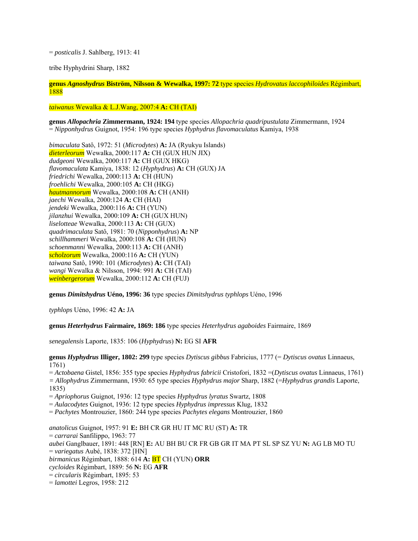= *posticalis* J. Sahlberg, 1913: 41

tribe Hyphydrini Sharp, 1882

**genus** *Agnoshydrus* **Biström, Nilsson & Wewalka, 1997: 72** type species *Hydrovatus laccophiloides* Régimbart, 1888

#### *taiwanus* Wewalka & L.J.Wang, 2007:4 **A:** CH (TAI)

**genus** *Allopachria* **Zimmermann, 1924: 194** type species *Allopachria quadripustulata* Zimmermann, 1924 = *Nipponhydrus* Guignot, 1954: 196 type species *Hyphydrus flavomaculatus* Kamiya, 1938

*bimaculata* Satô, 1972: 51 (*Microdytes*) **A:** JA (Ryukyu Islands) *dieterleorum* Wewalka, 2000:117 **A:** CH (GUX HUN JIX) *dudgeoni* Wewalka, 2000:117 **A:** CH (GUX HKG) *flavomaculata* Kamiya, 1838: 12 (*Hyphydrus*) **A:** CH (GUX) JA *friedrichi* Wewalka, 2000:113 **A:** CH (HUN) *froehlichi* Wewalka, 2000:105 **A:** CH (HKG) *hautmannorum* Wewalka, 2000:108 **A:** CH (ANH) *jaechi* Wewalka, 2000:124 **A:** CH (HAI) *jendeki* Wewalka, 2000:116 **A:** CH (YUN) *jilanzhui* Wewalka, 2000:109 **A:** CH (GUX HUN) *liselotteae* Wewalka, 2000:113 **A:** CH (GUX) *quadrimaculata* Satô, 1981: 70 (*Nipponhydrus*) **A:** NP *schillhammeri* Wewalka, 2000:108 **A:** CH (HUN) *schoenmanni* Wewalka, 2000:113 **A:** CH (ANH) *scholzorum* Wewalka, 2000:116 **A:** CH (YUN) *taiwana* Satô, 1990: 101 (*Microdytes*) **A:** CH (TAI) *wangi* Wewalka & Nilsson, 1994: 991 **A:** CH (TAI) *weinbergerorum* Wewalka, 2000:112 **A:** CH (FUJ)

**genus** *Dimitshydrus* **Uéno, 1996: 36** type species *Dimitshydrus typhlops* Uéno, 1996

*typhlops* Uéno, 1996: 42 **A:** JA

**genus** *Heterhydrus* **Fairmaire, 1869: 186** type species *Heterhydrus agaboides* Fairmaire, 1869

*senegalensis* Laporte, 1835: 106 (*Hyphydrus*) **N:** EG SI **AFR**

**genus** *Hyphydrus* **Illiger, 1802: 299** type species *Dytiscus gibbus* Fabricius, 1777 (= *Dytiscus ovatus* Linnaeus, 1761)

= *Actobaena* Gistel, 1856: 355 type species *Hyphydrus fabricii* Cristofori, 1832 =(*Dytiscus ovatus* Linnaeus, 1761) *= Allophydrus* Zimmermann, 1930: 65 type species *Hyphydrus major* Sharp, 1882 (=*Hyphydrus grandis* Laporte, 1835)

= *Apriophorus* Guignot, 1936: 12 type species *Hyphydrus lyratus* Swartz, 1808

= *Aulacodytes* Guignot, 1936: 12 type species *Hyphydrus impressus* Klug, 1832

= *Pachytes* Montrouzier, 1860: 244 type species *Pachytes elegans* Montrouzier, 1860

*anatolicus* Guignot, 1957: 91 **E:** BH CR GR HU IT MC RU (ST) **A:** TR = *carrarai* Sanfilippo, 1963: 77 *aubei* Ganglbauer, 1891: 448 [RN] **E:** AU BH BU CR FR GB GR IT MA PT SL SP SZ YU **N:** AG LB MO TU = *variegatus* Aubé, 1838: 372 [HN] *birmanicus* Régimbart, 1888: 614 **A:** BT CH (YUN) **ORR** *cycloides* Régimbart, 1889: 56 **N:** EG **AFR** = *circularis* Régimbart, 1895: 53 = *lamottei* Legros, 1958: 212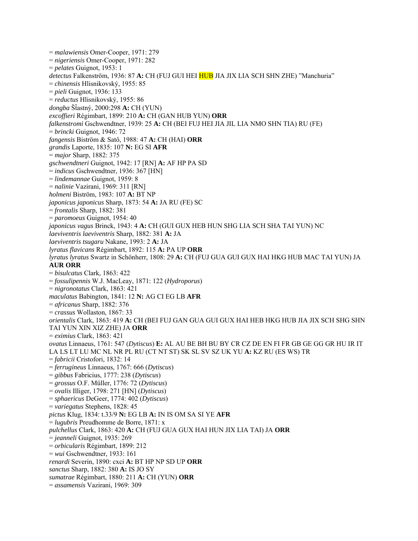= *malawiensis* Omer-Cooper, 1971: 279 = *nigeriensis* Omer-Cooper, 1971: 282 = *pelates* Guignot, 1953: 1 *detectus* Falkenström, 1936: 87 **A:** CH (FUJ GUI HEI HUB JIA JIX LIA SCH SHN ZHE) "Manchuria" = *chinensis* Hlisnikovský, 1955: 85 = *pieli* Guignot, 1936: 133 = *reductus* Hlisnikovský, 1955: 86 *dongba* ŠÄastný, 2000:298 **A:** CH (YUN) *excoffieri* Régimbart, 1899: 210 **A:** CH (GAN HUB YUN) **ORR** *falkenstromi* Gschwendtner, 1939: 25 **A:** CH (BEI FUJ HEI JIA JIL LIA NMO SHN TIA) RU (FE) = *brincki* Guignot, 1946: 72 *fangensis* Biström & Satô, 1988: 47 **A:** CH (HAI) **ORR** *grandis* Laporte, 1835: 107 **N:** EG SI **AFR** = *major* Sharp, 1882: 375 *gschwendtneri* Guignot, 1942: 17 [RN] **A:** AF HP PA SD = *indicus* Gschwendtner, 1936: 367 [HN] = *lindemannae* Guignot, 1959: 8 = *nalinie* Vazirani, 1969: 311 [RN] *holmeni* Biström, 1983: 107 **A:** BT NP *japonicus japonicus* Sharp, 1873: 54 **A:** JA RU (FE) SC = *frontalis* Sharp, 1882: 381 = *paromoeus* Guignot, 1954: 40 *japonicus vagus* Brinck, 1943: 4 **A:** CH (GUI GUX HEB HUN SHG LIA SCH SHA TAI YUN) NC *laeviventris laeviventris* Sharp, 1882: 381 **A:** JA *laeviventris tsugaru* Nakane, 1993: 2 **A:** JA *lyratus flavicans* Régimbart, 1892: 115 **A:** PA UP **ORR** *lyratus lyratus* Swartz in Schönherr, 1808: 29 **A:** CH (FUJ GUA GUI GUX HAI HKG HUB MAC TAI YUN) JA **AUR ORR** = *bisulcatus* Clark, 1863: 422 = *fossulipennis* W.J. MacLeay, 1871: 122 (*Hydroporus*) = *nigronotatus* Clark, 1863: 421 *maculatus* Babington, 1841: 12 **N:** AG CI EG LB **AFR** = *africanus* Sharp, 1882: 376 = *crassus* Wollaston, 1867: 33 *orientalis* Clark, 1863: 419 **A:** CH (BEI FUJ GAN GUA GUI GUX HAI HEB HKG HUB JIA JIX SCH SHG SHN TAI YUN XIN XIZ ZHE) JA **ORR** = *eximius* Clark, 1863: 421 *ovatus* Linnaeus, 1761: 547 (*Dytiscus*) **E:** AL AU BE BH BU BY CR CZ DE EN FI FR GB GE GG GR HU IR IT LA LS LT LU MC NL NR PL RU (CT NT ST) SK SL SV SZ UK YU **A:** KZ RU (ES WS) TR = *fabricii* Cristofori, 1832: 14 = *ferrugineus* Linnaeus, 1767: 666 (*Dytiscus*) = *gibbus* Fabricius, 1777: 238 (*Dytiscus*) = *grossus* O.F. Müller, 1776: 72 (*Dytiscus*) = *ovalis* Illiger, 1798: 271 [HN] (*Dytiscus*) = *sphaericus* DeGeer, 1774: 402 (*Dytiscus*) = *variegatus* Stephens, 1828: 45 *pictus* Klug, 1834: t.33/9 **N:** EG LB **A:** IN IS OM SA SI YE **AFR** = *lugubris* Preudhomme de Borre, 1871: x *pulchellus* Clark, 1863: 420 **A:** CH (FUJ GUA GUX HAI HUN JIX LIA TAI) JA **ORR** = *jeanneli* Guignot, 1935: 269 = *orbicularis* Régimbart, 1899: 212 = *wui* Gschwendtner, 1933: 161 *renardi* Severin, 1890: cxci **A:** BT HP NP SD UP **ORR** *sanctus* Sharp, 1882: 380 **A:** IS JO SY *sumatrae* Régimbart, 1880: 211 **A:** CH (YUN) **ORR** = *assamensis* Vazirani, 1969: 309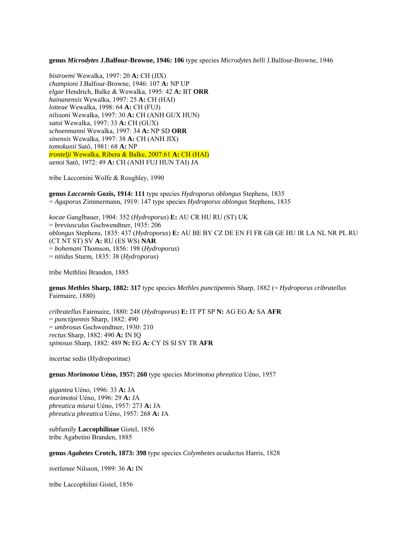**genus** *Microdytes* **J.Balfour-Browne, 1946: 106** type species *Microdytes belli* J.Balfour-Browne, 1946

*bistroemi* Wewalka, 1997: 20 **A:** CH (JIX) *championi* J.Balfour-Browne, 1946: 107 **A:** NP UP *elgae* Hendrich, Balke & Wewalka, 1995: 42 **A:** BT **ORR** *hainanensis* Wewalka, 1997: 25 **A:** CH (HAI) *lotteae* Wewalka, 1998: 64 **A:** CH (FUJ) *nilssoni* Wewalka, 1997: 30 **A:** CH (ANH GUX HUN) *satoi* Wewalka, 1997: 33 **A:** CH (GUX) *schoenmanni* Wewalka, 1997: 34 **A:** NP SD **ORR** *sinensis* Wewalka, 1997: 38 **A:** CH (ANH JIX) *tomokunii* Satô, 1981: 68 **A:** NP *trontelji* Wewalka, Ribera & Balke, 2007:61 **A:** CH (HAI) *uenoi* Satô, 1972: 49 **A:** CH (ANH FUJ HUN TAI) JA

tribe Laccornini Wolfe & Roughley, 1990

**genus** *Laccornis* **Gozis, 1914: 111** type species *Hydroporus oblongus* Stephens, 1835 = *Agaporus* Zimmermann, 1919: 147 type species *Hydroporus oblongus* Stephens, 1835

*kocae* Ganglbauer, 1904: 352 (*Hydroporus*) **E:** AU CR HU RU (ST) UK = *breviusculus* Gschwendtner, 1935: 206 *oblongus* Stephens, 1835: 437 (*Hydroporus*) **E:** AU BE BY CZ DE EN FI FR GB GE HU IR LA NL NR PL RU (CT NT ST) SV **A:** RU (ES WS) **NAR**  = *bohemani* Thomson, 1856: 198 (*Hydroporus*) = *nitidus* Sturm, 1835: 38 (*Hydroporus*)

tribe Methlini Branden, 1885

**genus** *Methles* **Sharp, 1882: 317** type species *Methles punctipennis* Sharp, 1882 (= *Hydroporus cribratellus* Fairmaire, 1880)

*cribratellus* Fairmaire, 1880: 248 (*Hydroporus*) **E:** IT PT SP **N:** AG EG **A:** SA **AFR**  = *punctipennis* Sharp, 1882: 490 = *umbrosus* Gschwendtner, 1930: 210 *rectus* Sharp, 1882: 490 **A:** IN IQ *spinosus* Sharp, 1882: 489 **N:** EG **A:** CY IS SI SY TR **AFR**

incertae sedis (Hydroporinae)

**genus** *Morimotoa* **Uéno, 1957: 260** type species *Morimotoa phreatica* Uéno, 1957

*gigantea* Uéno, 1996: 33 **A:** JA *morimotoi* Uéno, 1996: 29 **A:** JA *phreatica miurai* Uéno, 1957: 273 **A:** JA *phreatica phreatica* Uéno, 1957: 268 **A:** JA

subfamily **Laccophilinae** Gistel, 1856 tribe Agabetini Branden, 1885

**genus** *Agabetes* **Crotch, 1873: 398** type species *Colymbetes acuductus* Harris, 1828

*svetlanae* Nilsson, 1989: 36 **A:** IN

tribe Laccophilini Gistel, 1856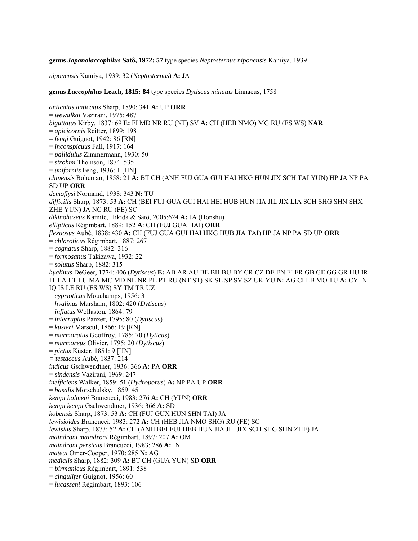**genus** *Japanolaccophilus* **Satô, 1972: 57** type species *Neptosternus niponensis* Kamiya, 1939

*niponensis* Kamiya, 1939: 32 (*Neptosternus*) **A:** JA

**genus** *Laccophilus* **Leach, 1815: 84** type species *Dytiscus minutus* Linnaeus, 1758

*anticatus anticatus* Sharp, 1890: 341 **A:** UP **ORR**  = *wewalkai* Vazirani, 1975: 487 *biguttatus* Kirby, 1837: 69 **E:** FI MD NR RU (NT) SV **A:** CH (HEB NMO) MG RU (ES WS) **NAR**  = *apicicornis* Reitter, 1899: 198 = *fengi* Guignot, 1942: 86 [RN] = *inconspicuus* Fall, 1917: 164 = *pallidulus* Zimmermann, 1930: 50 = *strohmi* Thomson, 1874: 535 = *uniformis* Feng, 1936: 1 [HN] *chinensis* Boheman, 1858: 21 **A:** BT CH (ANH FUJ GUA GUI HAI HKG HUN JIX SCH TAI YUN) HP JA NP PA SD UP **ORR**  *demoflysi* Normand, 1938: 343 **N:** TU *difficilis* Sharp, 1873: 53 **A:** CH (BEI FUJ GUA GUI HAI HEI HUB HUN JIA JIL JIX LIA SCH SHG SHN SHX ZHE YUN) JA NC RU (FE) SC *dikinohaseus* Kamite, Hikida & Satô, 2005:624 **A:** JA (Honshu) *ellipticus* Régimbart, 1889: 152 **A**: CH (FUJ GUA HAI) **ORR**  *flexuosus* Aubé, 1838: 430 **A:** CH (FUJ GUA GUI HAI HKG HUB JIA TAI) HP JA NP PA SD UP **ORR**  = *chloroticus* Régimbart, 1887: 267 = *cognatus* Sharp, 1882: 316 = *formosanus* Takizawa, 1932: 22 = *solutus* Sharp, 1882: 315 *hyalinus* DeGeer, 1774: 406 (*Dytiscus*) **E:** AB AR AU BE BH BU BY CR CZ DE EN FI FR GB GE GG GR HU IR IT LA LT LU MA MC MD NL NR PL PT RU (NT ST) SK SL SP SV SZ UK YU **N:** AG CI LB MO TU **A:** CY IN IQ IS LE RU (ES WS) SY TM TR UZ = *cyprioticus* Mouchamps, 1956: 3 = *hyalinus* Marsham, 1802: 420 (*Dytiscus*) = *inflatus* Wollaston, 1864: 79 = *interruptus* Panzer, 1795: 80 (*Dytiscus*) = *kusteri* Marseul, 1866: 19 [RN] = *marmoratus* Geoffroy, 1785: 70 (*Dyticus*) = *marmoreus* Olivier, 1795: 20 (*Dytiscus*) = *pictus* Küster, 1851: 9 [HN] *= testaceus* Aubé, 1837: 214 *indicus* Gschwendtner, 1936: 366 **A:** PA **ORR**  = *sindensis* Vazirani, 1969: 247 *inefficiens* Walker, 1859: 51 (*Hydroporus*) **A:** NP PA UP **ORR**  = *basalis* Motschulsky, 1859: 45 *kempi holmeni* Brancucci, 1983: 276 **A:** CH (YUN) **ORR**  *kempi kempi* Gschwendtner, 1936: 366 **A:** SD *kobensis* Sharp, 1873: 53 **A:** CH (FUJ GUX HUN SHN TAI) JA *lewisioides* Brancucci, 1983: 272 **A:** CH (HEB JIA NMO SHG) RU (FE) SC *lewisius* Sharp, 1873: 52 **A:** CH (ANH BEI FUJ HEB HUN JIA JIL JIX SCH SHG SHN ZHE) JA *maindroni maindroni* Régimbart, 1897: 207 **A:** OM *maindroni persicus* Brancucci, 1983: 286 **A:** IN *mateui* Omer-Cooper, 1970: 285 **N:** AG *medialis* Sharp, 1882: 309 **A:** BT CH (GUA YUN) SD **ORR**  = *birmanicus* Régimbart, 1891: 538 = *cingulifer* Guignot, 1956: 60

= *lucasseni* Régimbart, 1893: 106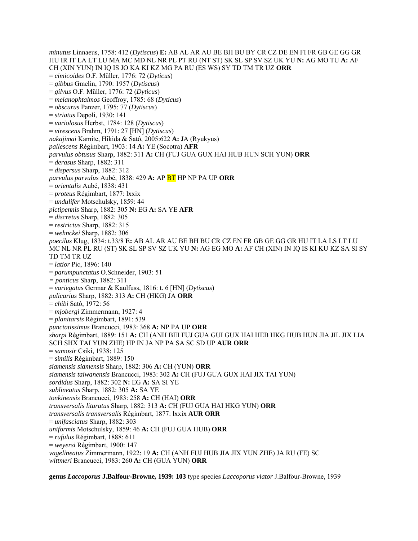*minutus* Linnaeus, 1758: 412 (*Dytiscus*) **E:** AB AL AR AU BE BH BU BY CR CZ DE EN FI FR GB GE GG GR HU IR IT LA LT LU MA MC MD NL NR PL PT RU (NT ST) SK SL SP SV SZ UK YU **N:** AG MO TU **A:** AF CH (XIN YUN) IN IQ IS JO KA KI KZ MG PA RU (ES WS) SY TD TM TR UZ **ORR**  = *cimicoides* O.F. Müller, 1776: 72 (*Dyticus*) = *gibbus* Gmelin, 1790: 1957 (*Dytiscus*) = *gilvus* O.F. Müller, 1776: 72 (*Dyticus*) = *melanophtalmos* Geoffroy, 1785: 68 (*Dyticus*) = *obscurus* Panzer, 1795: 77 (*Dytiscus*) = *striatus* Depoli, 1930: 141 = *variolosus* Herbst, 1784: 128 (*Dytiscus*) = *virescens* Brahm, 1791: 27 [HN] (*Dytiscus*) *nakajimai* Kamite, Hikida & Satô, 2005:622 **A:** JA (Ryukyus) *pallescens* Régimbart, 1903: 14 **A:** YE (Socotra) **AFR** *parvulus obtusus* Sharp, 1882: 311 **A:** CH (FUJ GUA GUX HAI HUB HUN SCH YUN) **ORR** = *derasus* Sharp, 1882: 311 = *dispersus* Sharp, 1882: 312 *parvulus parvulus* Aubé, 1838: 429 **A:** AP BT HP NP PA UP **ORR** = *orientalis* Aubé, 1838: 431 = *proteus* Régimbart, 1877: lxxix = *undulifer* Motschulsky, 1859: 44 *pictipennis* Sharp, 1882: 305 **N:** EG **A:** SA YE **AFR** = *discretus* Sharp, 1882: 305 = *restrictus* Sharp, 1882: 315 = *wehnckei* Sharp, 1882: 306 *poecilus* Klug, 1834: t.33/8 **E:** AB AL AR AU BE BH BU CR CZ EN FR GB GE GG GR HU IT LA LS LT LU MC NL NR PL RU (ST) SK SL SP SV SZ UK YU **N:** AG EG MO **A:** AF CH (XIN) IN IQ IS KI KU KZ SA SI SY TD TM TR UZ = *latior* Pic, 1896: 140 = *parumpunctatus* O.Schneider, 1903: 51 *= ponticus* Sharp, 1882: 311 = *variegatus* Germar & Kaulfuss, 1816: t. 6 [HN] (*Dytiscus*) *pulicarius* Sharp, 1882: 313 **A:** CH (HKG) JA **ORR** = *chibi* Satô, 1972: 56 = *mjobergi* Zimmermann, 1927: 4 = *planitarsis* Régimbart, 1891: 539 *punctatissimus* Brancucci, 1983: 368 **A:** NP PA UP **ORR** *sharpi* Régimbart, 1889: 151 **A:** CH (ANH BEI FUJ GUA GUI GUX HAI HEB HKG HUB HUN JIA JIL JIX LIA SCH SHX TAI YUN ZHE) HP IN JA NP PA SA SC SD UP **AUR ORR** = *samosir* Csiki, 1938: 125 = *similis* Régimbart, 1889: 150 *siamensis siamensis* Sharp, 1882: 306 **A:** CH (YUN) **ORR** *siamensis taiwanensis* Brancucci, 1983: 302 **A:** CH (FUJ GUA GUX HAI JIX TAI YUN) *sordidus* Sharp, 1882: 302 **N:** EG **A:** SA SI YE *sublineatus* Sharp, 1882: 305 **A:** SA YE *tonkinensis* Brancucci, 1983: 258 **A:** CH (HAI) **ORR** *transversalis lituratus* Sharp, 1882: 313 **A:** CH (FUJ GUA HAI HKG YUN) **ORR**  *transversalis transversalis* Régimbart, 1877: lxxix **AUR ORR**  = *unifasciatus* Sharp, 1882: 303 *uniformis* Motschulsky, 1859: 46 **A:** CH (FUJ GUA HUB) **ORR**  = *rufulus* Régimbart, 1888: 611 = *weyersi* Régimbart, 1900: 147 *vagelineatus* Zimmermann, 1922: 19 **A:** CH (ANH FUJ HUB JIA JIX YUN ZHE) JA RU (FE) SC *wittmeri* Brancucci, 1983: 260 **A:** CH (GUA YUN) **ORR**

**genus** *Laccoporus* **J.Balfour-Browne, 1939: 103** type species *Laccoporus viator* J.Balfour-Browne, 1939